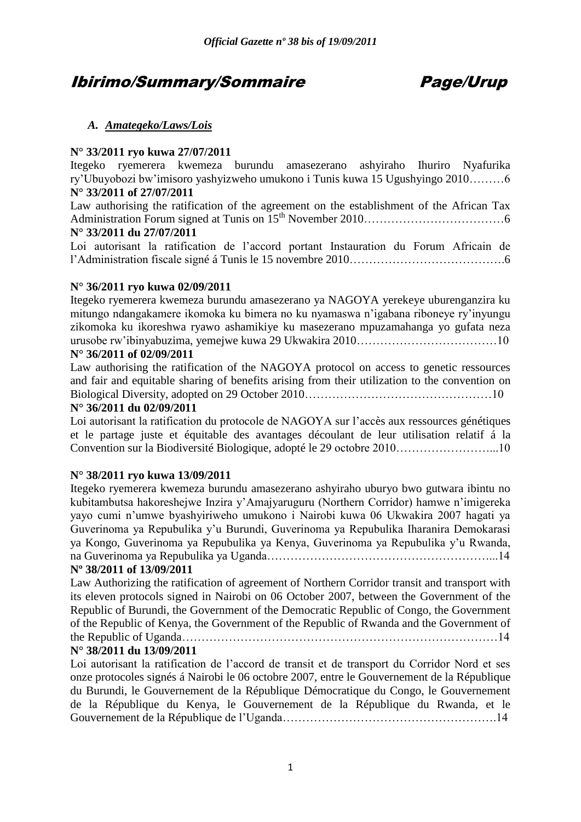# Ibirimo/Summary/Sommaire Page/Urup

# *A. Amategeko/Laws/Lois*

# **N° 33/2011 ryo kuwa 27/07/2011**

Itegeko ryemerera kwemeza burundu amasezerano ashyiraho Ihuriro Nyafurika ry'Ubuyobozi bw'imisoro yashyizweho umukono i Tunis kuwa 15 Ugushyingo 2010………6 **N° 33/2011 of 27/07/2011**

Law authorising the ratification of the agreement on the establishment of the African Tax Administration Forum signed at Tunis on 15th November 2010………………………………6 **N° 33/2011 du 27/07/2011** 

Loi autorisant la ratification de l'accord portant Instauration du Forum Africain de l'Administration fiscale signé á Tunis le 15 novembre 2010………………………………….6

# **N° 36/2011 ryo kuwa 02/09/2011**

Itegeko ryemerera kwemeza burundu amasezerano ya NAGOYA yerekeye uburenganzira ku mitungo ndangakamere ikomoka ku bimera no ku nyamaswa n'igabana riboneye ry'inyungu zikomoka ku ikoreshwa ryawo ashamikiye ku masezerano mpuzamahanga yo gufata neza urusobe rw'ibinyabuzima, yemejwe kuwa 29 Ukwakira 2010………………………………10

# **N° 36/2011 of 02/09/2011**

Law authorising the ratification of the NAGOYA protocol on access to genetic ressources and fair and equitable sharing of benefits arising from their utilization to the convention on Biological Diversity, adopted on 29 October 2010…………………………………………10

## **N° 36/2011 du 02/09/2011**

Loi autorisant la ratification du protocole de NAGOYA sur l'accès aux ressources génétiques et le partage juste et équitable des avantages découlant de leur utilisation relatif á la Convention sur la Biodiversité Biologique, adopté le 29 octobre 2010……………………...10

## **N° 38/2011 ryo kuwa 13/09/2011**

Itegeko ryemerera kwemeza burundu amasezerano ashyiraho uburyo bwo gutwara ibintu no kubitambutsa hakoreshejwe Inzira y'Amajyaruguru (Northern Corridor) hamwe n'imigereka yayo cumi n'umwe byashyiriweho umukono i Nairobi kuwa 06 Ukwakira 2007 hagati ya Guverinoma ya Repubulika y'u Burundi, Guverinoma ya Repubulika Iharanira Demokarasi ya Kongo, Guverinoma ya Repubulika ya Kenya, Guverinoma ya Repubulika y'u Rwanda, na Guverinoma ya Repubulika ya Uganda…………………………………………………...14

## **Nº 38/2011 of 13/09/2011**

Law Authorizing the ratification of agreement of Northern Corridor transit and transport with its eleven protocols signed in Nairobi on 06 October 2007, between the Government of the Republic of Burundi, the Government of the Democratic Republic of Congo, the Government of the Republic of Kenya, the Government of the Republic of Rwanda and the Government of the Republic of Uganda………………………………………………………………………14

# **N° 38/2011 du 13/09/2011**

Loi autorisant la ratification de l'accord de transit et de transport du Corridor Nord et ses onze protocoles signés á Nairobi le 06 octobre 2007, entre le Gouvernement de la République du Burundi, le Gouvernement de la République Démocratique du Congo, le Gouvernement de la République du Kenya, le Gouvernement de la République du Rwanda, et le Gouvernement de la République de l'Uganda……………………………………………….14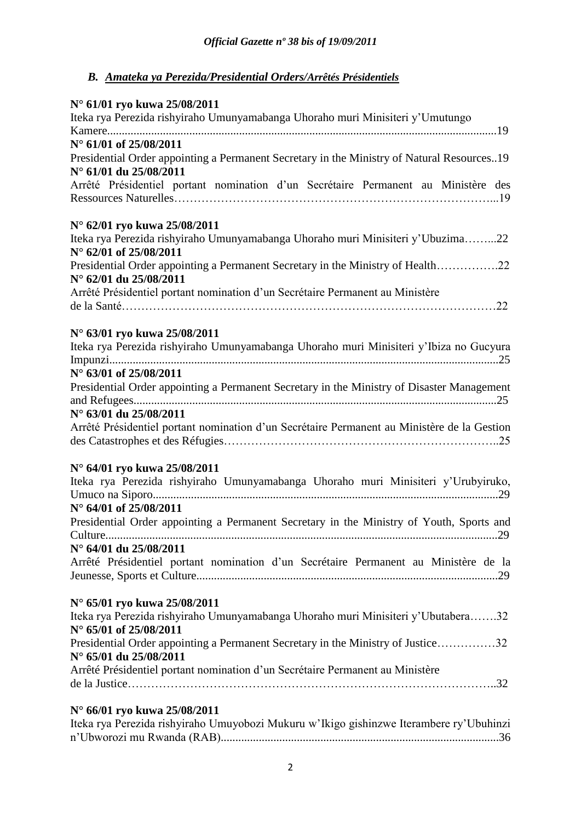# *B. Amateka ya Perezida/Presidential Orders/Arrêtés Présidentiels*

| N° 61/01 ryo kuwa 25/08/2011<br>Iteka rya Perezida rishyiraho Umunyamabanga Uhoraho muri Minisiteri y'Umutungo                                       |
|------------------------------------------------------------------------------------------------------------------------------------------------------|
| N° 61/01 of 25/08/2011<br>Presidential Order appointing a Permanent Secretary in the Ministry of Natural Resources19<br>N° 61/01 du 25/08/2011       |
| Arrêté Présidentiel portant nomination d'un Secrétaire Permanent au Ministère des                                                                    |
| N° 62/01 ryo kuwa 25/08/2011<br>Iteka rya Perezida rishyiraho Umunyamabanga Uhoraho muri Minisiteri y'Ubuzima22<br>N° 62/01 of 25/08/2011            |
| Presidential Order appointing a Permanent Secretary in the Ministry of Health22<br>$N^{\circ}$ 62/01 du 25/08/2011                                   |
| Arrêté Présidentiel portant nomination d'un Secrétaire Permanent au Ministère                                                                        |
| N° 63/01 ryo kuwa 25/08/2011<br>Iteka rya Perezida rishyiraho Umunyamabanga Uhoraho muri Minisiteri y'Ibiza no Gucyura                               |
| N° 63/01 of 25/08/2011<br>Presidential Order appointing a Permanent Secretary in the Ministry of Disaster Management                                 |
| N° 63/01 du 25/08/2011<br>Arrêté Présidentiel portant nomination d'un Secrétaire Permanent au Ministère de la Gestion                                |
| N° 64/01 ryo kuwa 25/08/2011<br>Iteka rya Perezida rishyiraho Umunyamabanga Uhoraho muri Minisiteri y'Urubyiruko,<br>$N^{\circ}$ 64/01 of 25/08/2011 |
| Presidential Order appointing a Permanent Secretary in the Ministry of Youth, Sports and                                                             |
| N° 64/01 du 25/08/2011<br>Arrêté Présidentiel portant nomination d'un Secrétaire Permanent au Ministère de la                                        |
| N° 65/01 ryo kuwa 25/08/2011<br>Iteka rya Perezida rishyiraho Umunyamabanga Uhoraho muri Minisiteri y'Ubutabera32<br>N° 65/01 of 25/08/2011          |
| Presidential Order appointing a Permanent Secretary in the Ministry of Justice32<br>N° 65/01 du 25/08/2011                                           |
| Arrêté Présidentiel portant nomination d'un Secrétaire Permanent au Ministère                                                                        |
| N° 66/01 ryo kuwa 25/08/2011                                                                                                                         |

| Iteka rya Perezida rishyiraho Umuyobozi Mukuru w'Ikigo gishinzwe Iterambere ry'Ubuhinzi |  |  |
|-----------------------------------------------------------------------------------------|--|--|
|                                                                                         |  |  |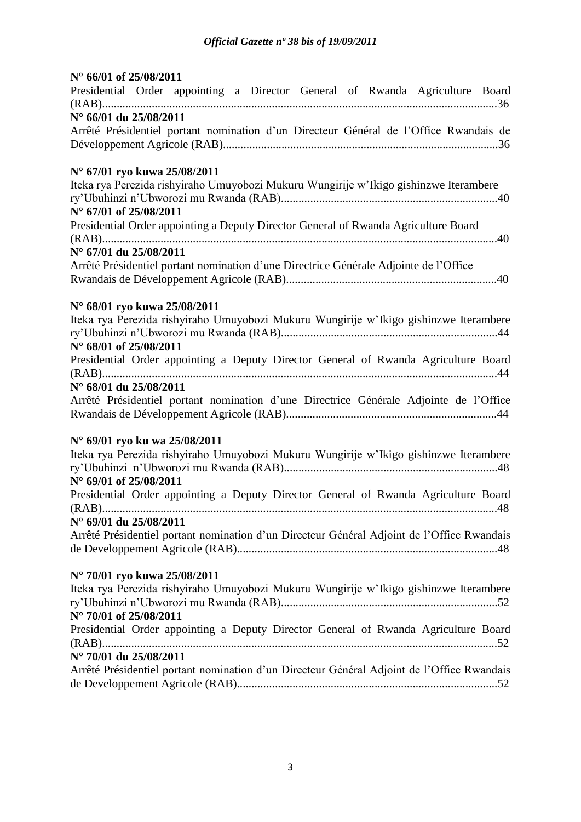| $N^{\circ}$ 66/01 of 25/08/2011                                                            |
|--------------------------------------------------------------------------------------------|
| Presidential Order appointing a Director General of Rwanda Agriculture Board               |
|                                                                                            |
| N° 66/01 du 25/08/2011                                                                     |
| Arrêté Présidentiel portant nomination d'un Directeur Général de l'Office Rwandais de      |
|                                                                                            |
|                                                                                            |
| N° 67/01 ryo kuwa 25/08/2011                                                               |
| Iteka rya Perezida rishyiraho Umuyobozi Mukuru Wungirije w'Ikigo gishinzwe Iterambere      |
|                                                                                            |
| N° 67/01 of 25/08/2011                                                                     |
| Presidential Order appointing a Deputy Director General of Rwanda Agriculture Board        |
|                                                                                            |
| $N^{\circ}$ 67/01 du 25/08/2011                                                            |
| Arrêté Présidentiel portant nomination d'une Directrice Générale Adjointe de l'Office      |
|                                                                                            |
|                                                                                            |
| N° 68/01 ryo kuwa 25/08/2011                                                               |
| Iteka rya Perezida rishyiraho Umuyobozi Mukuru Wungirije w'Ikigo gishinzwe Iterambere      |
|                                                                                            |
| N° 68/01 of 25/08/2011                                                                     |
| Presidential Order appointing a Deputy Director General of Rwanda Agriculture Board        |
|                                                                                            |
| N° 68/01 du 25/08/2011                                                                     |
| Arrêté Présidentiel portant nomination d'une Directrice Générale Adjointe de l'Office      |
|                                                                                            |
| N° 69/01 ryo ku wa 25/08/2011                                                              |
| Iteka rya Perezida rishyiraho Umuyobozi Mukuru Wungirije w'Ikigo gishinzwe Iterambere      |
|                                                                                            |
| N° 69/01 of 25/08/2011                                                                     |
| Presidential Order appointing a Deputy Director General of Rwanda Agriculture Board        |
|                                                                                            |
| N° 69/01 du 25/08/2011                                                                     |
| Arrêté Présidentiel portant nomination d'un Directeur Général Adjoint de l'Office Rwandais |
|                                                                                            |
|                                                                                            |
| N° 70/01 ryo kuwa 25/08/2011                                                               |
| Iteka rya Perezida rishyiraho Umuyobozi Mukuru Wungirije w'Ikigo gishinzwe Iterambere      |
|                                                                                            |
| N° 70/01 of 25/08/2011                                                                     |
| Presidential Order appointing a Deputy Director General of Rwanda Agriculture Board        |
|                                                                                            |
| $N^{\circ}$ 70/01 du 25/08/2011                                                            |
| $(1, 1)$ $D' = (2, 1, 1, 1)$                                                               |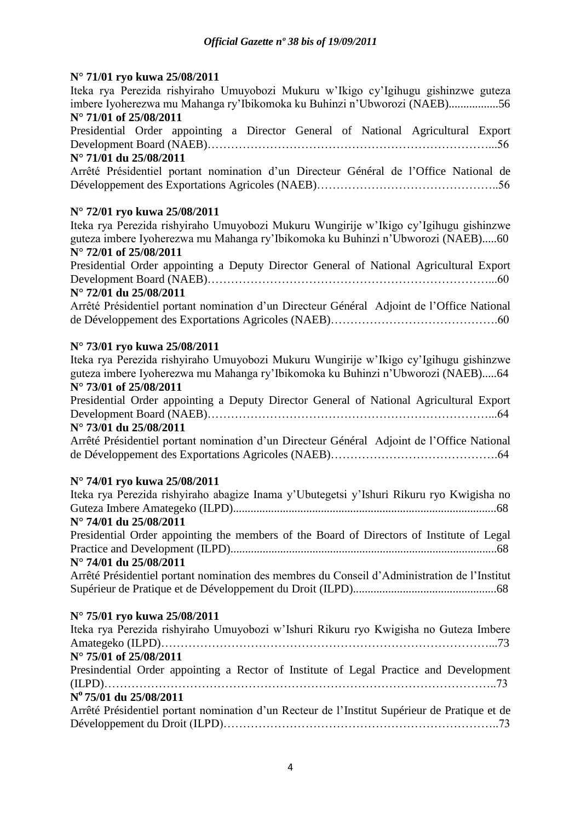# **N° 71/01 ryo kuwa 25/08/2011**

Iteka rya Perezida rishyiraho Umuyobozi Mukuru w'Ikigo cy'Igihugu gishinzwe guteza imbere Iyoherezwa mu Mahanga ry'Ibikomoka ku Buhinzi n'Ubworozi (NAEB).................56 **N° 71/01 of 25/08/2011**

Presidential Order appointing a Director General of National Agricultural Export Development Board (NAEB)………………………………………………………………...56

# **N° 71/01 du 25/08/2011**

Arrêté Présidentiel portant nomination d'un Directeur Général de l'Office National de Développement des Exportations Agricoles (NAEB)………………………………………..56

# **N° 72/01 ryo kuwa 25/08/2011**

Iteka rya Perezida rishyiraho Umuyobozi Mukuru Wungirije w'Ikigo cy'Igihugu gishinzwe guteza imbere Iyoherezwa mu Mahanga ry'Ibikomoka ku Buhinzi n'Ubworozi (NAEB).....60 **N° 72/01 of 25/08/2011**

Presidential Order appointing a Deputy Director General of National Agricultural Export Development Board (NAEB)………………………………………………………………...60

# **N° 72/01 du 25/08/2011**

Arrêté Présidentiel portant nomination d'un Directeur Général Adjoint de l'Office National de Développement des Exportations Agricoles (NAEB)…………………………………….60

# **N° 73/01 ryo kuwa 25/08/2011**

Iteka rya Perezida rishyiraho Umuyobozi Mukuru Wungirije w'Ikigo cy'Igihugu gishinzwe guteza imbere Iyoherezwa mu Mahanga ry'Ibikomoka ku Buhinzi n'Ubworozi (NAEB).....64 **N° 73/01 of 25/08/2011**

Presidential Order appointing a Deputy Director General of National Agricultural Export Development Board (NAEB)………………………………………………………………...64

## **N° 73/01 du 25/08/2011**

Arrêté Présidentiel portant nomination d'un Directeur Général Adjoint de l'Office National de Développement des Exportations Agricoles (NAEB)…………………………………….64

# **N° 74/01 ryo kuwa 25/08/2011**

| Iteka rya Perezida rishyiraho abagize Inama y'Ubutegetsi y'Ishuri Rikuru ryo Kwigisha no     |  |
|----------------------------------------------------------------------------------------------|--|
|                                                                                              |  |
| $N^{\circ}$ 74/01 du 25/08/2011                                                              |  |
| Presidential Order appointing the members of the Board of Directors of Institute of Legal    |  |
|                                                                                              |  |
| N° 74/01 du 25/08/2011                                                                       |  |
| Arrêté Présidentiel portant nomination des membres du Conseil d'Administration de l'Institut |  |
|                                                                                              |  |

## **N° 75/01 ryo kuwa 25/08/2011**

Iteka rya Perezida rishyiraho Umuyobozi w'Ishuri Rikuru ryo Kwigisha no Guteza Imbere Amategeko (ILPD)…………………………………………………………………………...73 **N° 75/01 of 25/08/2011** Presindential Order appointing a Rector of Institute of Legal Practice and Development (ILPD)………………………………………………………………………………………..73 **N <sup>o</sup>75/01 du 25/08/2011** Arrêté Présidentiel portant nomination d'un Recteur de l'Institut Supérieur de Pratique et de Développement du Droit (ILPD)……………………………………………………………..73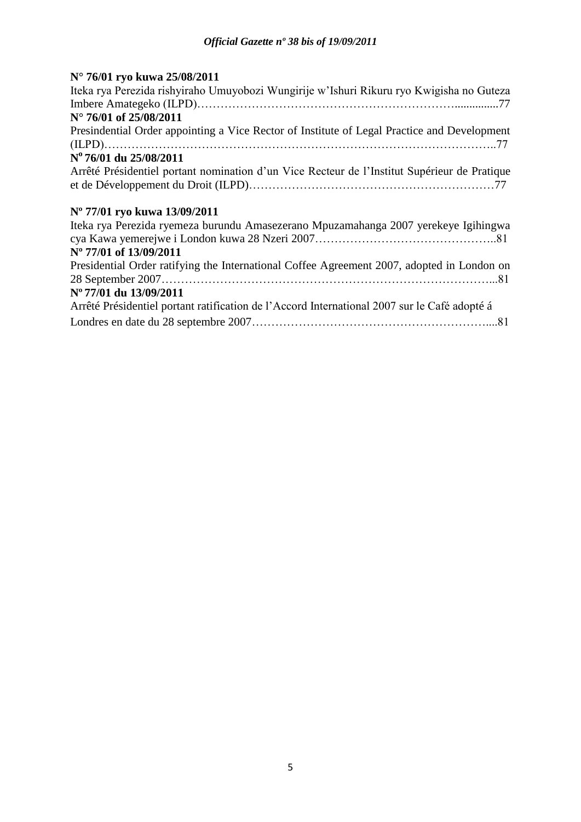# **N° 76/01 ryo kuwa 25/08/2011**

| Iteka rya Perezida rishyiraho Umuyobozi Wungirije w'Ishuri Rikuru ryo Kwigisha no Guteza     |
|----------------------------------------------------------------------------------------------|
|                                                                                              |
| $N^{\circ}$ 76/01 of 25/08/2011                                                              |
| Presindential Order appointing a Vice Rector of Institute of Legal Practice and Development  |
|                                                                                              |
| Nº 76/01 du 25/08/2011                                                                       |
| Arrêté Présidentiel portant nomination d'un Vice Recteur de l'Institut Supérieur de Pratique |
|                                                                                              |
| N° 77/01 ryo kuwa 13/09/2011                                                                 |
| Iteka rya Perezida ryemeza burundu Amasezerano Mpuzamahanga 2007 yerekeye Igihingwa          |
|                                                                                              |
| N° 77/01 of 13/09/2011                                                                       |
| Presidential Order ratifying the International Coffee Agreement 2007, adopted in London on   |
|                                                                                              |
| N° 77/01 du 13/09/2011                                                                       |
| Arrêté Présidentiel portant ratification de l'Accord International 2007 sur le Café adopté á |
|                                                                                              |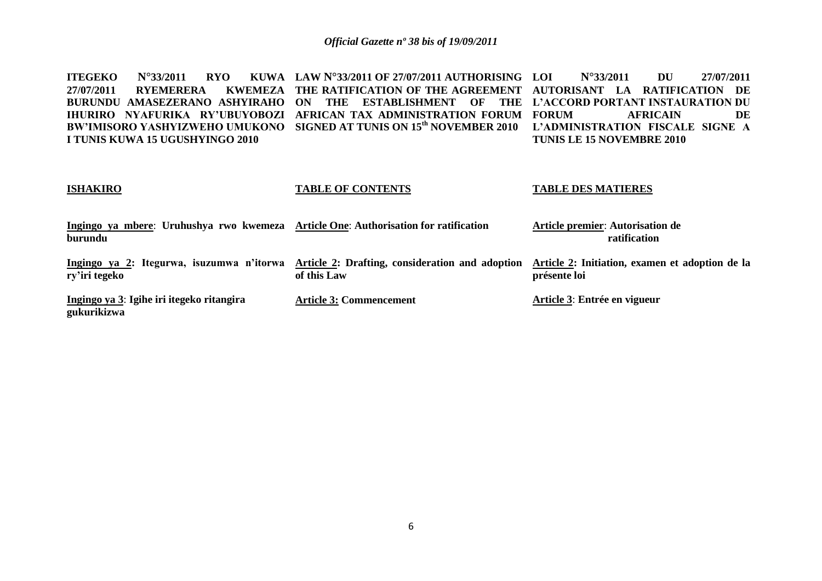**ITEGEKO N°33/2011 RYO 27/07/2011 RYEMERERA BURUNDU AMASEZERANO ASHYIRAHO ON THE ESTABLISHMENT OF THE L'ACCORD PORTANT INSTAURATION DU IHURIRO NYAFURIKA RY'UBUYOBOZI AFRICAN TAX ADMINISTRATION FORUM BW'IMISORO YASHYIZWEHO UMUKONO SIGNED AT TUNIS ON 15th NOVEMBER 2010 L'ADMINISTRATION FISCALE SIGNE A I TUNIS KUWA 15 UGUSHYINGO 2010 LAW N°33/2011 OF 27/07/2011 AUTHORISING THE RATIFICATION OF THE AGREEMENT AUTORISANT LA RATIFICATION DE LOI N°33/2011 DU 27/07/2011 FORUM AFRICAIN DE TUNIS LE 15 NOVEMBRE 2010**

### **ISHAKIRO**

#### **TABLE OF CONTENTS**

#### **TABLE DES MATIERES**

| Ingingo ya mbere: Uruhushya rwo kwemeza Article One: Authorisation for ratification<br>burundu |                                                                | <b>Article premier: Autorisation de</b><br>ratification         |
|------------------------------------------------------------------------------------------------|----------------------------------------------------------------|-----------------------------------------------------------------|
| Ingingo ya 2: Itegurwa, isuzumwa n'itorwa<br>ry'iri tegeko                                     | Article 2: Drafting, consideration and adoption<br>of this Law | Article 2: Initiation, examen et adoption de la<br>présente loi |
| Ingingo ya 3: Igihe iri itegeko ritangira<br>gukurikizwa                                       | <b>Article 3: Commencement</b>                                 | Article 3: Entrée en vigueur                                    |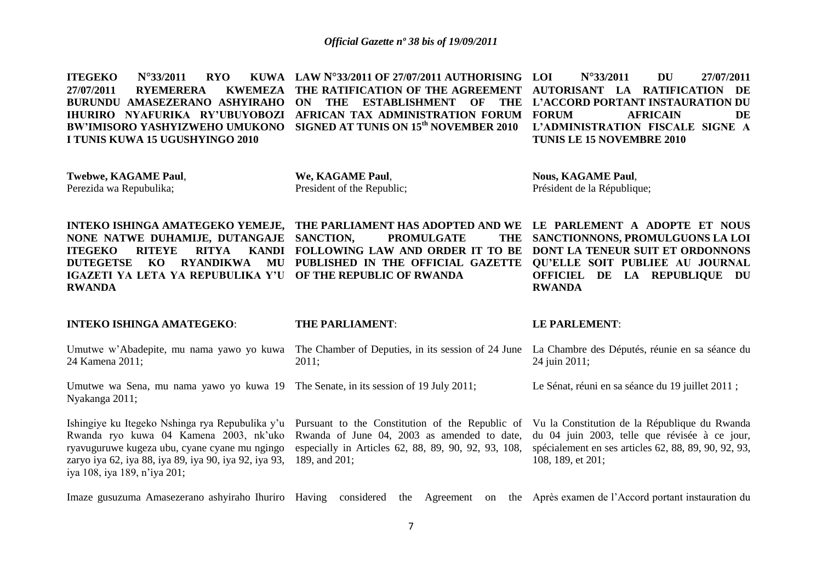**ITEGEKO N°33/2011 RYO 27/07/2011 RYEMERERA KWEMEZA BURUNDU AMASEZERANO ASHYIRAHO ON THE ESTABLISHMENT OF THE L'ACCORD PORTANT INSTAURATION DU IHURIRO NYAFURIKA RY'UBUYOBOZI AFRICAN TAX ADMINISTRATION FORUM BW'IMISORO YASHYIZWEHO UMUKONO SIGNED AT TUNIS ON 15th NOVEMBER 2010 L'ADMINISTRATION FISCALE SIGNE A I TUNIS KUWA 15 UGUSHYINGO 2010 LAW N°33/2011 OF 27/07/2011 AUTHORISING THE RATIFICATION OF THE AGREEMENT AUTORISANT LA RATIFICATION DE LOI N°33/2011 DU 27/07/2011 FORUM AFRICAIN DE TUNIS LE 15 NOVEMBRE 2010**

**Twebwe, KAGAME Paul**, Perezida wa Repubulika;

**We, KAGAME Paul**, President of the Republic;

**Nous, KAGAME Paul**, Président de la République;

**INTEKO ISHINGA AMATEGEKO YEMEJE, THE PARLIAMENT HAS ADOPTED AND WE LE PARLEMENT A ADOPTE ET NOUS NONE NATWE DUHAMIJE, DUTANGAJE ITEGEKO RITEYE RITYA DUTEGETSE KO RYANDIKWA MU PUBLISHED IN THE OFFICIAL GAZETTE QU'ELLE SOIT PUBLIEE AU JOURNAL IGAZETI YA LETA YA REPUBULIKA Y'U OF THE REPUBLIC OF RWANDA RWANDA PROMULGATE FOLLOWING LAW AND ORDER IT TO BE DONT LA TENEUR SUIT ET ORDONNONS**  THE SANCTIONNONS, PROMULGUONS LA LOI **OFFICIEL DE LA REPUBLIQUE DU RWANDA**

| <b>INTEKO ISHINGA AMATEGEKO:</b>                                                                                                       | <b>THE PARLIAMENT:</b>                                                                                                                                                                                                                                                                                      | <b>LE PARLEMENT:</b>                                                                                                          |
|----------------------------------------------------------------------------------------------------------------------------------------|-------------------------------------------------------------------------------------------------------------------------------------------------------------------------------------------------------------------------------------------------------------------------------------------------------------|-------------------------------------------------------------------------------------------------------------------------------|
| Umutwe w'Abadepite, mu nama yawo yo kuwa<br>24 Kamena 2011;                                                                            | The Chamber of Deputies, in its session of 24 June<br>2011:                                                                                                                                                                                                                                                 | La Chambre des Députés, réunie en sa séance du<br>24 juin 2011;                                                               |
| Umutwe wa Sena, mu nama yawo yo kuwa 19 The Senate, in its session of 19 July 2011;<br>Nyakanga 2011;                                  |                                                                                                                                                                                                                                                                                                             | Le Sénat, réuni en sa séance du 19 juillet 2011 ;                                                                             |
| ryavuguruwe kugeza ubu, cyane cyane mu ngingo<br>zaryo iya 62, iya 88, iya 89, iya 90, iya 92, iya 93,<br>iya 108, iya 189, n'iya 201; | Ishingiye ku Itegeko Nshinga rya Repubulika y'u Pursuant to the Constitution of the Republic of Vu la Constitution de la République du Rwanda<br>Rwanda ryo kuwa 04 Kamena 2003, nk'uko Rwanda of June 04, 2003 as amended to date,<br>especially in Articles 62, 88, 89, 90, 92, 93, 108,<br>189, and 201; | du 04 juin 2003, telle que révisée à ce jour,<br>spécialement en ses articles 62, 88, 89, 90, 92, 93,<br>108, 189, et $201$ ; |

Imaze gusuzuma Amasezerano ashyiraho Ihuriro Having considered the Agreement on the Après examen de l'Accord portant instauration du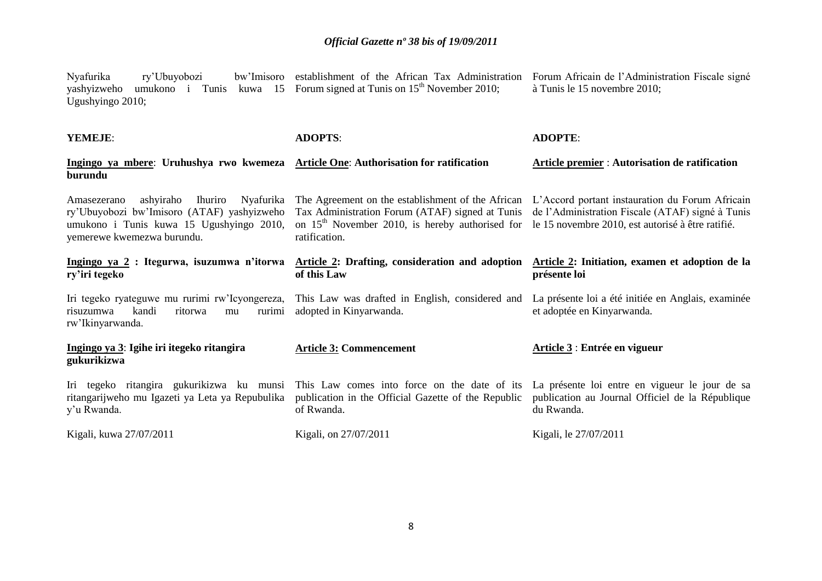| ry'Ubuyobozi<br>Nyafurika<br>yashyizweho<br>umukono i Tunis<br>Ugushyingo 2010;                                                                                          | bw'Imisoro establishment of the African Tax Administration<br>kuwa 15 Forum signed at Tunis on $15th$ November 2010;                                                       | Forum Africain de l'Administration Fiscale signé<br>à Tunis le 15 novembre 2010;                                                                         |
|--------------------------------------------------------------------------------------------------------------------------------------------------------------------------|----------------------------------------------------------------------------------------------------------------------------------------------------------------------------|----------------------------------------------------------------------------------------------------------------------------------------------------------|
| YEMEJE:                                                                                                                                                                  | <b>ADOPTS:</b>                                                                                                                                                             | <b>ADOPTE:</b>                                                                                                                                           |
| Ingingo ya mbere: Uruhushya rwo kwemeza<br>burundu                                                                                                                       | <b>Article One: Authorisation for ratification</b>                                                                                                                         | Article premier : Autorisation de ratification                                                                                                           |
| ashyiraho<br>Nyafurika<br>Ihuriro<br>Amasezerano<br>ry'Ubuyobozi bw'Imisoro (ATAF) yashyizweho<br>umukono i Tunis kuwa 15 Ugushyingo 2010,<br>yemerewe kwemezwa burundu. | The Agreement on the establishment of the African<br>Tax Administration Forum (ATAF) signed at Tunis<br>on $15th$ November 2010, is hereby authorised for<br>ratification. | L'Accord portant instauration du Forum Africain<br>de l'Administration Fiscale (ATAF) signé à Tunis<br>le 15 novembre 2010, est autorisé à être ratifié. |
| Ingingo ya 2 : Itegurwa, isuzumwa n'itorwa<br>ry'iri tegeko                                                                                                              | Article 2: Drafting, consideration and adoption<br>of this Law                                                                                                             | Article 2: Initiation, examen et adoption de la<br>présente loi                                                                                          |
| Iri tegeko ryateguwe mu rurimi rw'Icyongereza,<br>risuzumwa<br>kandi<br>ritorwa<br>rurimi<br>mu<br>rw'Ikinyarwanda.                                                      | This Law was drafted in English, considered and<br>adopted in Kinyarwanda.                                                                                                 | La présente loi a été initiée en Anglais, examinée<br>et adoptée en Kinyarwanda.                                                                         |
| Ingingo ya 3: Igihe iri itegeko ritangira<br>gukurikizwa                                                                                                                 | <b>Article 3: Commencement</b>                                                                                                                                             | Article 3 : Entrée en vigueur                                                                                                                            |
| Iri tegeko ritangira gukurikizwa ku munsi<br>ritangarijweho mu Igazeti ya Leta ya Repubulika<br>y'u Rwanda.                                                              | This Law comes into force on the date of its<br>publication in the Official Gazette of the Republic<br>of Rwanda.                                                          | La présente loi entre en vigueur le jour de sa<br>publication au Journal Officiel de la République<br>du Rwanda.                                         |
| Kigali, kuwa 27/07/2011                                                                                                                                                  | Kigali, on 27/07/2011                                                                                                                                                      | Kigali, le 27/07/2011                                                                                                                                    |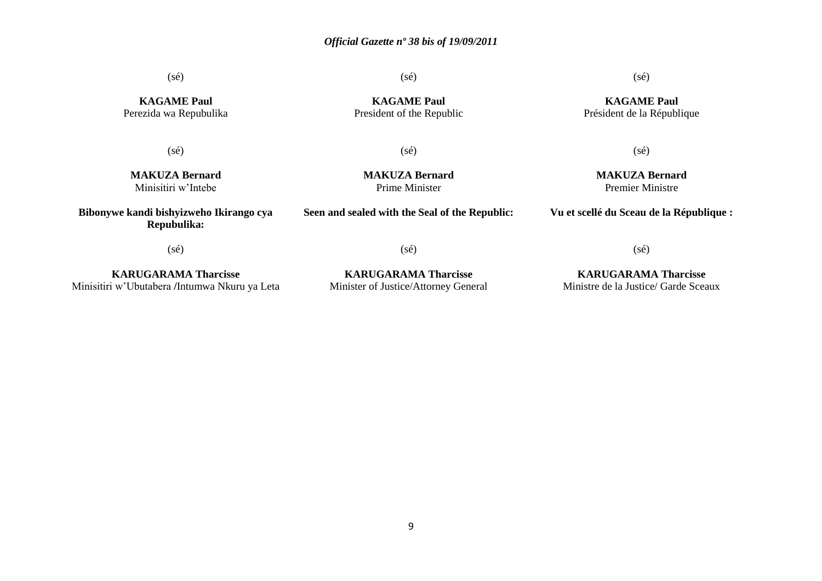(sé)

(sé)

**KAGAME Paul** Perezida wa Repubulika

(sé)

**KAGAME Paul** President of the Republic

(sé)

**MAKUZA Bernard** Premier Ministre

**MAKUZA Bernard** Minisitiri w'Intebe

**Bibonywe kandi bishyizweho Ikirango cya Repubulika:**

**MAKUZA Bernard** Prime Minister

(sé)

**Seen and sealed with the Seal of the Republic:**

(sé)

**Vu et scellé du Sceau de la République :**

(sé)

**KARUGARAMA Tharcisse** Minisitiri w'Ubutabera **/**Intumwa Nkuru ya Leta

**KARUGARAMA Tharcisse** Minister of Justice/Attorney General

(sé)

**KARUGARAMA Tharcisse** Ministre de la Justice/ Garde Sceaux

(sé)

**KAGAME Paul** Président de la République

9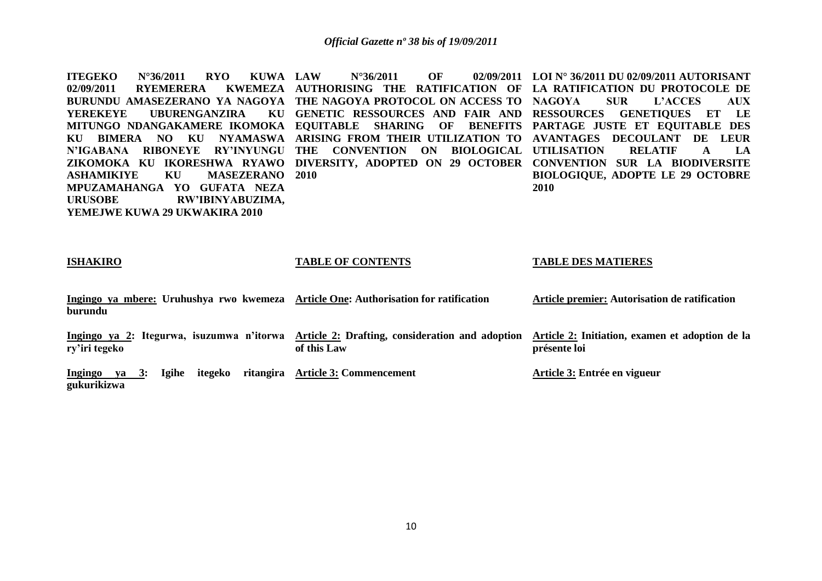**ITEGEKO** N°36/2011 **RYO KUWA LAW 02/09/2011 RYEMERERA BURUNDU AMASEZERANO YA NAGOYA THE NAGOYA PROTOCOL ON ACCESS TO NAGOYA SUR L'ACCES AUX YEREKEYE UBURENGANZIRA MITUNGO NDANGAKAMERE IKOMOKA EQUITABLE SHARING OF BENEFITS PARTAGE JUSTE ET EQUITABLE DES KU BIMERA NO KU NYAMASWA ARISING FROM THEIR UTILIZATION TO AVANTAGES DECOULANT DE LEUR N'IGABANA RIBONEYE RY'INYUNGU THE CONVENTION ON BIOLOGICAL UTILISATION RELATIF A LA ZIKOMOKA KU IKORESHWA RYAWO DIVERSITY, ADOPTED ON 29 OCTOBER CONVENTION SUR LA BIODIVERSITE ASHAMIKIYE KU MASEZERANO 2010 MPUZAMAHANGA YO GUFATA NEZA URUSOBE RW'IBINYABUZIMA, YEMEJWE KUWA 29 UKWAKIRA 2010.. LAU N°36/2011 OF AUTHORISING THE RATIFICATION OF LA RATIFICATION DU PROTOCOLE DE GENETIC RESSOURCES AND FAIR AND RESSOURCES GENETIQUES ET LE LOI N° 36/2011 DU 02/09/2011 AUTORISANT BIOLOGIQUE, ADOPTE LE 29 OCTOBRE 2010** 

#### **ISHAKIRO**

#### **TABLE OF CONTENTS**

#### **TABLE DES MATIERES**

| Ingingo ya mbere: Uruhushya rwo kwemeza Article One: Authorisation for ratification<br>burundu |                                                                | Article premier: Autorisation de ratification                   |
|------------------------------------------------------------------------------------------------|----------------------------------------------------------------|-----------------------------------------------------------------|
| Ingingo ya 2: Itegurwa, isuzumwa n'itorwa<br>ry'iri tegeko                                     | Article 2: Drafting, consideration and adoption<br>of this Law | Article 2: Initiation, examen et adoption de la<br>présente loi |
| ritangira<br>Igihe<br>itegeko<br>va 3:<br>Ingingo<br>gukurikizwa                               | <b>Article 3: Commencement</b>                                 | Article 3: Entrée en vigueur                                    |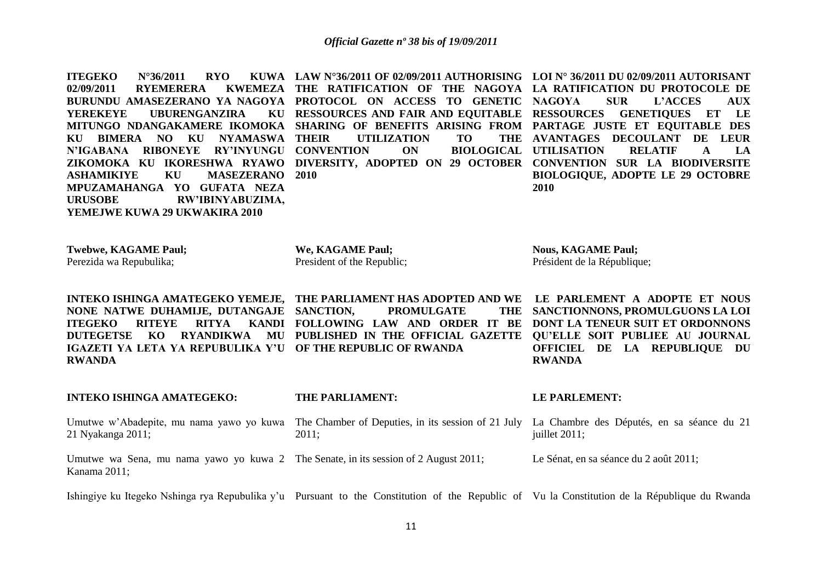**ITEGEKO N°36/2011 <b>RYO 02/09/2011 RYEMERERA KWEMEZA BURUNDU AMASEZERANO YA NAGOYA PROTOCOL ON ACCESS TO GENETIC NAGOYA SUR L'ACCES AUX YEREKEYE UBURENGANZIRA MITUNGO NDANGAKAMERE IKOMOKA SHARING OF BENEFITS ARISING FROM PARTAGE JUSTE ET EQUITABLE DES KU BIMERA NO KU NYAMASWA N'IGABANA RIBONEYE RY'INYUNGU CONVENTION ON BIOLOGICAL ZIKOMOKA KU IKORESHWA RYAWO DIVERSITY, ADOPTED ON 29 OCTOBER CONVENTION SUR LA BIODIVERSITE ASHAMIKIYE KU MASEZERANO 2010 MPUZAMAHANGA YO GUFATA NEZA URUSOBE RW'IBINYABUZIMA, YEMEJWE KUWA 29 UKWAKIRA 2010 LAW N°36/2011 OF 02/09/2011 AUTHORISING LOI N° 36/2011 DU 02/09/2011 AUTORISANT THE RATIFICATION OF THE NAGOYA LA RATIFICATION DU PROTOCOLE DE RESSOURCES AND FAIR AND EQUITABLE RESSOURCES GENETIQUES ET LE UTILIZATION TO AVANTAGES DECOULANT DE LEUR UTILISATION RELATIF A LA BIOLOGIQUE, ADOPTE LE 29 OCTOBRE 2010**

**Twebwe, KAGAME Paul;**  Perezida wa Repubulika;

**We, KAGAME Paul;** President of the Republic; **Nous, KAGAME Paul;** Président de la République;

**INTEKO ISHINGA AMATEGEKO YEMEJE, THE PARLIAMENT HAS ADOPTED AND WE LE PARLEMENT A ADOPTE ET NOUS NONE NATWE DUHAMIJE, DUTANGAJE ITEGEKO RITEYE RITYA DUTEGETSE KO RYANDIKWA MU PUBLISHED IN THE OFFICIAL GAZETTE QU'ELLE SOIT PUBLIEE AU JOURNAL IGAZETI YA LETA YA REPUBULIKA Y'U OF THE REPUBLIC OF RWANDA RWANDA PROMULGATE FOLLOWING LAW AND ORDER IT BE DONT LA TENEUR SUIT ET ORDONNONS**  THE SANCTIONNONS, PROMULGUONS LA LOI **OFFICIEL DE LA REPUBLIQUE DU RWANDA**

**INTEKO ISHINGA AMATEGEKO:**  Umutwe w'Abadepite, mu nama yawo yo kuwa 21 Nyakanga 2011; **THE PARLIAMENT:**  The Chamber of Deputies, in its session of 21 July La Chambre des Députés, en sa séance du 21 2011; **LE PARLEMENT:**  juillet 2011;

Umutwe wa Sena, mu nama yawo yo kuwa 2 The Senate, in its session of 2 August 2011; Kanama 2011; Le Sénat, en sa séance du 2 août 2011;

Ishingiye ku Itegeko Nshinga rya Repubulika y'u Pursuant to the Constitution of the Republic of Vu la Constitution de la République du Rwanda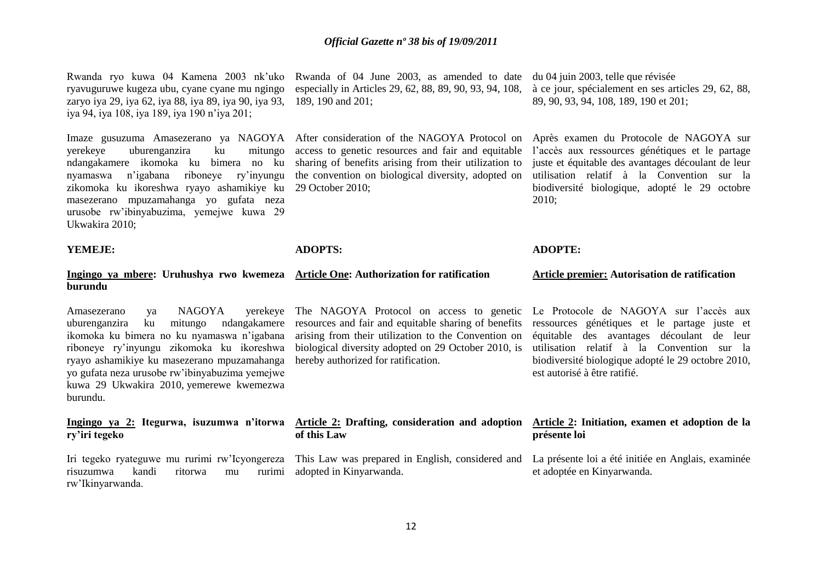Rwanda ryo kuwa 04 Kamena 2003 nk'uko Rwanda of 04 June 2003, as amended to date du 04 juin 2003, telle que révisée ryavuguruwe kugeza ubu, cyane cyane mu ngingo zaryo iya 29, iya 62, iya 88, iya 89, iya 90, iya 93, iya 94, iya 108, iya 189, iya 190 n'iya 201;

Imaze gusuzuma Amasezerano ya NAGOYA After consideration of the NAGOYA Protocol on yerekeye uburenganzira ku mitungo ndangakamere ikomoka ku bimera no ku nyamaswa n'igabana riboneye ry'inyungu zikomoka ku ikoreshwa ryayo ashamikiye ku masezerano mpuzamahanga yo gufata neza urusobe rw'ibinyabuzima, yemejwe kuwa 29 Ukwakira 2010;

especially in Articles 29, 62, 88, 89, 90, 93, 94, 108, 189, 190 and 201;

access to genetic resources and fair and equitable sharing of benefits arising from their utilization to the convention on biological diversity, adopted on 29 October 2010;

à ce jour, spécialement en ses articles 29, 62, 88, 89, 90, 93, 94, 108, 189, 190 et 201;

Après examen du Protocole de NAGOYA sur l'accès aux ressources génétiques et le partage juste et équitable des avantages découlant de leur utilisation relatif à la Convention sur la biodiversité biologique, adopté le 29 octobre 2010;

**ADOPTE:** 

et adoptée en Kinyarwanda.

#### **YEMEJE:**

#### **ADOPTS:**

#### **Ingingo ya mbere: Uruhushya rwo kwemeza Article One: Authorization for ratification burundu**  Amasezerano ya NAGOYA yerekeye uburenganzira ku mitungo ndangakamere ikomoka ku bimera no ku nyamaswa n'igabana riboneye ry'inyungu zikomoka ku ikoreshwa biological diversity adopted on 29 October 2010, is ryayo ashamikiye ku masezerano mpuzamahanga yo gufata neza urusobe rw'ibinyabuzima yemejwe kuwa 29 Ukwakira 2010, yemerewe kwemezwa burundu. **Ingingo ya 2: Itegurwa, isuzumwa n'itorwa Article 2: Drafting, consideration and adoption Article 2: Initiation, examen et adoption de la ry'iri tegeko** The NAGOYA Protocol on access to genetic Le Protocole de NAGOYA sur l'accès aux resources and fair and equitable sharing of benefits ressources génétiques et le partage juste et arising from their utilization to the Convention on hereby authorized for ratification. **of this Law**  This Law was prepared in English, considered and La présente loi a été initiée en Anglais, examinée **Article premier: Autorisation de ratification**  équitable des avantages découlant de leur utilisation relatif à la Convention sur la biodiversité biologique adopté le 29 octobre 2010, est autorisé à être ratifié. **présente loi**

Iri tegeko ryateguwe mu rurimi rw'Icyongereza risuzumwa kandi ritorwa mu rurimi rw'Ikinyarwanda. adopted in Kinyarwanda.

12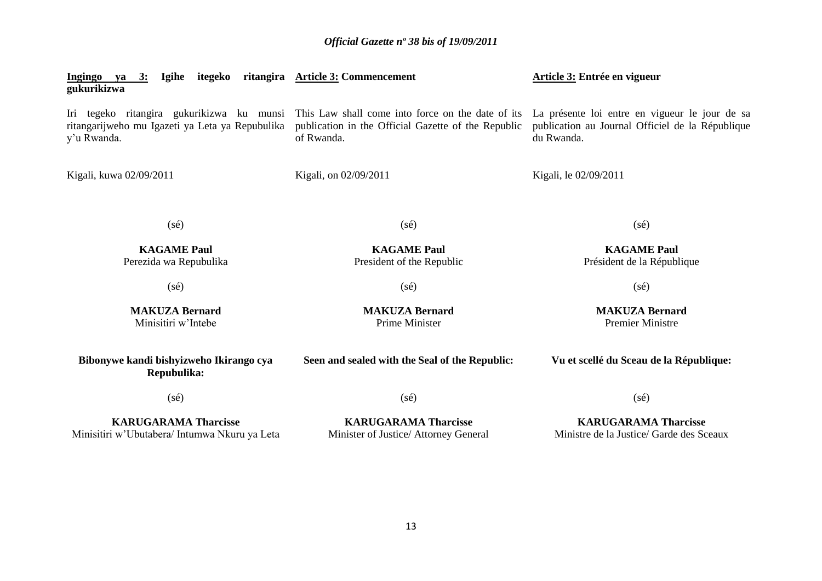| Igihe itegeko ritangira Article 3: Commencement<br>Ingingo ya 3:<br>gukurikizwa |                                                                                                                                                                  | Article 3: Entrée en vigueur                                                                                     |  |
|---------------------------------------------------------------------------------|------------------------------------------------------------------------------------------------------------------------------------------------------------------|------------------------------------------------------------------------------------------------------------------|--|
| ritangarijweho mu Igazeti ya Leta ya Repubulika<br>y'u Rwanda.                  | Iri tegeko ritangira gukurikizwa ku munsi This Law shall come into force on the date of its<br>publication in the Official Gazette of the Republic<br>of Rwanda. | La présente loi entre en vigueur le jour de sa<br>publication au Journal Officiel de la République<br>du Rwanda. |  |
| Kigali, kuwa 02/09/2011                                                         | Kigali, on 02/09/2011                                                                                                                                            | Kigali, le 02/09/2011                                                                                            |  |
| $(s\acute{e})$                                                                  | $(s\acute{e})$                                                                                                                                                   | $(s\acute{e})$                                                                                                   |  |
| <b>KAGAME Paul</b><br>Perezida wa Repubulika                                    | <b>KAGAME Paul</b><br>President of the Republic                                                                                                                  | <b>KAGAME Paul</b><br>Président de la République                                                                 |  |
| $(s\acute{e})$                                                                  | $(s\acute{e})$                                                                                                                                                   | $(s\acute{e})$                                                                                                   |  |
| <b>MAKUZA Bernard</b><br>Minisitiri w'Intebe                                    | <b>MAKUZA Bernard</b><br><b>Prime Minister</b>                                                                                                                   | <b>MAKUZA Bernard</b><br><b>Premier Ministre</b>                                                                 |  |
| Bibonywe kandi bishyizweho Ikirango cya<br>Repubulika:                          | Seen and sealed with the Seal of the Republic:                                                                                                                   | Vu et scellé du Sceau de la République:                                                                          |  |
| $(s\acute{e})$                                                                  | $(s\acute{e})$                                                                                                                                                   | $(s\acute{e})$                                                                                                   |  |
| <b>KARUGARAMA Tharcisse</b><br>Minisitiri w'Ubutabera/ Intumwa Nkuru ya Leta    | <b>KARUGARAMA Tharcisse</b><br>Minister of Justice/ Attorney General                                                                                             | <b>KARUGARAMA Tharcisse</b><br>Ministre de la Justice/ Garde des Sceaux                                          |  |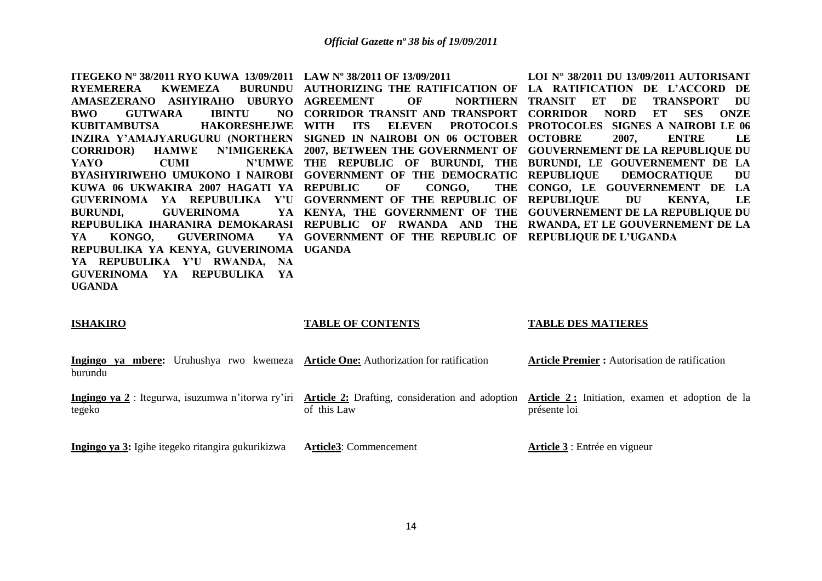**ITEGEKO N° 38/2011 RYO KUWA 13/09/2011 LAW Nº 38/2011 OF 13/09/2011 RYEMERERA KWEMEZA AMASEZERANO ASHYIRAHO UBURYO AGREEMENT OF NORTHERN BWO GUTWARA IBINTU KUBITAMBUTSA HAKORESHEJWE WITH ITS ELEVEN PROTOCOLS PROTOCOLES SIGNES A NAIROBI LE 06 INZIRA Y'AMAJYARUGURU (NORTHERN SIGNED IN NAIROBI ON 06 OCTOBER OCTOBRE 2007, ENTRE LE CORRIDOR) HAMWE N'IMIGEREKA 2007, BETWEEN THE GOVERNMENT OF GOUVERNEMENT DE LA REPUBLIQUE DU YAYO CUMI N'UMWE THE REPUBLIC OF BURUNDI, THE BURUNDI, LE GOUVERNEMENT DE LA BYASHYIRIWEHO UMUKONO I NAIROBI GOVERNMENT OF THE DEMOCRATIC KUWA 06 UKWAKIRA 2007 HAGATI YA REPUBLIC OF CONGO, THE GUVERINOMA YA REPUBULIKA Y'U GOVERNMENT OF THE REPUBLIC OF REPUBLIQUE DU KENYA, LE BURUNDI, GUVERINOMA REPUBULIKA IHARANIRA DEMOKARASI REPUBLIC OF RWANDA AND THE RWANDA, ET LE GOUVERNEMENT DE LA YA KONGO, GUVERINOMA YA REPUBULIKA YA KENYA, GUVERINOMA UGANDA YA REPUBULIKA Y'U RWANDA, NA GUVERINOMA YA REPUBULIKA YA UGANDA**  AUTHORIZING THE RATIFICATION OF LA RATIFICATION DE L'ACCORD DE **CORRIDOR TRANSIT AND TRANSPORT CORRIDOR NORD ET SES ONZE KENYA, THE GOVERNMENT OF THE GOUVERNEMENT DE LA REPUBLIQUE DU GOVERNMENT OF THE REPUBLIC OF REPUBLIQUE DE L'UGANDA LOI N° 38/2011 DU 13/09/2011 AUTORISANT TRANSIT ET DE TRANSPORT DU DEMOCRATIQUE DU CONGO, LE GOUVERNEMENT DE LA** 

#### **ISHAKIRO**

#### **TABLE OF CONTENTS**

#### **TABLE DES MATIERES**

|         |  |  | Ingingo ya mbere: Uruhushya rwo kwemeza Article One: Authorization for ratification | <b>Article Premier:</b> Autorisation de ratification |
|---------|--|--|-------------------------------------------------------------------------------------|------------------------------------------------------|
| burundu |  |  |                                                                                     |                                                      |

**Ingingo ya 2** : Itegurwa, isuzumwa n'itorwa ry'iri **Article 2:** Drafting, consideration and adoption **Article 2 :** Initiation, examen et adoption de la tegeko of this Law

présente loi

**Ingingo ya 3:** Igihe itegeko ritangira gukurikizwa **Article3**: Commencement

**Article 3** : Entrée en vigueur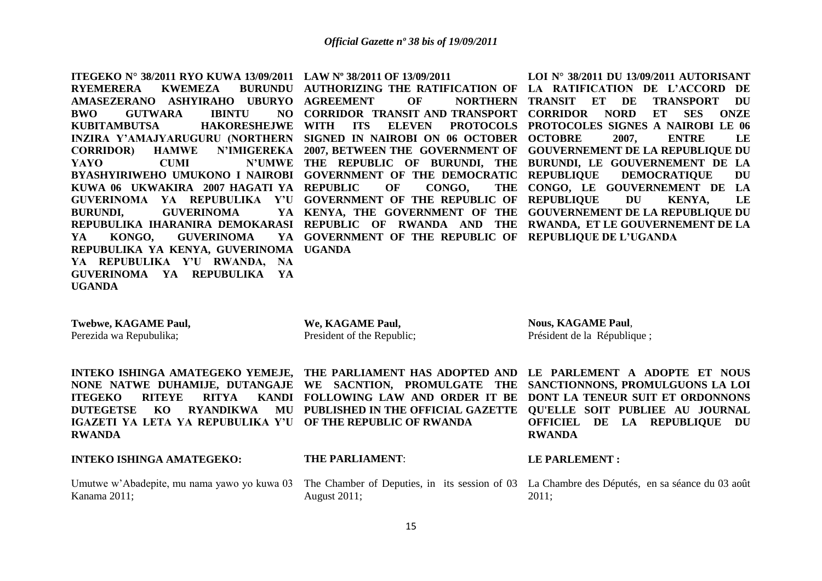**ITEGEKO N° 38/2011 RYO KUWA 13/09/2011 LAW Nº 38/2011 OF 13/09/2011 RYEMERERA KWEMEZA AMASEZERANO ASHYIRAHO UBURYO AGREEMENT OF NORTHERN BWO GUTWARA IBINTU KUBITAMBUTSA HAKORESHEJWE WITH ITS ELEVEN PROTOCOLS PROTOCOLES SIGNES A NAIROBI LE 06 INZIRA Y'AMAJYARUGURU (NORTHERN SIGNED IN NAIROBI ON 06 OCTOBER OCTOBRE 2007, ENTRE LE CORRIDOR) HAMWE N'IMIGEREKA 2007, BETWEEN THE GOVERNMENT OF GOUVERNEMENT DE LA REPUBLIQUE DU YAYO CUMI N'UMWE THE REPUBLIC OF BURUNDI, THE BURUNDI, LE GOUVERNEMENT DE LA BYASHYIRIWEHO UMUKONO I NAIROBI GOVERNMENT OF THE DEMOCRATIC KUWA 06 UKWAKIRA 2007 HAGATI YA REPUBLIC OF CONGO, THE GUVERINOMA YA REPUBULIKA Y'U GOVERNMENT OF THE REPUBLIC OF REPUBLIQUE DU KENYA, LE BURUNDI, GUVERINOMA REPUBULIKA IHARANIRA DEMOKARASI REPUBLIC OF RWANDA AND THE RWANDA, ET LE GOUVERNEMENT DE LA YA KONGO, GUVERINOMA YA REPUBULIKA YA KENYA, GUVERINOMA UGANDA YA REPUBULIKA Y'U RWANDA, NA GUVERINOMA YA REPUBULIKA YA UGANDA** 

**GOVERNMENT OF THE REPUBLIC OF REPUBLIQUE DE L'UGANDA**

AUTHORIZING THE RATIFICATION OF LA RATIFICATION DE L'ACCORD DE **CORRIDOR TRANSIT AND TRANSPORT CORRIDOR NORD ET SES ONZE KENYA, THE GOVERNMENT OF THE GOUVERNEMENT DE LA REPUBLIQUE DU LOI N° 38/2011 DU 13/09/2011 AUTORISANT TRANSIT ET DE TRANSPORT DU DEMOCRATIQUE DU CONGO, LE GOUVERNEMENT DE LA** 

**Twebwe, KAGAME Paul,**

Perezida wa Repubulika;

**We, KAGAME Paul,**  President of the Republic;

**Nous, KAGAME Paul**, Président de la République ;

**ITEGEKO RITEYE RITYA IGAZETI YA LETA YA REPUBULIKA Y'U OF THE REPUBLIC OF RWANDA RWANDA**

**INTEKO ISHINGA AMATEGEKO YEMEJE, THE PARLIAMENT HAS ADOPTED AND LE PARLEMENT A ADOPTE ET NOUS NONE NATWE DUHAMIJE, DUTANGAJE WE SACNTION, PROMULGATE THE SANCTIONNONS, PROMULGUONS LA LOI DUTEGETSE KO RYANDIKWA MU PUBLISHED IN THE OFFICIAL GAZETTE QU'ELLE SOIT PUBLIEE AU JOURNAL FOLLOWING LAW AND ORDER IT BE DONT LA TENEUR SUIT ET ORDONNONS OFFICIEL DE LA REPUBLIQUE DU RWANDA**

**INTEKO ISHINGA AMATEGEKO:**

Kanama 2011;

## **THE PARLIAMENT**:

August 2011;

## **LE PARLEMENT :**

Umutwe w'Abadepite, mu nama yawo yo kuwa 03 The Chamber of Deputies, in its session of 03 La Chambre des Députés, en sa séance du 03 août 2011;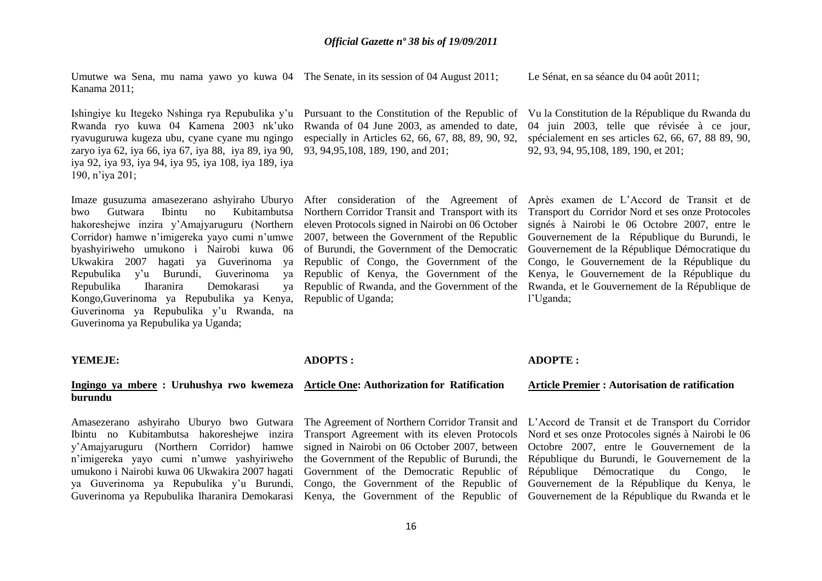Umutwe wa Sena, mu nama yawo yo kuwa 04 The Senate, in its session of 04 August 2011; Kanama 2011;

Le Sénat, en sa séance du 04 août 2011;

Rwanda ryo kuwa 04 Kamena 2003 nk'uko ryavuguruwa kugeza ubu, cyane cyane mu ngingo zaryo iya 62, iya 66, iya 67, iya 88, iya 89, iya 90, iya 92, iya 93, iya 94, iya 95, iya 108, iya 189, iya 190, n'iya 201;

bwo Gutwara Ibintu no Kubitambutsa Northern Corridor Transit and Transport with its hakoreshejwe inzira y'Amajyaruguru (Northern eleven Protocols signed in Nairobi on 06 October Corridor) hamwe n'imigereka yayo cumi n'umwe 2007, between the Government of the Republic byashyiriweho umukono i Nairobi kuwa 06 Ukwakira 2007 hagati ya Guverinoma ya Repubulika y'u Burundi, Guverinoma ya Repubulika Iharanira Demokarasi Kongo,Guverinoma ya Repubulika ya Kenya, Guverinoma ya Repubulika y'u Rwanda, na Guverinoma ya Repubulika ya Uganda;

# Rwanda of 04 June 2003, as amended to date, especially in Articles 62, 66, 67, 88, 89, 90, 92, 93, 94,95,108, 189, 190, and 201;

Imaze gusuzuma amasezerano ashyiraho Uburyo After consideration of the Agreement of of Burundi, the Government of the Democratic Republic of Congo, the Government of the Republic of Kenya, the Government of the Republic of Uganda;

Ishingiye ku Itegeko Nshinga rya Repubulika y'u Pursuant to the Constitution of the Republic of Vu la Constitution de la République du Rwanda du 04 juin 2003, telle que révisée à ce jour, spécialement en ses articles 62, 66, 67, 88 89, 90, 92, 93, 94, 95,108, 189, 190, et 201;

> Republic of Rwanda, and the Government of the Rwanda, et le Gouvernement de la République de Après examen de L'Accord de Transit et de Transport du Corridor Nord et ses onze Protocoles signés à Nairobi le 06 Octobre 2007, entre le Gouvernement de la République du Burundi, le Gouvernement de la République Démocratique du Congo, le Gouvernement de la République du Kenya, le Gouvernement de la République du l'Uganda;

## **YEMEJE:**

# **burundu**

Amasezerano ashyiraho Uburyo bwo Gutwara Ibintu no Kubitambutsa hakoreshejwe inzira y'Amajyaruguru (Northern Corridor) hamwe n'imigereka yayo cumi n'umwe yashyiriweho umukono i Nairobi kuwa 06 Ukwakira 2007 hagati ya Guverinoma ya Repubulika y'u Burundi, Guverinoma ya Repubulika Iharanira Demokarasi Kenya, the Government of the Republic of Gouvernement de la République du Rwanda et le

## **ADOPTS :**

### **Ingingo ya mbere : Uruhushya rwo kwemeza Article One: Authorization for Ratification**

Transport Agreement with its eleven Protocols signed in Nairobi on 06 October 2007, between the Government of the Republic of Burundi, the Government of the Democratic Republic of

## **ADOPTE :**

#### **Article Premier : Autorisation de ratification**

The Agreement of Northern Corridor Transit and L'Accord de Transit et de Transport du Corridor Congo, the Government of the Republic of Gouvernement de la République du Kenya, le Nord et ses onze Protocoles signés à Nairobi le 06 Octobre 2007, entre le Gouvernement de la République du Burundi, le Gouvernement de la République Démocratique du Congo, le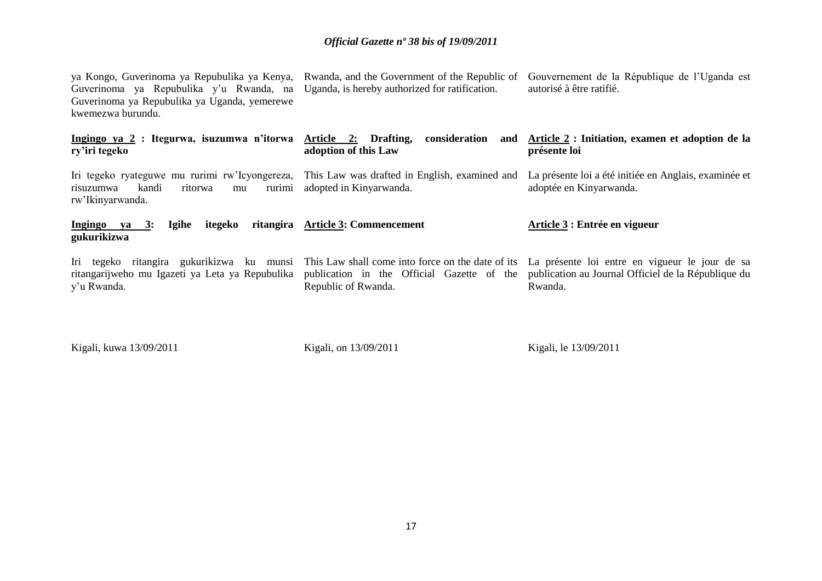| ya Kongo, Guverinoma ya Repubulika ya Kenya, Rwanda, and the Government of the Republic of<br>Guverinoma ya Repubulika y'u Rwanda, na<br>Guverinoma ya Repubulika ya Uganda, yemerewe<br>kwemezwa burundu. | Uganda, is hereby authorized for ratification.                                                                         | Gouvernement de la République de l'Uganda est<br>autorisé à être ratifié.                                        |
|------------------------------------------------------------------------------------------------------------------------------------------------------------------------------------------------------------|------------------------------------------------------------------------------------------------------------------------|------------------------------------------------------------------------------------------------------------------|
| Ingingo ya 2 : Itegurwa, isuzumwa n'itorwa Article 2: Drafting,<br>ry'iri tegeko                                                                                                                           | consideration<br>adoption of this Law                                                                                  | and Article 2: Initiation, examen et adoption de la<br>présente loi                                              |
| Iri tegeko ryateguwe mu rurimi rw'Icyongereza, This Law was drafted in English, examined and<br>kandi<br>rurimi<br>risuzumwa<br>ritorwa<br>mu<br>rw'Ikinyarwanda.                                          | adopted in Kinyarwanda.                                                                                                | La présente loi a été initiée en Anglais, examinée et<br>adoptée en Kinyarwanda.                                 |
| itegeko<br>Igihe<br>Ingingo ya 3:<br>gukurikizwa                                                                                                                                                           | ritangira Article 3: Commencement                                                                                      | Article 3 : Entrée en vigueur                                                                                    |
| Iri tegeko ritangira gukurikizwa ku munsi<br>ritangarijweho mu Igazeti ya Leta ya Repubulika<br>y'u Rwanda.                                                                                                | This Law shall come into force on the date of its<br>publication in the Official Gazette of the<br>Republic of Rwanda. | La présente loi entre en vigueur le jour de sa<br>publication au Journal Officiel de la République du<br>Rwanda. |

Kigali, kuwa 13/09/2011

Kigali, on 13/09/2011

Kigali, le 13/09/2011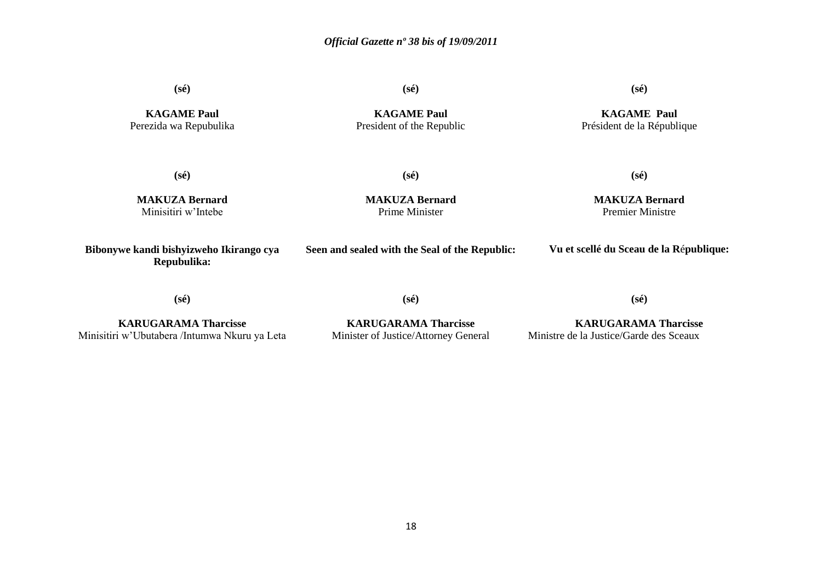**(sé)**

**KAGAME Paul** Perezida wa Repubulika **(sé)**

**(sé)**

**KAGAME Paul** President of the Republic

**KAGAME Paul** Président de la République

**(sé)**

**(sé)**

**(sé)**

**MAKUZA Bernard** Minisitiri w'Intebe

**MAKUZA Bernard** Prime Minister

**MAKUZA Bernard** Premier Ministre

**Bibonywe kandi bishyizweho Ikirango cya Repubulika: Seen and sealed with the Seal of the Republic: Vu et scellé du Sceau de la R**é**publique:**

**(sé)**

**(sé)**

**(sé)**

**KARUGARAMA Tharcisse** Minisitiri w'Ubutabera /Intumwa Nkuru ya Leta

**KARUGARAMA Tharcisse** Minister of Justice/Attorney General

**KARUGARAMA Tharcisse** Ministre de la Justice/Garde des Sceaux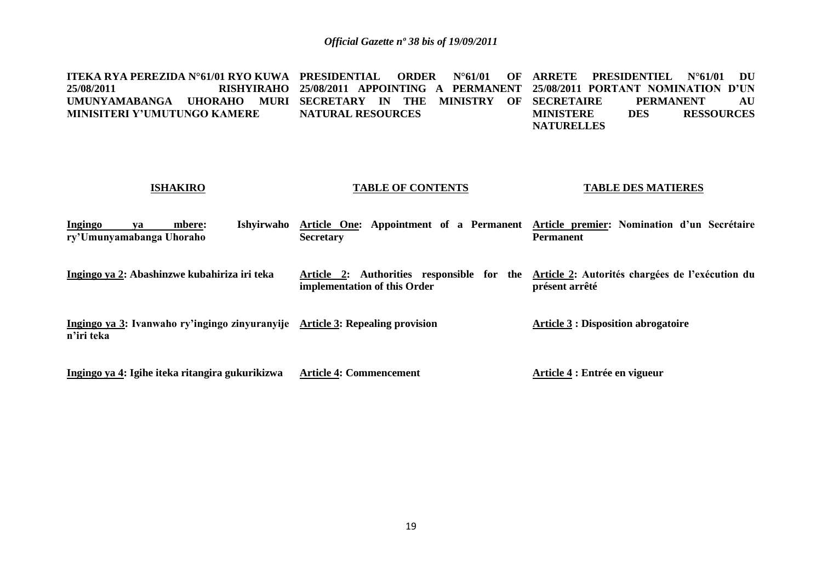**ITEKA RYA PEREZIDA N°61/01 RYO KUWA PRESIDENTIAL ORDER N°61/01 OF ARRETE PRESIDENTIEL N°61/01 DU 25/08/2011 RISHYIRAHO 25/08/2011 APPOINTING A PERMANENT 25/08/2011 PORTANT NOMINATION D'UN UMUNYAMABANGA UHORAHO MURI SECRETARY IN THE MINISTRY OF MINISITERI Y'UMUTUNGO KAMERE NATURAL RESOURCES SECRETAIRE PERMANENT AU MINISTERE DES RESSOURCES MINISTERE DES RESSOURCES NATURELLES**

## **ISHAKIRO**

### **TABLE OF CONTENTS**

### **TABLE DES MATIERES**

| Ingingo<br>va<br>ry'Umunyamabanga Uhoraho | Ishvirwaho<br>mbere:                            | <b>Secretary</b>                                                              | Article One: Appointment of a Permanent Article premier: Nomination d'un Secrétaire<br><b>Permanent</b> |
|-------------------------------------------|-------------------------------------------------|-------------------------------------------------------------------------------|---------------------------------------------------------------------------------------------------------|
|                                           | Ingingo ya 2: Abashinzwe kubahiriza iri teka    | Article 2: Authorities responsible for the<br>implementation of this Order    | Article 2: Autorités chargées de l'exécution du<br>présent arrêté                                       |
| n'iri teka                                |                                                 | Ingingo ya 3: Ivanwaho ry'ingingo zinyuranyije Article 3: Repealing provision | <b>Article 3 : Disposition abrogatoire</b>                                                              |
|                                           | Ingingo ya 4: Igihe iteka ritangira gukurikizwa | <b>Article 4: Commencement</b>                                                | Article 4 : Entrée en vigueur                                                                           |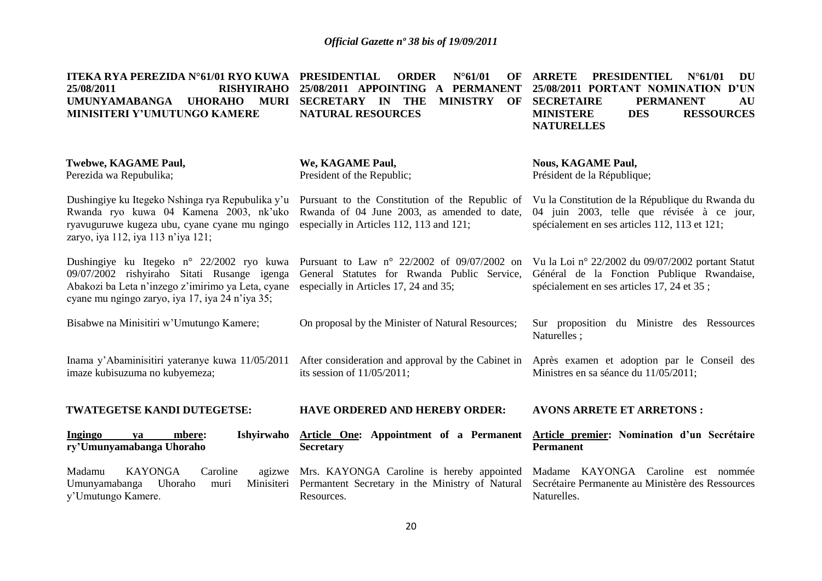| ITEKA RYA PEREZIDA N°61/01 RYO KUWA<br>25/08/2011<br><b>RISHYIRAHO</b><br><b>UMUNYAMABANGA</b><br><b>UHORAHO</b><br><b>MURI</b><br>MINISITERI Y'UMUTUNGO KAMERE                                  | PRESIDENTIAL<br>$N^{\circ}61/01$<br><b>ORDER</b><br>OF<br>25/08/2011 APPOINTING<br><b>PERMANENT</b><br>$\mathbf{A}$<br>SECRETARY IN THE<br><b>MINISTRY</b><br>OF<br><b>NATURAL RESOURCES</b> | <b>ARRETE</b><br><b>PRESIDENTIEL</b><br>$N^{\circ}61/01$<br>DU<br>25/08/2011 PORTANT NOMINATION D'UN<br><b>SECRETAIRE</b><br><b>PERMANENT</b><br>AU<br><b>RESSOURCES</b><br><b>MINISTERE</b><br><b>DES</b><br><b>NATURELLES</b> |  |  |
|--------------------------------------------------------------------------------------------------------------------------------------------------------------------------------------------------|----------------------------------------------------------------------------------------------------------------------------------------------------------------------------------------------|---------------------------------------------------------------------------------------------------------------------------------------------------------------------------------------------------------------------------------|--|--|
| Twebwe, KAGAME Paul,<br>Perezida wa Repubulika;                                                                                                                                                  | We, KAGAME Paul,<br>President of the Republic;                                                                                                                                               | <b>Nous, KAGAME Paul,</b><br>Président de la République;                                                                                                                                                                        |  |  |
| Dushingiye ku Itegeko Nshinga rya Repubulika y'u<br>Rwanda ryo kuwa 04 Kamena 2003, nk'uko<br>ryavuguruwe kugeza ubu, cyane cyane mu ngingo<br>zaryo, iya 112, iya 113 n'iya 121;                | Pursuant to the Constitution of the Republic of<br>Rwanda of 04 June 2003, as amended to date,<br>especially in Articles 112, 113 and 121;                                                   | Vu la Constitution de la République du Rwanda du<br>04 juin 2003, telle que révisée à ce jour,<br>spécialement en ses articles 112, 113 et 121;                                                                                 |  |  |
| Dushingiye ku Itegeko n° 22/2002 ryo kuwa<br>09/07/2002 rishyiraho Sitati Rusange igenga<br>Abakozi ba Leta n'inzego z'imirimo ya Leta, cyane<br>cyane mu ngingo zaryo, iya 17, iya 24 n'iya 35; | Pursuant to Law $n^{\circ}$ 22/2002 of 09/07/2002 on<br>General Statutes for Rwanda Public Service,<br>especially in Articles 17, 24 and 35;                                                 | Vu la Loi nº 22/2002 du 09/07/2002 portant Statut<br>Général de la Fonction Publique Rwandaise,<br>spécialement en ses articles 17, 24 et 35;                                                                                   |  |  |
| Bisabwe na Minisitiri w'Umutungo Kamere;                                                                                                                                                         | On proposal by the Minister of Natural Resources;                                                                                                                                            | Sur proposition du Ministre des Ressources<br>Naturelles;                                                                                                                                                                       |  |  |
| Inama y'Abaminisitiri yateranye kuwa 11/05/2011<br>imaze kubisuzuma no kubyemeza;                                                                                                                | After consideration and approval by the Cabinet in<br>its session of $11/05/2011$ ;                                                                                                          | Après examen et adoption par le Conseil des<br>Ministres en sa séance du 11/05/2011;                                                                                                                                            |  |  |
| TWATEGETSE KANDI DUTEGETSE:                                                                                                                                                                      | <b>HAVE ORDERED AND HEREBY ORDER:</b>                                                                                                                                                        | <b>AVONS ARRETE ET ARRETONS:</b>                                                                                                                                                                                                |  |  |
| Ishyirwaho<br>Ingingo<br>mbere:<br>va<br>ry'Umunyamabanga Uhoraho                                                                                                                                | Article One: Appointment of a Permanent<br><b>Secretary</b>                                                                                                                                  | Article premier: Nomination d'un Secrétaire<br><b>Permanent</b>                                                                                                                                                                 |  |  |
| Madamu<br><b>KAYONGA</b><br>Caroline<br>Uhoraho<br>Umunyamabanga<br>muri<br>y'Umutungo Kamere.                                                                                                   | agizwe Mrs. KAYONGA Caroline is hereby appointed<br>Minisiteri Permantent Secretary in the Ministry of Natural<br>Resources.                                                                 | Madame KAYONGA Caroline est nommée<br>Secrétaire Permanente au Ministère des Ressources<br>Naturelles.                                                                                                                          |  |  |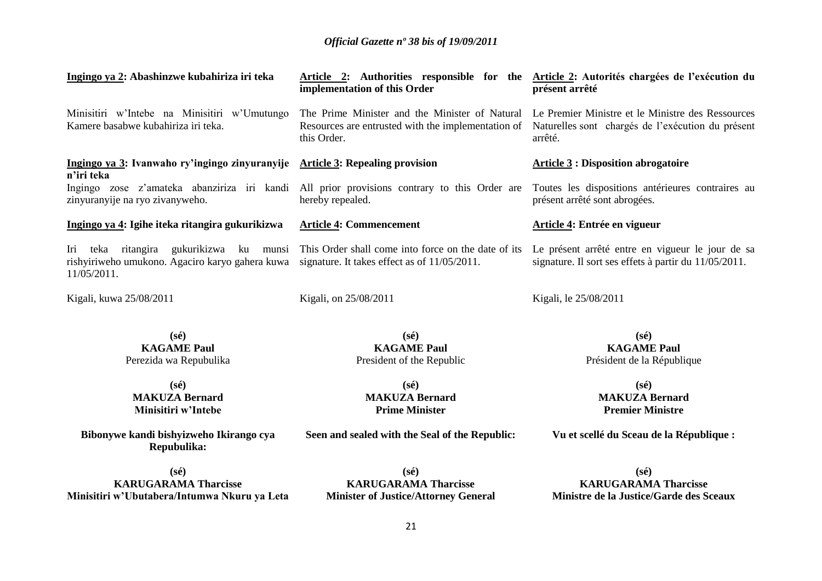| Ingingo ya 2: Abashinzwe kubahiriza iri teka                                                                       | Article 2: Authorities responsible for the Article 2: Autorités chargées de l'exécution du<br>implementation of this Order                                            | présent arrêté                                                                                            |
|--------------------------------------------------------------------------------------------------------------------|-----------------------------------------------------------------------------------------------------------------------------------------------------------------------|-----------------------------------------------------------------------------------------------------------|
| Minisitiri w'Intebe na Minisitiri w'Umutungo<br>Kamere basabwe kubahiriza iri teka.                                | The Prime Minister and the Minister of Natural Le Premier Ministre et le Ministre des Ressources<br>Resources are entrusted with the implementation of<br>this Order. | Naturelles sont chargés de l'exécution du présent<br>arrêté.                                              |
| Ingingo ya 3: Ivanwaho ry'ingingo zinyuranyije Article 3: Repealing provision<br>n'iri teka                        |                                                                                                                                                                       | <b>Article 3: Disposition abrogatoire</b>                                                                 |
| Ingingo zose z'amateka abanziriza iri kandi<br>zinyuranyije na ryo zivanyweho.                                     | All prior provisions contrary to this Order are<br>hereby repealed.                                                                                                   | Toutes les dispositions antérieures contraires au<br>présent arrêté sont abrogées.                        |
| Ingingo ya 4: Igihe iteka ritangira gukurikizwa                                                                    | <b>Article 4: Commencement</b>                                                                                                                                        | Article 4: Entrée en vigueur                                                                              |
| Iri<br>rishyiriweho umukono. Agaciro karyo gahera kuwa signature. It takes effect as of 11/05/2011.<br>11/05/2011. | teka ritangira gukurikizwa ku munsi This Order shall come into force on the date of its                                                                               | Le présent arrêté entre en vigueur le jour de sa<br>signature. Il sort ses effets à partir du 11/05/2011. |
| Kigali, kuwa 25/08/2011                                                                                            | Kigali, on 25/08/2011                                                                                                                                                 | Kigali, le 25/08/2011                                                                                     |
| $(s\acute{e})$<br><b>KAGAME Paul</b><br>Perezida wa Repubulika                                                     | $(s\acute{e})$<br><b>KAGAME Paul</b><br>President of the Republic                                                                                                     | $(s\acute{e})$<br><b>KAGAME Paul</b><br>Président de la République                                        |
| $(s\acute{e})$<br><b>MAKUZA Bernard</b><br>Minisitiri w'Intebe                                                     | $(s\acute{e})$<br><b>MAKUZA Bernard</b><br><b>Prime Minister</b>                                                                                                      | $(s\acute{e})$<br><b>MAKUZA Bernard</b><br><b>Premier Ministre</b>                                        |
| Bibonywe kandi bishyizweho Ikirango cya<br>Repubulika:                                                             | Seen and sealed with the Seal of the Republic:                                                                                                                        | Vu et scellé du Sceau de la République :                                                                  |
| $(s\acute{e})$                                                                                                     | $(s\acute{e})$                                                                                                                                                        | $(s\acute{e})$                                                                                            |
| <b>KARUGARAMA Tharcisse</b><br>Minisitiri w'Ubutabera/Intumwa Nkuru ya Leta                                        | <b>KARUGARAMA Tharcisse</b><br><b>Minister of Justice/Attorney General</b>                                                                                            | <b>KARUGARAMA Tharcisse</b><br>Ministre de la Justice/Garde des Sceaux                                    |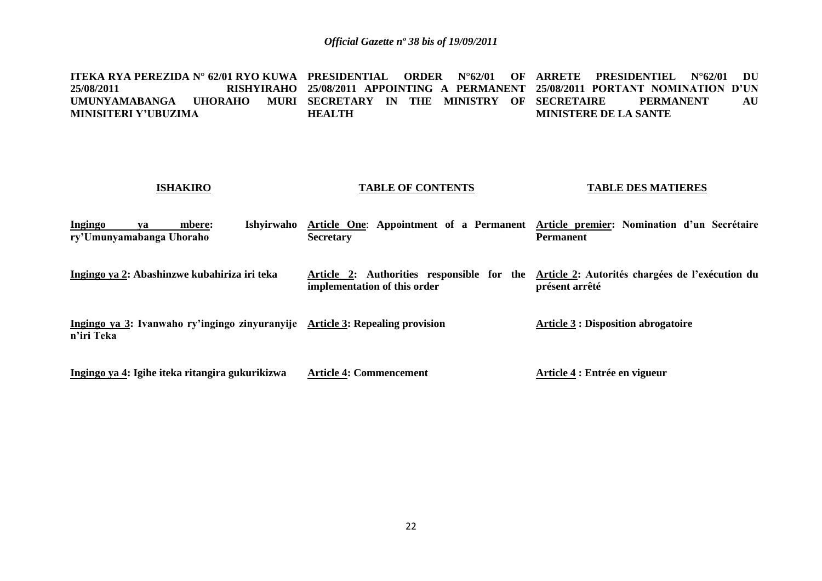**ITEKA RYA PEREZIDA N° 62/01 RYO KUWA PRESIDENTIAL ORDER N°62/01 OF ARRETE PRESIDENTIEL N°62/01 DU 25/08/2011 RISHYIRAHO 25/08/2011 APPOINTING A PERMANENT 25/08/2011 PORTANT NOMINATION D'UN UMUNYAMABANGA UHORAHO MURI SECRETARY IN THE MINISTRY OF MINISITERI Y'UBUZIMA HEALTH PERMANENT AU MINISTERE DE LA SANTE**

| <b>ISHAKIRO</b>                                                                             | <b>TABLE OF CONTENTS</b>                                                   | <b>TABLE DES MATIERES</b>                                                                               |
|---------------------------------------------------------------------------------------------|----------------------------------------------------------------------------|---------------------------------------------------------------------------------------------------------|
| Ingingo<br>Ishyirwaho<br>mbere:<br>va<br>ry'Umunyamabanga Uhoraho                           | <b>Secretary</b>                                                           | Article One: Appointment of a Permanent Article premier: Nomination d'un Secrétaire<br><b>Permanent</b> |
| Ingingo ya 2: Abashinzwe kubahiriza iri teka                                                | Article 2: Authorities responsible for the<br>implementation of this order | Article 2: Autorités chargées de l'exécution du<br>présent arrêté                                       |
| Ingingo ya 3: Ivanwaho ry'ingingo zinyuranyije Article 3: Repealing provision<br>n'iri Teka |                                                                            | <b>Article 3 : Disposition abrogatoire</b>                                                              |
| Ingingo ya 4: Igihe iteka ritangira gukurikizwa                                             | <b>Article 4: Commencement</b>                                             | Article 4 : Entrée en vigueur                                                                           |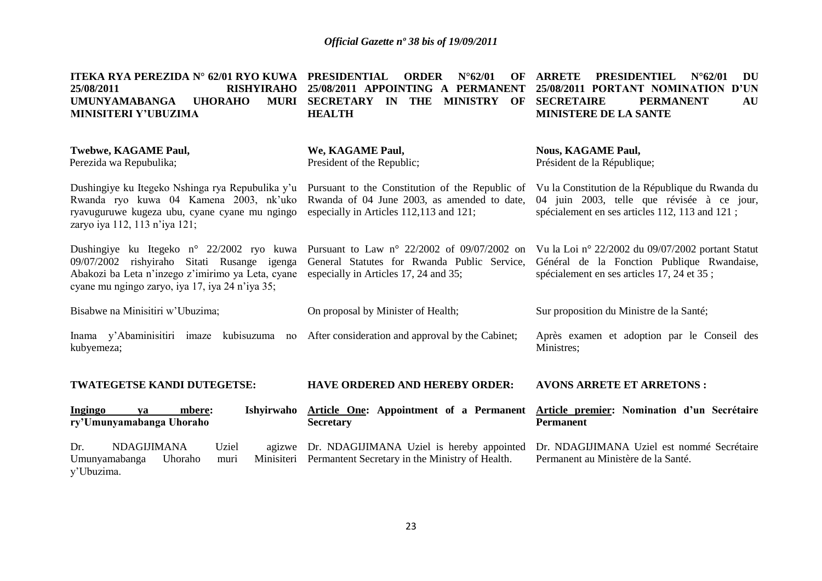| ITEKA RYA PEREZIDA N° 62/01 RYO KUWA<br>25/08/2011<br><b>RISHYIRAHO</b><br><b>UMUNYAMABANGA</b><br><b>MURI</b><br><b>UHORAHO</b><br>MINISITERI Y'UBUZIMA                                         | <b>PRESIDENTIAL</b><br>$N^{\circ}62/01$<br><b>ORDER</b><br>OF<br>25/08/2011 APPOINTING A PERMANENT<br>SECRETARY IN THE<br><b>MINISTRY</b><br>OF<br><b>HEALTH</b> | <b>ARRETE</b><br><b>PRESIDENTIEL</b><br>$N^{\circ}62/01$<br>DU<br>25/08/2011 PORTANT NOMINATION D'UN<br><b>SECRETAIRE</b><br><b>PERMANENT</b><br>AU<br><b>MINISTERE DE LA SANTE</b> |
|--------------------------------------------------------------------------------------------------------------------------------------------------------------------------------------------------|------------------------------------------------------------------------------------------------------------------------------------------------------------------|-------------------------------------------------------------------------------------------------------------------------------------------------------------------------------------|
| <b>Twebwe, KAGAME Paul,</b><br>Perezida wa Repubulika;                                                                                                                                           | We, KAGAME Paul,<br>President of the Republic;                                                                                                                   | <b>Nous, KAGAME Paul,</b><br>Président de la République;                                                                                                                            |
| Dushingiye ku Itegeko Nshinga rya Repubulika y'u<br>Rwanda ryo kuwa 04 Kamena 2003, nk'uko<br>ryavuguruwe kugeza ubu, cyane cyane mu ngingo<br>zaryo iya 112, 113 n'iya 121;                     | Pursuant to the Constitution of the Republic of<br>Rwanda of 04 June 2003, as amended to date,<br>especially in Articles 112,113 and 121;                        | Vu la Constitution de la République du Rwanda du<br>04 juin 2003, telle que révisée à ce jour,<br>spécialement en ses articles 112, 113 and 121;                                    |
| Dushingiye ku Itegeko n° 22/2002 ryo kuwa<br>09/07/2002 rishyiraho Sitati Rusange igenga<br>Abakozi ba Leta n'inzego z'imirimo ya Leta, cyane<br>cyane mu ngingo zaryo, iya 17, iya 24 n'iya 35; | Pursuant to Law $n^{\circ}$ 22/2002 of 09/07/2002 on<br>General Statutes for Rwanda Public Service,<br>especially in Articles 17, 24 and 35;                     | Vu la Loi nº 22/2002 du 09/07/2002 portant Statut<br>Général de la Fonction Publique Rwandaise,<br>spécialement en ses articles 17, 24 et 35;                                       |
| Bisabwe na Minisitiri w'Ubuzima;                                                                                                                                                                 | On proposal by Minister of Health;                                                                                                                               | Sur proposition du Ministre de la Santé;                                                                                                                                            |
| Inama y'Abaminisitiri imaze kubisuzuma no<br>kubyemeza;                                                                                                                                          | After consideration and approval by the Cabinet;                                                                                                                 | Après examen et adoption par le Conseil des<br>Ministres;                                                                                                                           |
| TWATEGETSE KANDI DUTEGETSE:                                                                                                                                                                      | <b>HAVE ORDERED AND HEREBY ORDER:</b>                                                                                                                            | <b>AVONS ARRETE ET ARRETONS:</b>                                                                                                                                                    |
| Ishyirwaho<br>Ingingo<br>mbere:<br>ya<br>ry'Umunyamabanga Uhoraho                                                                                                                                | Article One: Appointment of a Permanent<br><b>Secretary</b>                                                                                                      | Article premier: Nomination d'un Secrétaire<br><b>Permanent</b>                                                                                                                     |
| <b>NDAGIJIMANA</b><br>Uziel<br>Dr.<br>agizwe<br>Umunyamabanga<br>Uhoraho<br>Minisiteri<br>muri<br>y'Ubuzima.                                                                                     | Dr. NDAGIJIMANA Uziel is hereby appointed<br>Permantent Secretary in the Ministry of Health.                                                                     | Dr. NDAGIJIMANA Uziel est nommé Secrétaire<br>Permanent au Ministère de la Santé.                                                                                                   |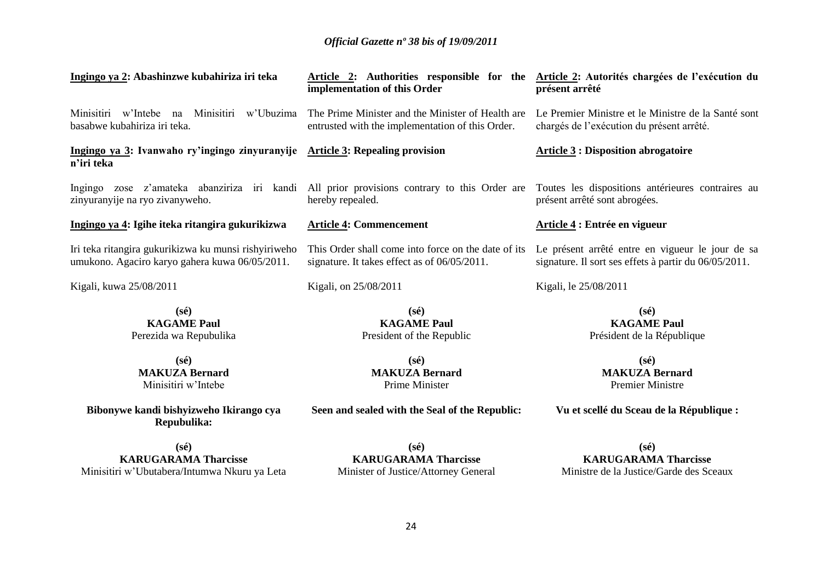| Ingingo ya 2: Abashinzwe kubahiriza iri teka                                                                                                                                     | implementation of this Order                                                                          | Article 2: Authorities responsible for the Article 2: Autorités chargées de l'exécution du<br>présent arrêté |
|----------------------------------------------------------------------------------------------------------------------------------------------------------------------------------|-------------------------------------------------------------------------------------------------------|--------------------------------------------------------------------------------------------------------------|
| Minisitiri w'Intebe na<br>Minisitiri w'Ubuzima<br>basabwe kubahiriza iri teka.                                                                                                   | The Prime Minister and the Minister of Health are<br>entrusted with the implementation of this Order. | Le Premier Ministre et le Ministre de la Santé sont<br>chargés de l'exécution du présent arrêté.             |
| Ingingo ya 3: Ivanwaho ry'ingingo zinyuranyije Article 3: Repealing provision<br>n'iri teka                                                                                      |                                                                                                       | <b>Article 3: Disposition abrogatoire</b>                                                                    |
| Ingingo zose z'amateka abanziriza iri kandi All prior provisions contrary to this Order are Toutes les dispositions antérieures contraires au<br>zinyuranyije na ryo zivanyweho. | hereby repealed.                                                                                      | présent arrêté sont abrogées.                                                                                |
| Ingingo ya 4: Igihe iteka ritangira gukurikizwa                                                                                                                                  | <b>Article 4: Commencement</b>                                                                        | Article 4 : Entrée en vigueur                                                                                |
| Iri teka ritangira gukurikizwa ku munsi rishyiriweho<br>umukono. Agaciro karyo gahera kuwa 06/05/2011.                                                                           | This Order shall come into force on the date of its<br>signature. It takes effect as of 06/05/2011.   | Le présent arrêté entre en vigueur le jour de sa<br>signature. Il sort ses effets à partir du 06/05/2011.    |
| Kigali, kuwa 25/08/2011                                                                                                                                                          | Kigali, on 25/08/2011                                                                                 | Kigali, le 25/08/2011                                                                                        |
| $(s\acute{e})$<br><b>KAGAME Paul</b><br>Perezida wa Repubulika                                                                                                                   | $(s\acute{e})$<br><b>KAGAME Paul</b><br>President of the Republic                                     | $(s\acute{e})$<br><b>KAGAME Paul</b><br>Président de la République                                           |
| $(s\acute{e})$<br><b>MAKUZA Bernard</b><br>Minisitiri w'Intebe                                                                                                                   | $(s\acute{e})$<br><b>MAKUZA Bernard</b><br>Prime Minister                                             | $(s\acute{e})$<br><b>MAKUZA Bernard</b><br><b>Premier Ministre</b>                                           |
| Bibonywe kandi bishyizweho Ikirango cya<br>Repubulika:                                                                                                                           | Seen and sealed with the Seal of the Republic:                                                        | Vu et scellé du Sceau de la République :                                                                     |
| $(s\acute{e})$                                                                                                                                                                   | $(s\acute{e})$                                                                                        | $(s\acute{e})$                                                                                               |
| <b>KARUGARAMA Tharcisse</b>                                                                                                                                                      | <b>KARUGARAMA Tharcisse</b>                                                                           | <b>KARUGARAMA Tharcisse</b>                                                                                  |

Minisitiri w'Ubutabera/Intumwa Nkuru ya Leta

**KARUGARAMA Tharcisse** Minister of Justice/Attorney General

**KARUGARAMA I** Ministre de la Justice/Garde des Sceaux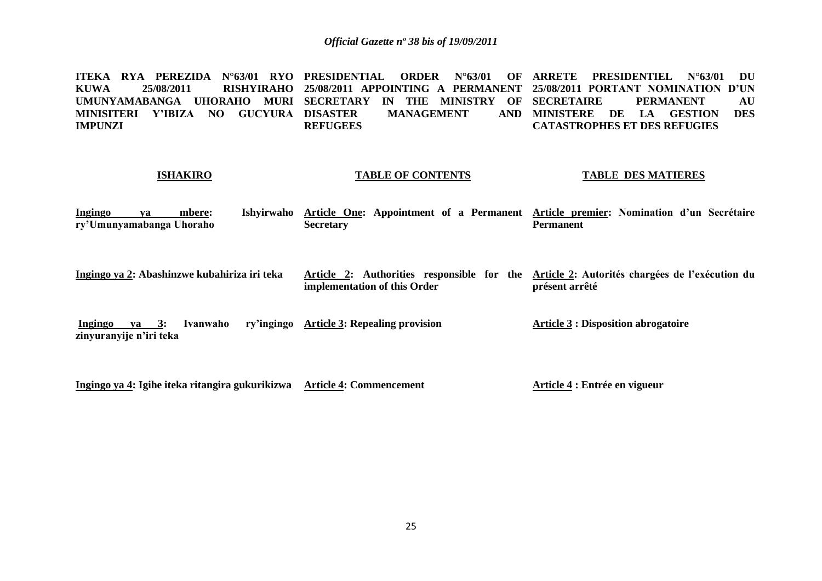ITEKA RYA PEREZIDA N°63/01 RYO PRESIDENTIAL ORDER N°63/01 OF ARRETE PRESIDENTIEL N°63/01 DU **KUWA 25/08/2011 RISHYIRAHO 25/08/2011 APPOINTING A PERMANENT 25/08/2011 PORTANT NOMINATION D'UN UMUNYAMABANGA UHORAHO MURI SECRETARY IN THE MINISTRY OF MINISITERI Y'IBIZA NO GUCYURA IMPUNZI MANAGEMENT REFUGEES PERMANENT AU MINISTERE DE LA GESTION DES CATASTROPHES ET DES REFUGIES**

#### **ISHAKIRO**

### **TABLE OF CONTENTS**

**TABLE DES MATIERES**

- **Ingingo ya mbere: Ishyirwaho Article One: Appointment of a Permanent Article premier: Nomination d'un Secrétaire ry'Umunyamabanga Uhoraho Secretary Permanent**
- **Ingingo ya 2: Abashinzwe kubahiriza iri teka Article 2: Authorities responsible for the Article 2: Autorités chargées de l'exécution du implementation of this Order présent arrêté**

**Ingingo ya 3: Ivanwaho zinyuranyije n'iri teka Article 3: Repealing provision Article 3 : Disposition abrogatoire**

**Ingingo ya 4: Igihe iteka ritangira gukurikizwa Article 4: Commencement**

**Article 4 : Entrée en vigueur**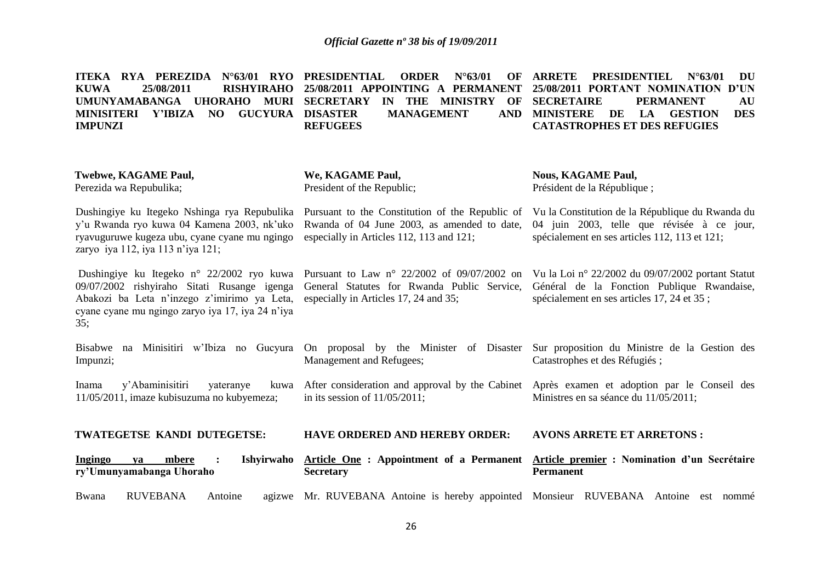|             |            |  | ITEKA RYA PEREZIDA N°63/01 RYO PRESIDENTIAL ORDER N°63/01 OF ARRETE PRESIDENTIEL N°63/01 DU |  |                   |                                     |                  |            |
|-------------|------------|--|---------------------------------------------------------------------------------------------|--|-------------------|-------------------------------------|------------------|------------|
| <b>KUWA</b> | 25/08/2011 |  | RISHYIRAHO 25/08/2011 APPOINTING A PERMANENT 25/08/2011 PORTANT NOMINATION D'UN             |  |                   |                                     |                  |            |
|             |            |  | UMUNYAMABANGA UHORAHO MURI SECRETARY IN THE MINISTRY OF SECRETAIRE                          |  |                   |                                     | <b>PERMANENT</b> | AU         |
|             |            |  | MINISITERI Y'IBIZA NO GUCYURA DISASTER                                                      |  | <b>MANAGEMENT</b> | AND MINISTERE DE LA GESTION         |                  | <b>DES</b> |
| IMPUNZI     |            |  | <b>REFUGEES</b>                                                                             |  |                   | <b>CATASTROPHES ET DES REFUGIES</b> |                  |            |

| <b>Twebwe, KAGAME Paul,</b><br>Perezida wa Repubulika;                                                                                                                                             | We, KAGAME Paul,<br>President of the Republic;                                                                                               | <b>Nous, KAGAME Paul,</b><br>Président de la République;                                                                                                                                        |
|----------------------------------------------------------------------------------------------------------------------------------------------------------------------------------------------------|----------------------------------------------------------------------------------------------------------------------------------------------|-------------------------------------------------------------------------------------------------------------------------------------------------------------------------------------------------|
| Dushingiye ku Itegeko Nshinga rya Repubulika<br>y'u Rwanda ryo kuwa 04 Kamena 2003, nk'uko<br>ryavuguruwe kugeza ubu, cyane cyane mu ngingo<br>zaryo iya 112, iya 113 n'iya 121;                   | Rwanda of 04 June 2003, as amended to date,<br>especially in Articles 112, 113 and 121;                                                      | Pursuant to the Constitution of the Republic of Vu la Constitution de la République du Rwanda du<br>04 juin 2003, telle que révisée à ce jour,<br>spécialement en ses articles 112, 113 et 121; |
| Dushingiye ku Itegeko n° 22/2002 ryo kuwa<br>09/07/2002 rishyiraho Sitati Rusange igenga<br>Abakozi ba Leta n'inzego z'imirimo ya Leta,<br>cyane cyane mu ngingo zaryo iya 17, iya 24 n'iya<br>35; | Pursuant to Law $n^{\circ}$ 22/2002 of 09/07/2002 on<br>General Statutes for Rwanda Public Service,<br>especially in Articles 17, 24 and 35; | Vu la Loi nº 22/2002 du 09/07/2002 portant Statut<br>Général de la Fonction Publique Rwandaise,<br>spécialement en ses articles 17, 24 et 35 ;                                                  |
| na Minisitiri w'Ibiza no Gueyura<br>Bisabwe<br>Impunzi;                                                                                                                                            | On proposal by the Minister of Disaster<br>Management and Refugees;                                                                          | Sur proposition du Ministre de la Gestion des<br>Catastrophes et des Réfugiés;                                                                                                                  |
| y'Abaminisitiri<br>yateranye<br>Inama<br>11/05/2011, imaze kubisuzuma no kubyemeza;                                                                                                                | kuwa After consideration and approval by the Cabinet<br>in its session of $11/05/2011$ ;                                                     | Après examen et adoption par le Conseil des<br>Ministres en sa séance du 11/05/2011;                                                                                                            |
| TWATEGETSE KANDI DUTEGETSE:                                                                                                                                                                        | <b>HAVE ORDERED AND HEREBY ORDER:</b>                                                                                                        | <b>AVONS ARRETE ET ARRETONS:</b>                                                                                                                                                                |
| Ishyirwaho<br><b>Ingingo</b><br>mbere<br>va<br>$\cdot$ :<br>ry'Umunyamabanga Uhoraho                                                                                                               | Article One: Appointment of a Permanent<br><b>Secretary</b>                                                                                  | Article premier : Nomination d'un Secrétaire<br><b>Permanent</b>                                                                                                                                |
| <b>RUVEBANA</b><br>Bwana<br>Antoine                                                                                                                                                                | agizwe Mr. RUVEBANA Antoine is hereby appointed Monsieur RUVEBANA Antoine                                                                    | est nommé                                                                                                                                                                                       |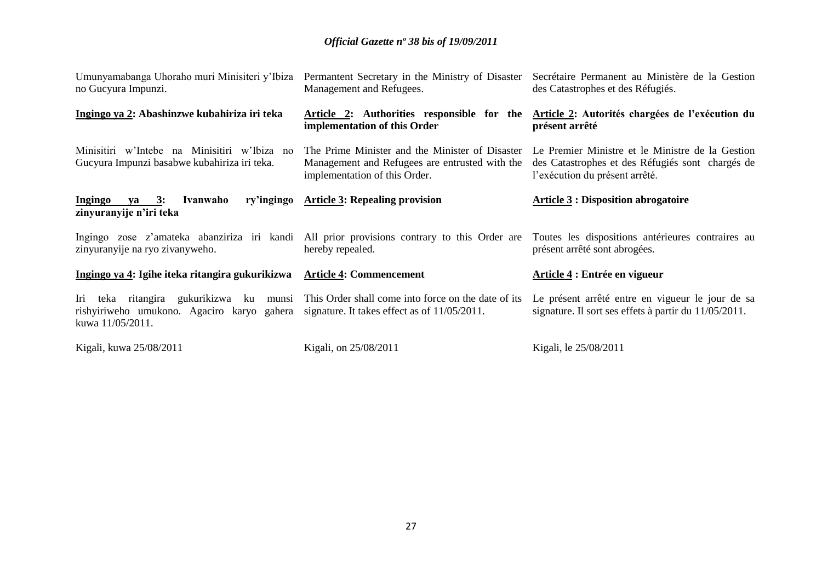| Umunyamabanga Uhoraho muri Minisiteri y'Ibiza<br>no Gucyura Impunzi.                                                                                          | Permantent Secretary in the Ministry of Disaster<br>Management and Refugees.                                                       | Secrétaire Permanent au Ministère de la Gestion<br>des Catastrophes et des Réfugiés.                                                   |
|---------------------------------------------------------------------------------------------------------------------------------------------------------------|------------------------------------------------------------------------------------------------------------------------------------|----------------------------------------------------------------------------------------------------------------------------------------|
| Ingingo ya 2: Abashinzwe kubahiriza iri teka                                                                                                                  | Article 2: Authorities responsible for the<br>implementation of this Order                                                         | Article 2: Autorités chargées de l'exécution du<br>présent arrêté                                                                      |
| Minisitiri w'Intebe na Minisitiri w'Ibiza no<br>Gucyura Impunzi basabwe kubahiriza iri teka.                                                                  | The Prime Minister and the Minister of Disaster<br>Management and Refugees are entrusted with the<br>implementation of this Order. | Le Premier Ministre et le Ministre de la Gestion<br>des Catastrophes et des Réfugiés sont chargés de<br>l'exécution du présent arrêté. |
| ry'ingingo<br><u>Ingingo ya 3:</u><br>Ivanwaho<br>zinyuranyije n'iri teka                                                                                     | <b>Article 3: Repealing provision</b>                                                                                              | <b>Article 3 : Disposition abrogatoire</b>                                                                                             |
| zinyuranyije na ryo zivanyweho.                                                                                                                               | Ingingo zose z'amateka abanziriza iri kandi All prior provisions contrary to this Order are<br>hereby repealed.                    | Toutes les dispositions antérieures contraires au<br>présent arrêté sont abrogées.                                                     |
| Ingingo ya 4: Igihe iteka ritangira gukurikizwa                                                                                                               | <b>Article 4: Commencement</b>                                                                                                     | Article 4 : Entrée en vigueur                                                                                                          |
| Iri teka ritangira gukurikizwa ku munsi This Order shall come into force on the date of its<br>rishyiriweho umukono. Agaciro karyo gahera<br>kuwa 11/05/2011. | signature. It takes effect as of 11/05/2011.                                                                                       | Le présent arrêté entre en vigueur le jour de sa<br>signature. Il sort ses effets à partir du 11/05/2011.                              |
| Kigali, kuwa 25/08/2011                                                                                                                                       | Kigali, on 25/08/2011                                                                                                              | Kigali, le 25/08/2011                                                                                                                  |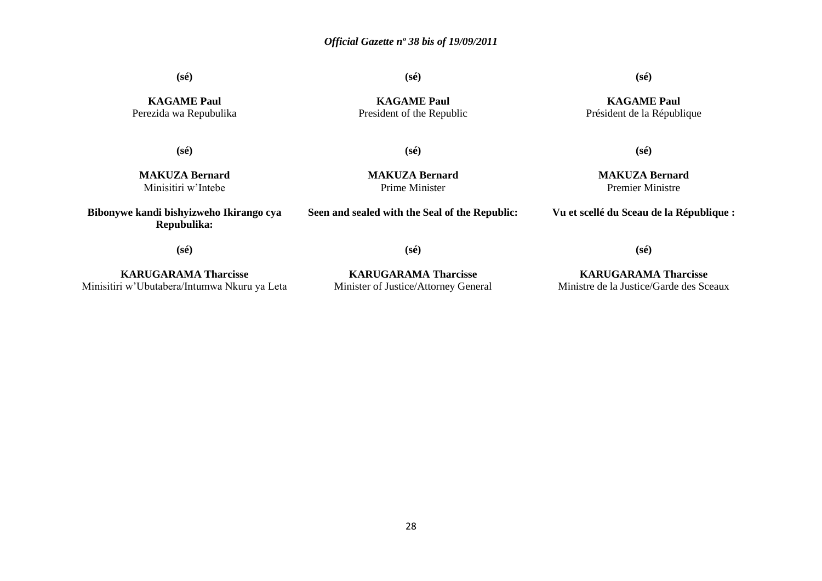**(sé)**

**(sé)**

**(sé)**

**KAGAME Paul** Président de la République

**KAGAME Paul** Perezida wa Repubulika

**(sé)**

**KAGAME Paul** President of the Republic

**(sé)**

**MAKUZA Bernard** Minisitiri w'Intebe

**Bibonywe kandi bishyizweho Ikirango cya Repubulika:**

**MAKUZA Bernard** Prime Minister

**(sé)**

**Seen and sealed with the Seal of the Republic:**

**MAKUZA Bernard** Premier Ministre

**Vu et scellé du Sceau de la République :**

**(sé)**

**KARUGARAMA Tharcisse** Minisitiri w'Ubutabera/Intumwa Nkuru ya Leta

**KARUGARAMA Tharcisse** Minister of Justice/Attorney General

**(sé)**

**KARUGARAMA Tharcisse** Ministre de la Justice/Garde des Sceaux

**(sé)**

28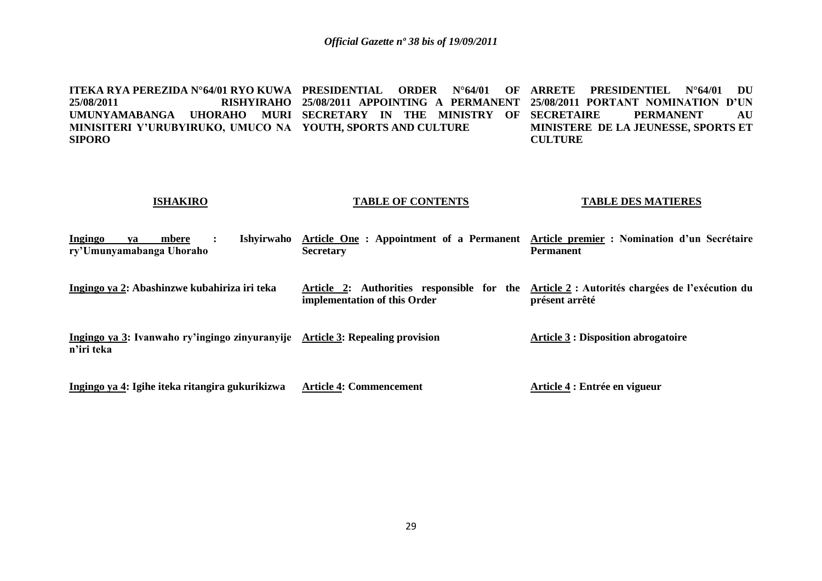**ITEKA RYA PEREZIDA N°64/01 RYO KUWA PRESIDENTIAL ORDER N°64/01 OF ARRETE PRESIDENTIEL N°64/01 DU 25/08/2011 RISHYIRAHO 25/08/2011 APPOINTING A PERMANENT 25/08/2011 PORTANT NOMINATION D'UN UMUNYAMABANGA UHORAHO MURI SECRETARY IN THE MINISTRY OF SECRETAIRE PERMANENT AU MINISITERI Y'URUBYIRUKO, UMUCO NA YOUTH, SPORTS AND CULTURE SIPORO MINISTERE DE LA JEUNESSE, SPORTS ET CULTURE**

#### **ISHAKIRO TABLE OF CONTENTS TABLE DES MATIERES**

| Ingingo    | va | mbere<br>ry'Umunyamabanga Uhoraho | Ishvirwaho                                      | Article One: Appointment of a Permanent<br><b>Secretary</b>                   | Article premier : Nomination d'un Secrétaire<br><b>Permanent</b>   |
|------------|----|-----------------------------------|-------------------------------------------------|-------------------------------------------------------------------------------|--------------------------------------------------------------------|
|            |    |                                   | Ingingo ya 2: Abashinzwe kubahiriza iri teka    | Article 2: Authorities responsible for the<br>implementation of this Order    | Article 2 : Autorités chargées de l'exécution du<br>présent arrêté |
| n'iri teka |    |                                   |                                                 | Ingingo ya 3: Ivanwaho ry'ingingo zinyuranyije Article 3: Repealing provision | <b>Article 3 : Disposition abrogatoire</b>                         |
|            |    |                                   | Ingingo ya 4: Igihe iteka ritangira gukurikizwa | <b>Article 4: Commencement</b>                                                | Article 4 : Entrée en vigueur                                      |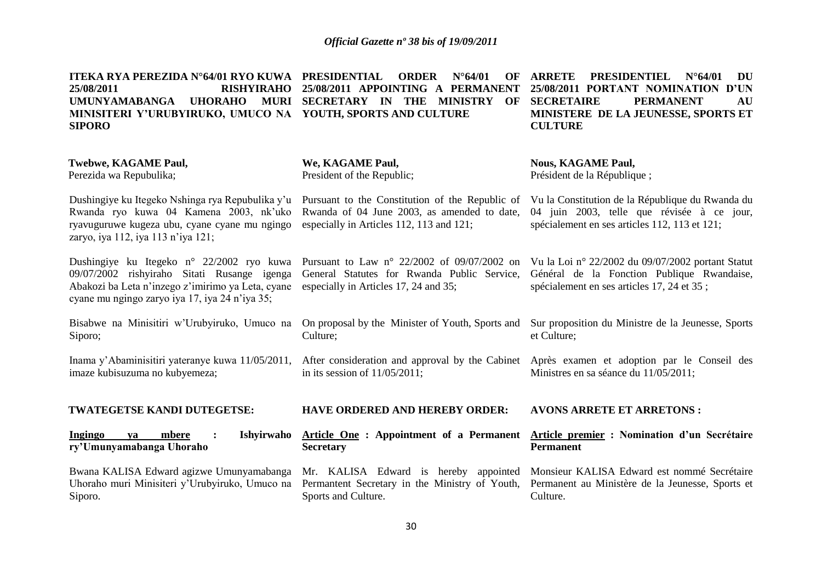**ITEKA RYA PEREZIDA N°64/01 RYO KUWA**

| ITEKA RYA PEREZIDA N°64/01 RYO KUWA PRESIDENTIAL<br>25/08/2011<br><b>RISHYIRAHO</b><br><b>UMUNYAMABANGA</b><br><b>UHORAHO</b><br><b>MURI</b><br>MINISITERI Y'URUBYIRUKO, UMUCO NA YOUTH, SPORTS AND CULTURE<br><b>SIPORO</b> | <b>ORDER</b><br>$N^{\circ}64/01$<br>OF<br>25/08/2011 APPOINTING<br>A PERMANENT<br>SECRETARY IN THE<br><b>MINISTRY</b><br>OF                | <b>ARRETE</b><br><b>PRESIDENTIEL</b><br>$N^{\circ}64/01$<br>DU<br>25/08/2011 PORTANT NOMINATION D'UN<br><b>SECRETAIRE</b><br><b>PERMANENT</b><br>AU<br>MINISTERE DE LA JEUNESSE, SPORTS ET<br><b>CULTURE</b> |
|------------------------------------------------------------------------------------------------------------------------------------------------------------------------------------------------------------------------------|--------------------------------------------------------------------------------------------------------------------------------------------|--------------------------------------------------------------------------------------------------------------------------------------------------------------------------------------------------------------|
| <b>Twebwe, KAGAME Paul,</b><br>Perezida wa Repubulika;                                                                                                                                                                       | We, KAGAME Paul,<br>President of the Republic;                                                                                             | <b>Nous, KAGAME Paul,</b><br>Président de la République;                                                                                                                                                     |
| Dushingiye ku Itegeko Nshinga rya Repubulika y'u<br>Rwanda ryo kuwa 04 Kamena 2003, nk'uko<br>ryavuguruwe kugeza ubu, cyane cyane mu ngingo<br>zaryo, iya 112, iya 113 n'iya 121;                                            | Pursuant to the Constitution of the Republic of<br>Rwanda of 04 June 2003, as amended to date,<br>especially in Articles 112, 113 and 121; | Vu la Constitution de la République du Rwanda du<br>04 juin 2003, telle que révisée à ce jour,<br>spécialement en ses articles 112, 113 et 121;                                                              |
| Dushingiye ku Itegeko n° 22/2002 ryo kuwa<br>09/07/2002 rishyiraho Sitati Rusange igenga<br>Abakozi ba Leta n'inzego z'imirimo ya Leta, cyane<br>cyane mu ngingo zaryo iya 17, iya 24 n'iya 35;                              | Pursuant to Law n° 22/2002 of 09/07/2002 on<br>General Statutes for Rwanda Public Service,<br>especially in Articles 17, 24 and 35;        | Vu la Loi nº 22/2002 du 09/07/2002 portant Statut<br>Général de la Fonction Publique Rwandaise,<br>spécialement en ses articles 17, 24 et 35;                                                                |
| Bisabwe na Minisitiri w'Urubyiruko, Umuco na<br>Siporo;                                                                                                                                                                      | On proposal by the Minister of Youth, Sports and<br>Culture;                                                                               | Sur proposition du Ministre de la Jeunesse, Sports<br>et Culture;                                                                                                                                            |
| Inama y'Abaminisitiri yateranye kuwa 11/05/2011,<br>imaze kubisuzuma no kubyemeza;                                                                                                                                           | After consideration and approval by the Cabinet<br>in its session of $11/05/2011$ ;                                                        | Après examen et adoption par le Conseil des<br>Ministres en sa séance du 11/05/2011;                                                                                                                         |
| TWATEGETSE KANDI DUTEGETSE:                                                                                                                                                                                                  | <b>HAVE ORDERED AND HEREBY ORDER:</b>                                                                                                      | <b>AVONS ARRETE ET ARRETONS:</b>                                                                                                                                                                             |
| Ishyirwaho<br><b>Ingingo</b><br>mbere<br>va<br>ry'Umunyamabanga Uhoraho                                                                                                                                                      | <b>Article One : Appointment of a Permanent</b><br><b>Secretary</b>                                                                        | Article premier : Nomination d'un Secrétaire<br><b>Permanent</b>                                                                                                                                             |
| Bwana KALISA Edward agizwe Umunyamabanga<br>Uhoraho muri Minisiteri y'Urubyiruko, Umuco na<br>Siporo.                                                                                                                        | Mr. KALISA Edward is hereby appointed<br>Permantent Secretary in the Ministry of Youth,<br>Sports and Culture.                             | Monsieur KALISA Edward est nommé Secrétaire<br>Permanent au Ministère de la Jeunesse, Sports et<br>Culture.                                                                                                  |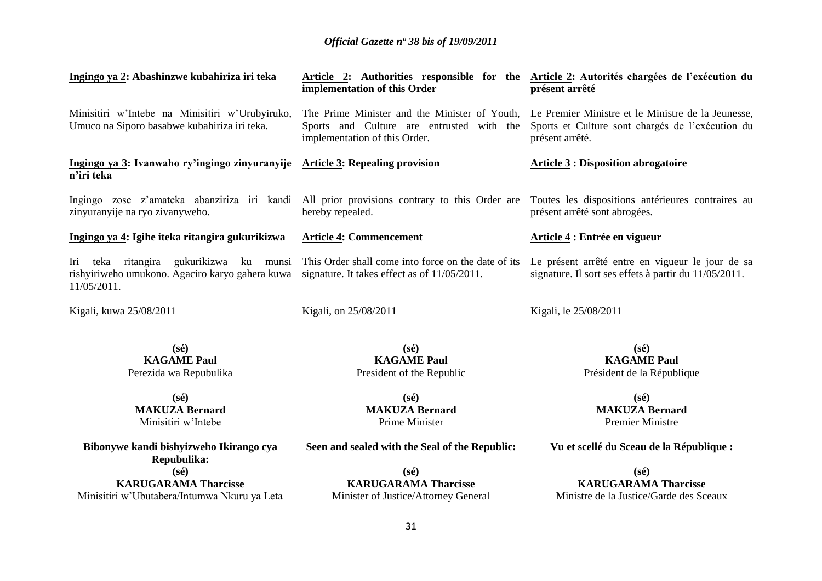| Ingingo ya 2: Abashinzwe kubahiriza iri teka                                                              | implementation of this Order                                                                                    | Article 2: Authorities responsible for the Article 2: Autorités chargées de l'exécution du<br>présent arrêté                                                            |
|-----------------------------------------------------------------------------------------------------------|-----------------------------------------------------------------------------------------------------------------|-------------------------------------------------------------------------------------------------------------------------------------------------------------------------|
| Minisitiri w'Intebe na Minisitiri w'Urubyiruko,<br>Umuco na Siporo basabwe kubahiriza iri teka.           | Sports and Culture are entrusted with the<br>implementation of this Order.                                      | The Prime Minister and the Minister of Youth, Le Premier Ministre et le Ministre de la Jeunesse,<br>Sports et Culture sont chargés de l'exécution du<br>présent arrêté. |
| Ingingo ya 3: Ivanwaho ry'ingingo zinyuranyije Article 3: Repealing provision<br>n'iri teka               |                                                                                                                 | <b>Article 3: Disposition abrogatoire</b>                                                                                                                               |
| zinyuranyije na ryo zivanyweho.                                                                           | Ingingo zose z'amateka abanziriza iri kandi All prior provisions contrary to this Order are<br>hereby repealed. | Toutes les dispositions antérieures contraires au<br>présent arrêté sont abrogées.                                                                                      |
| Ingingo ya 4: Igihe iteka ritangira gukurikizwa                                                           | <b>Article 4: Commencement</b>                                                                                  | Article 4 : Entrée en vigueur                                                                                                                                           |
| Iri teka ritangira gukurikizwa ku munsi<br>rishyiriweho umukono. Agaciro karyo gahera kuwa<br>11/05/2011. | This Order shall come into force on the date of its<br>signature. It takes effect as of 11/05/2011.             | Le présent arrêté entre en vigueur le jour de sa<br>signature. Il sort ses effets à partir du 11/05/2011.                                                               |
| Kigali, kuwa 25/08/2011                                                                                   | Kigali, on 25/08/2011                                                                                           | Kigali, le 25/08/2011                                                                                                                                                   |
| $(s\acute{e})$<br><b>KAGAME Paul</b><br>Perezida wa Repubulika                                            | $(s\acute{e})$<br><b>KAGAME Paul</b><br>President of the Republic                                               | $(s\acute{e})$<br><b>KAGAME Paul</b><br>Président de la République                                                                                                      |
| $(s\acute{e})$<br><b>MAKUZA Bernard</b><br>Minisitiri w'Intebe                                            | $(s\acute{e})$<br><b>MAKUZA Bernard</b><br>Prime Minister                                                       | $(s\acute{e})$<br><b>MAKUZA Bernard</b><br><b>Premier Ministre</b>                                                                                                      |
| Bibonywe kandi bishyizweho Ikirango cya<br>Repubulika:                                                    | Seen and sealed with the Seal of the Republic:                                                                  | Vu et scellé du Sceau de la République :                                                                                                                                |
| $(s\acute{e})$                                                                                            | $(s\acute{e})$                                                                                                  | $(s\acute{e})$                                                                                                                                                          |
| <b>KARUGARAMA Tharcisse</b>                                                                               | <b>KARUGARAMA Tharcisse</b>                                                                                     | <b>KARUGARAMA Tharcisse</b>                                                                                                                                             |

**KARUGARAMA Tharcisse** Ministre de la Justice/Garde des Sceaux

Minister of Justice/Attorney General

Minisitiri w'Ubutabera/Intumwa Nkuru ya Leta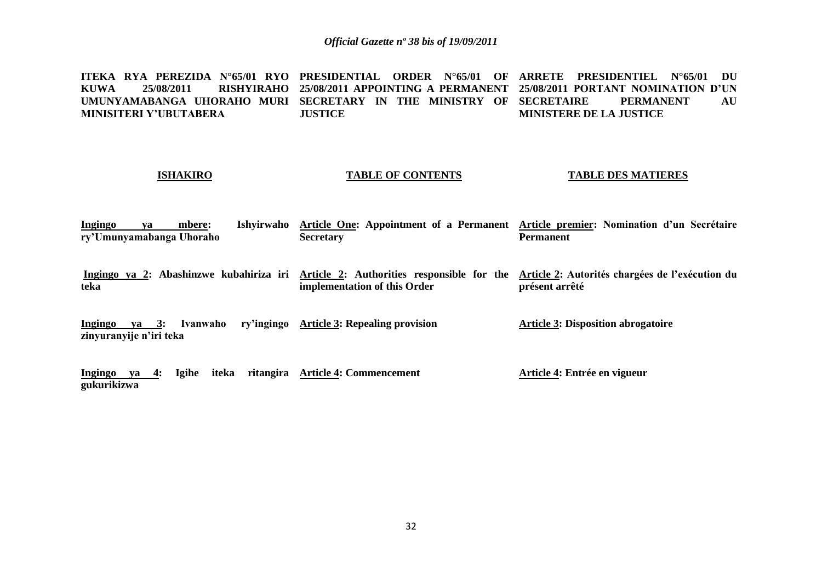**ITEKA RYA PEREZIDA N°65/01 RYO PRESIDENTIAL ORDER N°65/01 OF ARRETE PRESIDENTIEL N°65/01 DU KUWA 25/08/2011 RISHYIRAHO 25/08/2011 APPOINTING A PERMANENT 25/08/2011 PORTANT NOMINATION D'UN**  UMUNYAMABANGA UHORAHO MURI SECRETARY IN THE MINISTRY OF SECRETAIRE PERMANENT AU **MINISITERI Y'UBUTABERA JUSTICE MINISTERE DE LA JUSTICE**

### **ISHAKIRO**

### **TABLE OF CONTENTS**

#### **TABLE DES MATIERES**

**Ingingo ya mbere: Ishyirwaho Article One: Appointment of a Permanent Article premier: Nomination d'un Secrétaire ry'Umunyamabanga Uhoraho Secretary Permanent**

Ingingo ya 2: Abashinzwe kubahiriza iri <u>Article 2</u>: Authorities responsible for the <u>Article 2</u>: Autorités chargées de l'exécution du **teka implementation of this Order présent arrêté**

**Ingingo ya 3: Ivanwaho ry'ingingo Article 3: Repealing provision zinyuranyije n'iri teka Article 3: Disposition abrogatoire**

**Ingingo ya 4: Igihe iteka ritangira Article 4: Commencement gukurikizwa Article 4: Entrée en vigueur**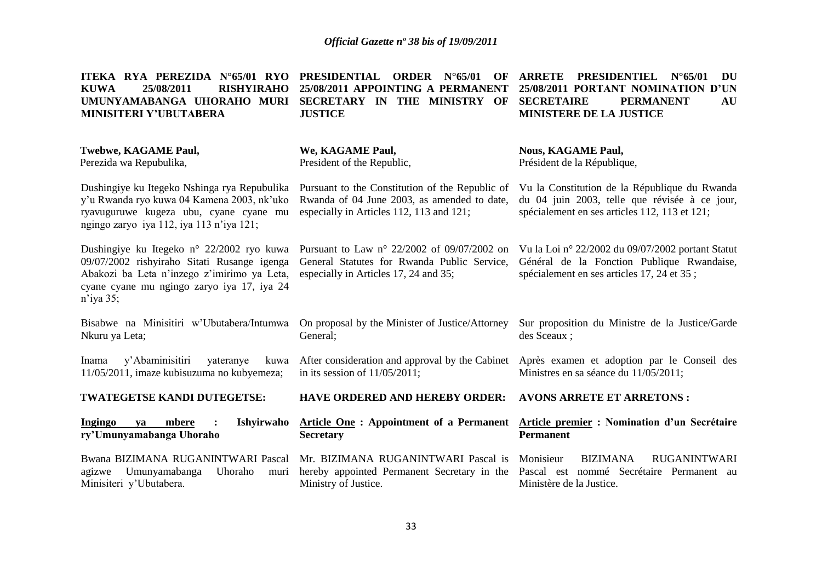| ITEKA RYA PEREZIDA N°65/01 RYO<br>25/08/2011<br><b>RISHYIRAHO</b><br><b>KUWA</b><br>UMUNYAMABANGA UHORAHO MURI<br>MINISITERI Y'UBUTABERA                                                              | PRESIDENTIAL ORDER<br>$N^{\circ}65/01$<br>OF<br>25/08/2011 APPOINTING A PERMANENT<br>SECRETARY IN THE MINISTRY OF<br><b>JUSTICE</b>          | <b>PRESIDENTIEL</b><br><b>ARRETE</b><br>DU<br>$N^{\circ}$ 65/01<br>25/08/2011 PORTANT NOMINATION D'UN<br><b>SECRETAIRE</b><br><b>PERMANENT</b><br>AU<br><b>MINISTERE DE LA JUSTICE</b> |  |  |
|-------------------------------------------------------------------------------------------------------------------------------------------------------------------------------------------------------|----------------------------------------------------------------------------------------------------------------------------------------------|----------------------------------------------------------------------------------------------------------------------------------------------------------------------------------------|--|--|
| <b>Twebwe, KAGAME Paul,</b><br>Perezida wa Repubulika,                                                                                                                                                | We, KAGAME Paul,<br>President of the Republic,                                                                                               | <b>Nous, KAGAME Paul,</b><br>Président de la République,                                                                                                                               |  |  |
| Dushingiye ku Itegeko Nshinga rya Repubulika<br>y'u Rwanda ryo kuwa 04 Kamena 2003, nk'uko<br>ryavuguruwe kugeza ubu, cyane cyane mu<br>ngingo zaryo iya 112, iya 113 n'iya 121;                      | Pursuant to the Constitution of the Republic of<br>Rwanda of 04 June 2003, as amended to date,<br>especially in Articles 112, 113 and 121;   | Vu la Constitution de la République du Rwanda<br>du 04 juin 2003, telle que révisée à ce jour,<br>spécialement en ses articles 112, 113 et 121;                                        |  |  |
| Dushingiye ku Itegeko n° 22/2002 ryo kuwa<br>09/07/2002 rishyiraho Sitati Rusange igenga<br>Abakozi ba Leta n'inzego z'imirimo ya Leta,<br>cyane cyane mu ngingo zaryo iya 17, iya 24<br>$n$ 'iya 35; | Pursuant to Law $n^{\circ}$ 22/2002 of 09/07/2002 on<br>General Statutes for Rwanda Public Service,<br>especially in Articles 17, 24 and 35; | Vu la Loi nº 22/2002 du 09/07/2002 portant Statut<br>Général de la Fonction Publique Rwandaise,<br>spécialement en ses articles 17, 24 et 35;                                          |  |  |
| Bisabwe na Minisitiri w'Ubutabera/Intumwa<br>Nkuru ya Leta;                                                                                                                                           | On proposal by the Minister of Justice/Attorney<br>General;                                                                                  | Sur proposition du Ministre de la Justice/Garde<br>des Sceaux;                                                                                                                         |  |  |
| y'Abaminisitiri<br>yateranye<br>Inama<br>kuwa<br>11/05/2011, imaze kubisuzuma no kubyemeza;                                                                                                           | After consideration and approval by the Cabinet<br>in its session of $11/05/2011$ ;                                                          | Après examen et adoption par le Conseil des<br>Ministres en sa séance du 11/05/2011;                                                                                                   |  |  |
| TWATEGETSE KANDI DUTEGETSE:                                                                                                                                                                           | <b>HAVE ORDERED AND HEREBY ORDER:</b>                                                                                                        | <b>AVONS ARRETE ET ARRETONS:</b>                                                                                                                                                       |  |  |
| <b>Ingingo</b><br>mbere<br>Ishyirwaho<br>va<br>ry'Umunyamabanga Uhoraho                                                                                                                               | <b>Article One: Appointment of a Permanent</b><br><b>Secretary</b>                                                                           | Article premier : Nomination d'un Secrétaire<br><b>Permanent</b>                                                                                                                       |  |  |
| Bwana BIZIMANA RUGANINTWARI Pascal<br>Umunyamabanga<br>Uhoraho<br>agizwe<br>muri<br>Minisiteri y'Ubutabera.                                                                                           | Mr. BIZIMANA RUGANINTWARI Pascal is<br>hereby appointed Permanent Secretary in the<br>Ministry of Justice.                                   | Monisieur<br><b>BIZIMANA</b><br><b>RUGANINTWARI</b><br>Pascal est nommé Secrétaire Permanent au<br>Ministère de la Justice.                                                            |  |  |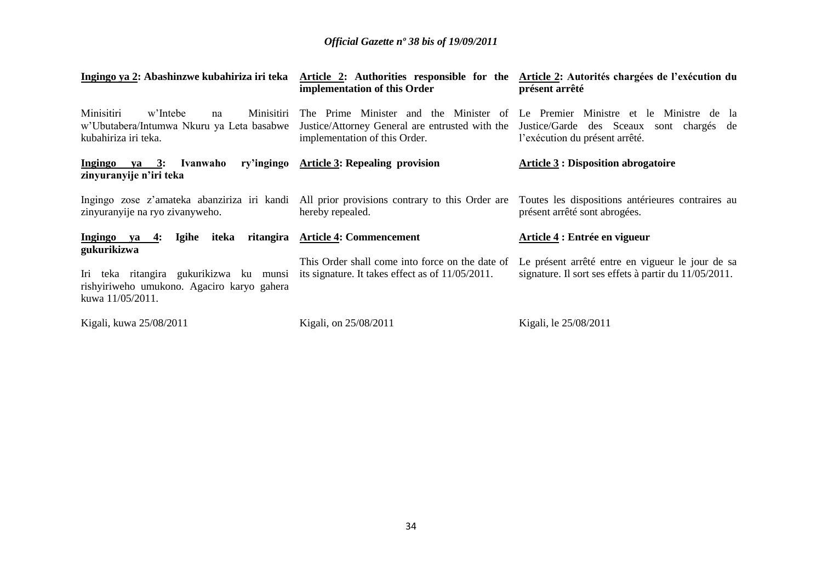| Ingingo ya 2: Abashinzwe kubahiriza iri teka                                                                             | implementation of this Order                                                                                    | Article 2: Authorities responsible for the Article 2: Autorités chargées de l'exécution du<br>présent arrêté                                                     |  |
|--------------------------------------------------------------------------------------------------------------------------|-----------------------------------------------------------------------------------------------------------------|------------------------------------------------------------------------------------------------------------------------------------------------------------------|--|
| Minisitiri<br>w'Intebe<br>Minisitiri<br>na<br>w'Ubutabera/Intumwa Nkuru ya Leta basabwe<br>kubahiriza iri teka.          | Justice/Attorney General are entrusted with the<br>implementation of this Order.                                | The Prime Minister and the Minister of Le Premier Ministre et le Ministre de la<br>Justice/Garde des Sceaux<br>sont chargés de<br>l'exécution du présent arrêté. |  |
| ry'ingingo<br>Ingingo ya 3: Ivanwaho<br>zinyuranyije n'iri teka                                                          | <b>Article 3: Repealing provision</b>                                                                           | <b>Article 3 : Disposition abrogatoire</b>                                                                                                                       |  |
| zinyuranyije na ryo zivanyweho.                                                                                          | Ingingo zose z'amateka abanziriza iri kandi All prior provisions contrary to this Order are<br>hereby repealed. | Toutes les dispositions antérieures contraires au<br>présent arrêté sont abrogées.                                                                               |  |
| iteka<br>Ingingo ya<br>Igihe<br>4:                                                                                       | ritangira Article 4: Commencement                                                                               | Article 4 : Entrée en vigueur                                                                                                                                    |  |
| gukurikizwa<br>Iri teka ritangira gukurikizwa ku munsi<br>rishyiriweho umukono. Agaciro karyo gahera<br>kuwa 11/05/2011. | This Order shall come into force on the date of<br>its signature. It takes effect as of 11/05/2011.             | Le présent arrêté entre en vigueur le jour de sa<br>signature. Il sort ses effets à partir du 11/05/2011.                                                        |  |
| Kigali, kuwa 25/08/2011                                                                                                  | Kigali, on 25/08/2011                                                                                           | Kigali, le 25/08/2011                                                                                                                                            |  |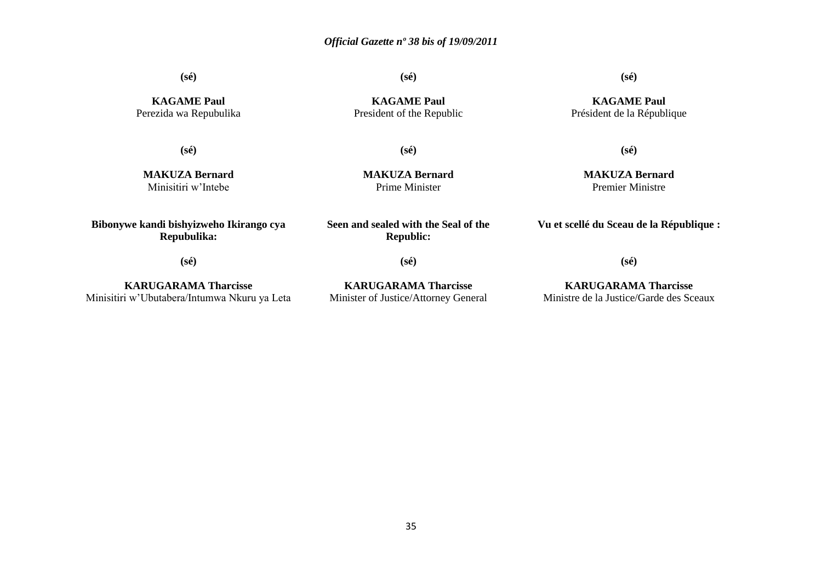**(sé)**

**(sé)**

**KAGAME Paul** Perezida wa Repubulika

**(sé)**

**MAKUZA Bernard** Minisitiri w'Intebe

**KAGAME Paul** President of the Republic **(sé)**

**KAGAME Paul** Président de la République

**(sé)**

**MAKUZA Bernard** Prime Minister

**MAKUZA Bernard** Premier Ministre

**(sé)**

**Vu et scellé du Sceau de la République :**

**(sé)**

**Bibonywe kandi bishyizweho Ikirango cya Repubulika:**

**KARUGARAMA Tharcisse** Minisitiri w'Ubutabera/Intumwa Nkuru ya Leta **(sé)**

**Seen and sealed with the Seal of the Republic:**

**KARUGARAMA Tharcisse** Minister of Justice/Attorney General

**KARUGARAMA Tharcisse** Ministre de la Justice/Garde des Sceaux

**(sé)**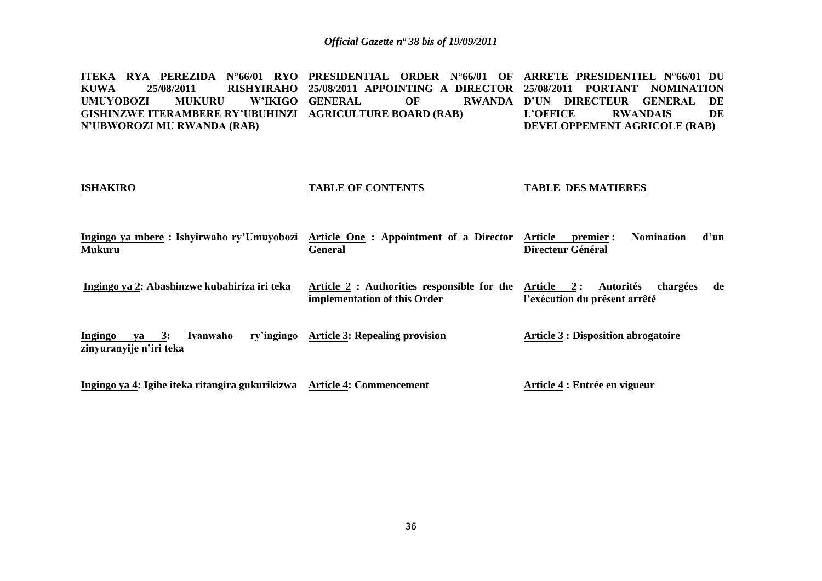**ITEKA RYA PEREZIDA N°66/01 RYO PRESIDENTIAL ORDER N°66/01 OF ARRETE PRESIDENTIEL N°66/01 DU KUWA 25/08/2011 RISHYIRAHO 25/08/2011 APPOINTING A DIRECTOR 25/08/2011 PORTANT NOMINATION UMUYOBOZI MUKURU GISHINZWE ITERAMBERE RY'UBUHINZI AGRICULTURE BOARD (RAB) N'UBWOROZI MU RWANDA (RAB) W'IKIGO GENERAL OF RWANDA D'UN DIRECTEUR GENERAL DE<br>L'OFFICE RWANDAIS DE L'OFFICE RWANDAIS DE DEVELOPPEMENT AGRICOLE (RAB)**

#### **ISHAKIRO**

#### **TABLE OF CONTENTS**

#### **TABLE DES MATIERES**

**Article 4 : Entrée en vigueur**

| Ingingo ya mbere : Ishyirwaho ry'Umuyobozi Article One : Appointment of a Director Article premier : |         |                   | <b>Nomination</b> | d'un |
|------------------------------------------------------------------------------------------------------|---------|-------------------|-------------------|------|
| Mukuru                                                                                               | General | Directeur Général |                   |      |
|                                                                                                      |         |                   |                   |      |

**Ingingo ya 2: Abashinzwe kubahiriza iri teka Article 2 : Authorities responsible for the Article 2 : Autorités chargées de implementation of this Order l'exécution du présent arrêté**

**Ingingo va 3: Ivanwaho zinyuranyije n'iri teka Article 3: Repealing provision Article 3 : Disposition abrogatoire**

**Ingingo ya 4: Igihe iteka ritangira gukurikizwa Article 4: Commencement**

36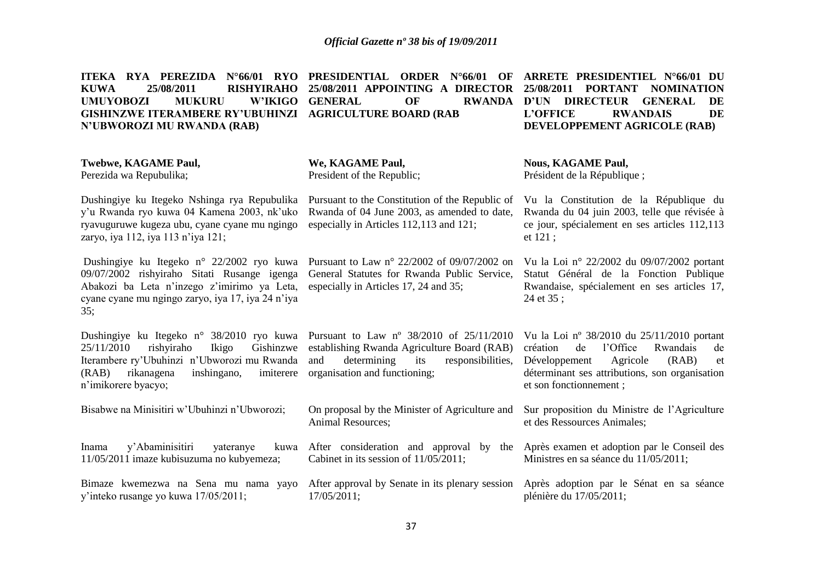| ITEKA RYA PEREZIDA N°66/01 RYO<br>25/08/2011<br><b>KUWA</b><br><b>RISHYIRAHO</b><br><b>UMUYOBOZI</b><br><b>MUKURU</b><br><b>W'IKIGO</b><br><b>GISHINZWE ITERAMBERE RY'UBUHINZI</b><br>N'UBWOROZI MU RWANDA (RAB)     | PRESIDENTIAL ORDER N°66/01 OF<br>25/08/2011 APPOINTING A DIRECTOR<br><b>GENERAL</b><br>OF<br><b>RWANDA</b><br><b>AGRICULTURE BOARD (RAB</b>                                         | ARRETE PRESIDENTIEL N°66/01 DU<br>25/08/2011<br><b>PORTANT</b><br><b>NOMINATION</b><br><b>DIRECTEUR</b><br>$\mathbf{D'UN}$<br><b>GENERAL</b><br>DE<br>DE<br><b>L'OFFICE</b><br><b>RWANDAIS</b><br>DEVELOPPEMENT AGRICOLE (RAB) |
|----------------------------------------------------------------------------------------------------------------------------------------------------------------------------------------------------------------------|-------------------------------------------------------------------------------------------------------------------------------------------------------------------------------------|--------------------------------------------------------------------------------------------------------------------------------------------------------------------------------------------------------------------------------|
| <b>Twebwe, KAGAME Paul,</b><br>Perezida wa Repubulika;                                                                                                                                                               | We, KAGAME Paul,<br>President of the Republic;                                                                                                                                      | <b>Nous, KAGAME Paul,</b><br>Président de la République;                                                                                                                                                                       |
| Dushingiye ku Itegeko Nshinga rya Repubulika<br>y'u Rwanda ryo kuwa 04 Kamena 2003, nk'uko<br>ryavuguruwe kugeza ubu, cyane cyane mu ngingo<br>zaryo, iya 112, iya 113 n'iya 121;                                    | Pursuant to the Constitution of the Republic of<br>Rwanda of 04 June 2003, as amended to date,<br>especially in Articles 112,113 and 121;                                           | Vu la Constitution de la République du<br>Rwanda du 04 juin 2003, telle que révisée à<br>ce jour, spécialement en ses articles 112,113<br>et $121$ ;                                                                           |
| Dushingiye ku Itegeko n° 22/2002 ryo kuwa<br>09/07/2002 rishyiraho Sitati Rusange igenga<br>Abakozi ba Leta n'inzego z'imirimo ya Leta,<br>cyane cyane mu ngingo zaryo, iya 17, iya 24 n'iya<br>35:                  | Pursuant to Law n° 22/2002 of 09/07/2002 on<br>General Statutes for Rwanda Public Service,<br>especially in Articles 17, 24 and 35;                                                 | Vu la Loi nº 22/2002 du 09/07/2002 portant<br>Statut Général de la Fonction Publique<br>Rwandaise, spécialement en ses articles 17,<br>24 et 35;                                                                               |
| Dushingiye ku Itegeko n° 38/2010 ryo kuwa<br>rishyiraho<br>Ikigo<br>Gishinzwe<br>25/11/2010<br>Iterambere ry'Ubuhinzi n'Ubworozi mu Rwanda<br>inshingano,<br>imiterere<br>(RAB)<br>rikanagena<br>n'imikorere byacyo; | Pursuant to Law $n^{\circ}$ 38/2010 of 25/11/2010<br>establishing Rwanda Agriculture Board (RAB)<br>and<br>determining<br>its<br>responsibilities,<br>organisation and functioning; | Vu la Loi nº 38/2010 du 25/11/2010 portant<br>de<br>l'Office<br>Rwandais<br>création<br>de<br>Agricole<br>Développement<br>(RAB)<br>et<br>déterminant ses attributions, son organisation<br>et son fonctionnement;             |
| Bisabwe na Minisitiri w'Ubuhinzi n'Ubworozi;                                                                                                                                                                         | On proposal by the Minister of Agriculture and<br>Animal Resources;                                                                                                                 | Sur proposition du Ministre de l'Agriculture<br>et des Ressources Animales;                                                                                                                                                    |
| y'Abaminisitiri<br>Inama<br>kuwa<br>yateranye<br>11/05/2011 imaze kubisuzuma no kubyemeza;                                                                                                                           | After consideration and approval by the Après examen et adoption par le Conseil des<br>Cabinet in its session of 11/05/2011;                                                        | Ministres en sa séance du 11/05/2011;                                                                                                                                                                                          |
| Bimaze kwemezwa na Sena mu nama yayo<br>y'inteko rusange yo kuwa 17/05/2011;                                                                                                                                         | After approval by Senate in its plenary session<br>17/05/2011;                                                                                                                      | Après adoption par le Sénat en sa séance<br>plénière du 17/05/2011;                                                                                                                                                            |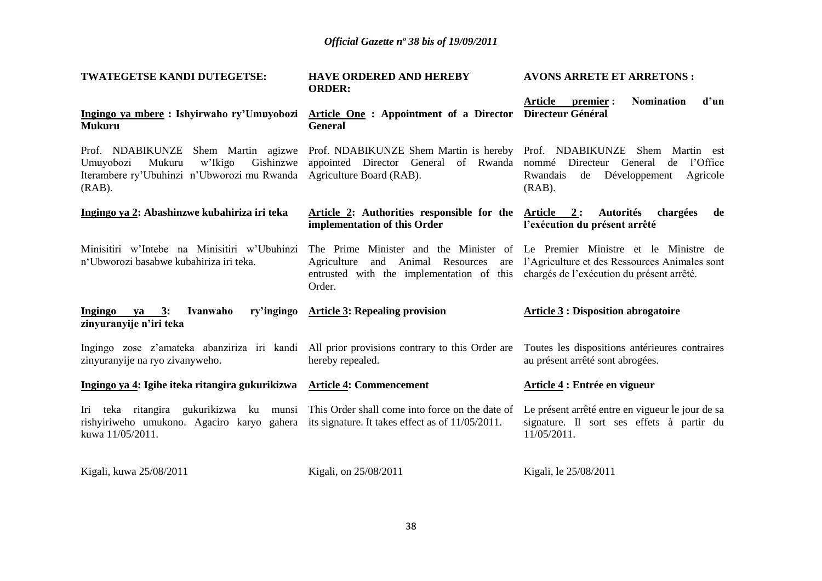| TWATEGETSE KANDI DUTEGETSE:                                                                                                                                                                                            | <b>HAVE ORDERED AND HEREBY</b><br><b>ORDER:</b>                                                                                                                                                                          | <b>AVONS ARRETE ET ARRETONS:</b>                                                                             |
|------------------------------------------------------------------------------------------------------------------------------------------------------------------------------------------------------------------------|--------------------------------------------------------------------------------------------------------------------------------------------------------------------------------------------------------------------------|--------------------------------------------------------------------------------------------------------------|
| Ingingo ya mbere: Ishyirwaho ry'Umuyobozi Article One: Appointment of a Director<br><b>Mukuru</b>                                                                                                                      | <b>General</b>                                                                                                                                                                                                           | d'un<br><b>Article</b><br><b>Nomination</b><br>premier :<br>Directeur Général                                |
| Prof. NDABIKUNZE Shem Martin agizwe Prof. NDABIKUNZE Shem Martin is hereby Prof. NDABIKUNZE Shem Martin est<br>Mukuru<br>w'Ikigo<br>Gishinzwe<br>Umuyobozi<br>Iterambere ry'Ubuhinzi n'Ubworozi mu Rwanda<br>$(RAB)$ . | appointed Director General of Rwanda nommé<br>Agriculture Board (RAB).                                                                                                                                                   | Directeur General<br>l'Office<br>de<br>Développement<br>Rwandais<br>Agricole<br>de<br>$(RAB)$ .              |
| Ingingo ya 2: Abashinzwe kubahiriza iri teka                                                                                                                                                                           | Article 2: Authorities responsible for the<br>implementation of this Order                                                                                                                                               | Article 2:<br><b>Autorités</b><br>chargées<br>de<br>l'exécution du présent arrêté                            |
| Minisitiri w'Intebe na Minisitiri w'Ubuhinzi<br>n'Ubworozi basabwe kubahiriza iri teka.                                                                                                                                | The Prime Minister and the Minister of Le Premier Ministre et le Ministre de<br>Agriculture and Animal Resources<br>are<br>entrusted with the implementation of this chargés de l'exécution du présent arrêté.<br>Order. | l'Agriculture et des Ressources Animales sont                                                                |
| ry'ingingo<br><b>Ingingo</b><br>3:<br>Ivanwaho<br>ya<br>zinyuranyije n'iri teka                                                                                                                                        | <b>Article 3: Repealing provision</b>                                                                                                                                                                                    | <b>Article 3: Disposition abrogatoire</b>                                                                    |
| Ingingo zose z'amateka abanziriza iri kandi All prior provisions contrary to this Order are<br>zinyuranyije na ryo zivanyweho.                                                                                         | hereby repealed.                                                                                                                                                                                                         | Toutes les dispositions antérieures contraires<br>au présent arrêté sont abrogées.                           |
| Ingingo ya 4: Igihe iteka ritangira gukurikizwa Article 4: Commencement                                                                                                                                                |                                                                                                                                                                                                                          | Article 4 : Entrée en vigueur                                                                                |
| Iri teka ritangira gukurikizwa ku munsi This Order shall come into force on the date of<br>rishyiriweho umukono. Agaciro karyo gahera its signature. It takes effect as of $11/05/2011$ .<br>kuwa 11/05/2011.          |                                                                                                                                                                                                                          | Le présent arrêté entre en vigueur le jour de sa<br>signature. Il sort ses effets à partir du<br>11/05/2011. |
| Kigali, kuwa 25/08/2011                                                                                                                                                                                                | Kigali, on 25/08/2011                                                                                                                                                                                                    | Kigali, le 25/08/2011                                                                                        |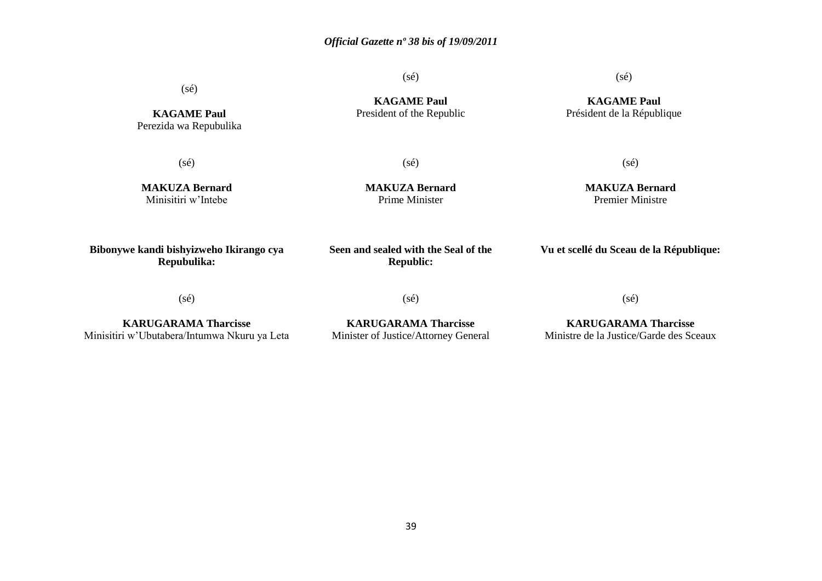(sé)

(sé)

**KAGAME Paul** Perezida wa Repubulika

(sé)

**KAGAME Paul** President of the Republic (sé)

**KAGAME Paul** Président de la République

(sé)

**MAKUZA Bernard** Minisitiri w'Intebe

**MAKUZA Bernard** Prime Minister

**MAKUZA Bernard** Premier Ministre

(sé)

**Bibonywe kandi bishyizweho Ikirango cya Repubulika:**

**Seen and sealed with the Seal of the Republic:**

**Vu et scellé du Sceau de la République:**

(sé)

(sé)

(sé)

**KARUGARAMA Tharcisse** Minisitiri w'Ubutabera/Intumwa Nkuru ya Leta

**KARUGARAMA Tharcisse** Minister of Justice/Attorney General

**KARUGARAMA Tharcisse** Ministre de la Justice/Garde des Sceaux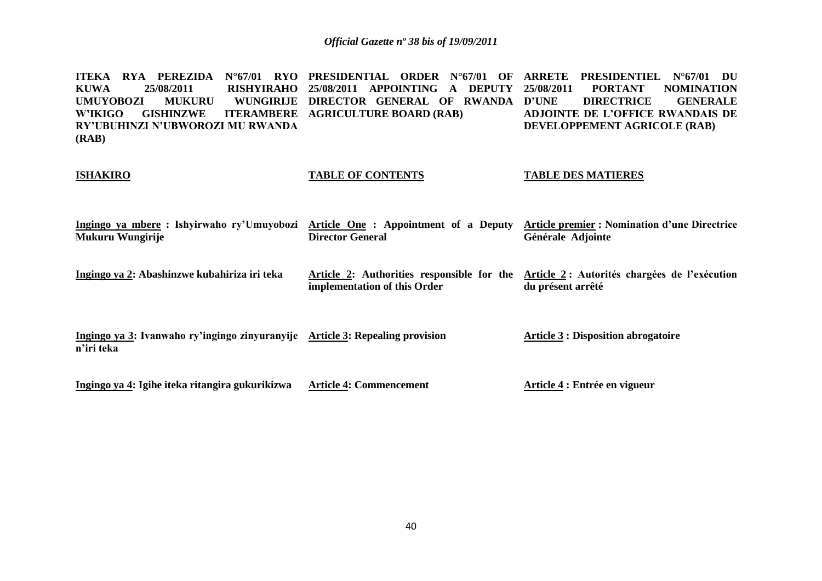**ITEKA RYA PEREZIDA N°67/01 RYO PRESIDENTIAL ORDER N°67/01 OF ARRETE PRESIDENTIEL N°67/01 DU KUWA 25/08/2011 RISHYIRAHO 25/08/2011 APPOINTING A DEPUTY UMUYOBOZI MUKURU WUNGIRIJE DIRECTOR GENERAL OF RWANDA W'IKIGO GISHINZWE ITERAMBERE AGRICULTURE BOARD (RAB) RY'UBUHINZI N'UBWOROZI MU RWANDA (RAB) 25/08/2011 PORTANT NOMINATION DIRECTRICE GENERALE ADJOINTE DE L'OFFICE RWANDAIS DE DEVELOPPEMENT AGRICOLE (RAB)**

# **ISHAKIRO Ingingo ya mbere : Ishyirwaho ry'Umuyobozi Article One : Appointment of a Deputy Article premier : Nomination d'une Directrice TABLE OF CONTENTS TABLE DES MATIERES**

**Mukuru Wungirije Ingingo ya 2: Abashinzwe kubahiriza iri teka Director General Article 2: Authorities responsible for the Article 2 : Autorités chargées de l'exécution implementation of this Order Générale Adjointe du présent arrêté**

| Ingingo ya 3: Ivanwaho ry'ingingo zinyuranyije Article 3: Repealing provision | <b>Article 3 : Disposition abrogatoire</b> |
|-------------------------------------------------------------------------------|--------------------------------------------|
| n'iri teka                                                                    |                                            |
|                                                                               |                                            |
|                                                                               |                                            |

**Article 4: Commencement**

**Ingingo ya 4: Igihe iteka ritangira gukurikizwa**

40

**Article 4 : Entrée en vigueur**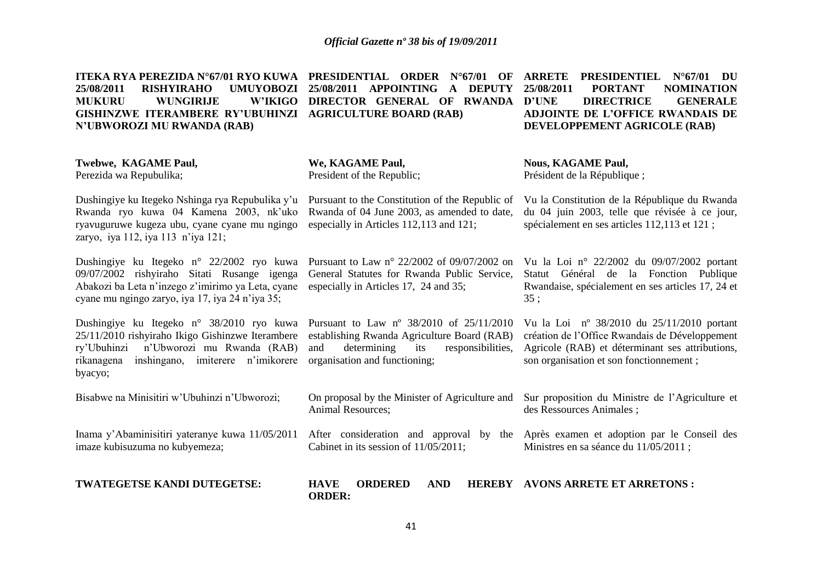| ITEKA RYA PEREZIDA N°67/01 RYO KUWA<br>25/08/2011<br><b>RISHYIRAHO</b><br><b>UMUYOBOZI</b><br><b>WUNGIRIJE</b><br><b>W'IKIGO</b><br><b>MUKURU</b><br><b>GISHINZWE ITERAMBERE RY'UBUHINZI</b><br><b>N'UBWOROZI MU RWANDA (RAB)</b> | PRESIDENTIAL ORDER<br>$N^{\circ}67/01$<br>– OF<br>25/08/2011 APPOINTING<br>A DEPUTY<br>DIRECTOR GENERAL OF RWANDA<br><b>AGRICULTURE BOARD (RAB)</b>                        | <b>PRESIDENTIEL</b><br><b>ARRETE</b><br>$N^{\circ}67/01$ DU<br>25/08/2011<br><b>PORTANT</b><br><b>NOMINATION</b><br><b>D'UNE</b><br><b>DIRECTRICE</b><br><b>GENERALE</b><br><b>ADJOINTE DE L'OFFICE RWANDAIS DE</b><br>DEVELOPPEMENT AGRICOLE (RAB) |
|-----------------------------------------------------------------------------------------------------------------------------------------------------------------------------------------------------------------------------------|----------------------------------------------------------------------------------------------------------------------------------------------------------------------------|-----------------------------------------------------------------------------------------------------------------------------------------------------------------------------------------------------------------------------------------------------|
| Twebwe, KAGAME Paul,<br>Perezida wa Repubulika;                                                                                                                                                                                   | We, KAGAME Paul,<br>President of the Republic;                                                                                                                             | <b>Nous, KAGAME Paul,</b><br>Président de la République;                                                                                                                                                                                            |
| Dushingiye ku Itegeko Nshinga rya Repubulika y'u<br>Rwanda ryo kuwa 04 Kamena 2003, nk'uko<br>ryavuguruwe kugeza ubu, cyane cyane mu ngingo<br>zaryo, iya 112, iya 113 n'iya 121;                                                 | Pursuant to the Constitution of the Republic of<br>Rwanda of 04 June 2003, as amended to date,<br>especially in Articles 112,113 and 121;                                  | Vu la Constitution de la République du Rwanda<br>du 04 juin 2003, telle que révisée à ce jour,<br>spécialement en ses articles 112,113 et 121 ;                                                                                                     |
| Dushingiye ku Itegeko n° 22/2002 ryo kuwa<br>09/07/2002 rishyiraho Sitati Rusange igenga<br>Abakozi ba Leta n'inzego z'imirimo ya Leta, cyane<br>cyane mu ngingo zaryo, iya 17, iya 24 n'iya 35;                                  | Pursuant to Law n° 22/2002 of 09/07/2002 on<br>General Statutes for Rwanda Public Service,<br>especially in Articles 17, 24 and 35;                                        | Vu la Loi nº 22/2002 du 09/07/2002 portant<br>Statut Général de la Fonction Publique<br>Rwandaise, spécialement en ses articles 17, 24 et<br>35;                                                                                                    |
| Dushingiye ku Itegeko n° 38/2010 ryo kuwa<br>25/11/2010 rishyiraho Ikigo Gishinzwe Iterambere<br>n'Ubworozi mu Rwanda (RAB)<br>ry'Ubuhinzi<br>rikanagena inshingano, imiterere n'imikorere<br>byacyo;                             | Pursuant to Law nº 38/2010 of 25/11/2010<br>establishing Rwanda Agriculture Board (RAB)<br>determining<br>and<br>its<br>responsibilities,<br>organisation and functioning; | Vu la Loi nº 38/2010 du 25/11/2010 portant<br>création de l'Office Rwandais de Développement<br>Agricole (RAB) et déterminant ses attributions,<br>son organisation et son fonctionnement;                                                          |
| Bisabwe na Minisitiri w'Ubuhinzi n'Ubworozi;                                                                                                                                                                                      | On proposal by the Minister of Agriculture and<br>Animal Resources;                                                                                                        | Sur proposition du Ministre de l'Agriculture et<br>des Ressources Animales;                                                                                                                                                                         |
| Inama y'Abaminisitiri yateranye kuwa 11/05/2011<br>imaze kubisuzuma no kubyemeza;                                                                                                                                                 | After consideration and approval by the<br>Cabinet in its session of 11/05/2011;                                                                                           | Après examen et adoption par le Conseil des<br>Ministres en sa séance du 11/05/2011;                                                                                                                                                                |
| TWATEGETSE KANDI DUTEGETSE:                                                                                                                                                                                                       | <b>HAVE</b><br><b>ORDERED</b><br><b>AND</b><br><b>ORDER:</b>                                                                                                               | <b>HEREBY AVONS ARRETE ET ARRETONS:</b>                                                                                                                                                                                                             |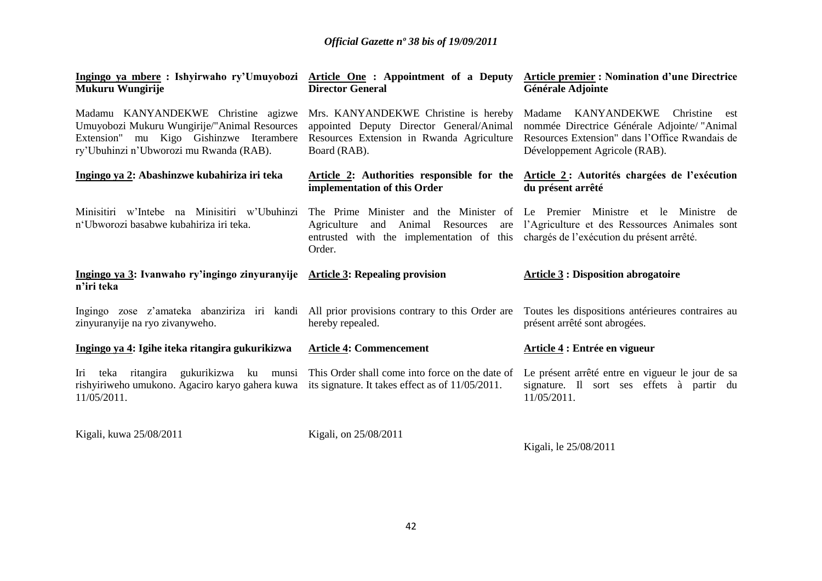| Ingingo ya mbere: Ishyirwaho ry'Umuyobozi Article One: Appointment of a Deputy Article premier: Nomination d'une Directrice<br>Mukuru Wungirije                           | <b>Director General</b>                                                                                                                        | Générale Adjointe                                                                                                                                                      |
|---------------------------------------------------------------------------------------------------------------------------------------------------------------------------|------------------------------------------------------------------------------------------------------------------------------------------------|------------------------------------------------------------------------------------------------------------------------------------------------------------------------|
| Madamu KANYANDEKWE Christine agizwe<br>Umuyobozi Mukuru Wungirije/"Animal Resources<br>Extension" mu Kigo Gishinzwe Iterambere<br>ry'Ubuhinzi n'Ubworozi mu Rwanda (RAB). | Mrs. KANYANDEKWE Christine is hereby<br>appointed Deputy Director General/Animal<br>Resources Extension in Rwanda Agriculture<br>Board (RAB).  | Madame KANYANDEKWE Christine<br>est<br>nommée Directrice Générale Adjointe/ "Animal<br>Resources Extension" dans l'Office Rwandais de<br>Développement Agricole (RAB). |
| Ingingo ya 2: Abashinzwe kubahiriza iri teka                                                                                                                              | Article 2: Authorities responsible for the<br>implementation of this Order                                                                     | Article 2: Autorités chargées de l'exécution<br>du présent arrêté                                                                                                      |
| Minisitiri w'Intebe na Minisitiri w'Ubuhinzi<br>n'Ubworozi basabwe kubahiriza iri teka.                                                                                   | Animal Resources<br>Agriculture<br>and<br>are<br>entrusted with the implementation of this chargés de l'exécution du présent arrêté.<br>Order. | The Prime Minister and the Minister of Le Premier Ministre et le Ministre de<br>l'Agriculture et des Ressources Animales sont                                          |
| Ingingo ya 3: Ivanwaho ry'ingingo zinyuranyije Article 3: Repealing provision<br>n'iri teka                                                                               |                                                                                                                                                | <b>Article 3 : Disposition abrogatoire</b>                                                                                                                             |
| Ingingo zose z'amateka abanziriza iri kandi All prior provisions contrary to this Order are<br>zinyuranyije na ryo zivanyweho.                                            | hereby repealed.                                                                                                                               | Toutes les dispositions antérieures contraires au<br>présent arrêté sont abrogées.                                                                                     |
| Ingingo ya 4: Igihe iteka ritangira gukurikizwa                                                                                                                           | <b>Article 4: Commencement</b>                                                                                                                 | Article 4 : Entrée en vigueur                                                                                                                                          |
| Iri<br>rishyiriweho umukono. Agaciro karyo gahera kuwa its signature. It takes effect as of 11/05/2011.<br>11/05/2011.                                                    | teka ritangira gukurikizwa ku munsi This Order shall come into force on the date of                                                            | Le présent arrêté entre en vigueur le jour de sa<br>signature. Il sort ses effets à partir du<br>11/05/2011.                                                           |

Kigali, kuwa 25/08/2011 Kigali, on 25/08/2011

Kigali, le 25/08/2011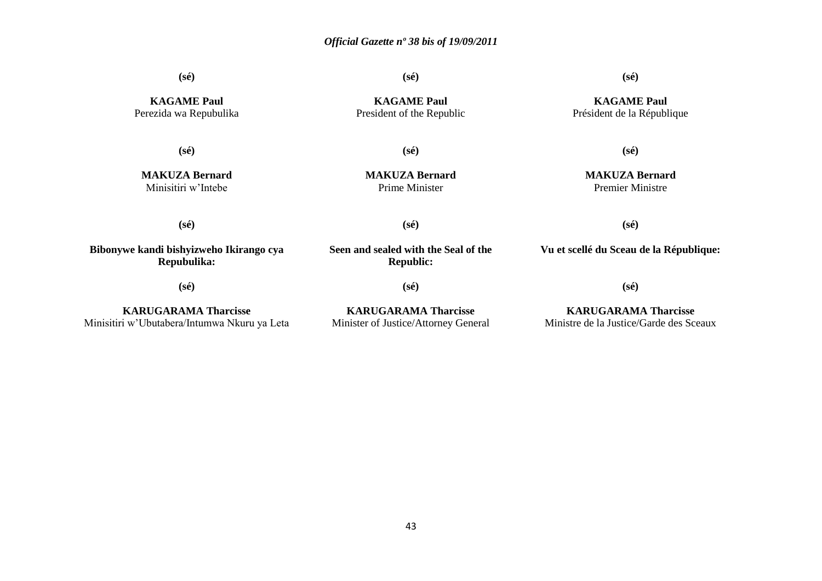**(sé)**

**(sé)**

**(sé)**

**KAGAME Paul** Président de la République

**KAGAME Paul** Perezida wa Repubulika

**(sé)**

**MAKUZA Bernard** Minisitiri w'Intebe

**KAGAME Paul** President of the Republic

**(sé)**

**MAKUZA Bernard** Prime Minister

**(sé)**

**MAKUZA Bernard** Premier Ministre

**(sé)**

**Bibonywe kandi bishyizweho Ikirango cya Repubulika:**

**(sé)**

**Seen and sealed with the Seal of the Republic:**

**(sé)**

**(sé)**

**KARUGARAMA Tharcisse** Minisitiri w'Ubutabera/Intumwa Nkuru ya Leta

**KARUGARAMA Tharcisse** Minister of Justice/Attorney General **Vu et scellé du Sceau de la République:**

**(sé)**

**(sé)**

**KARUGARAMA Tharcisse** Ministre de la Justice/Garde des Sceaux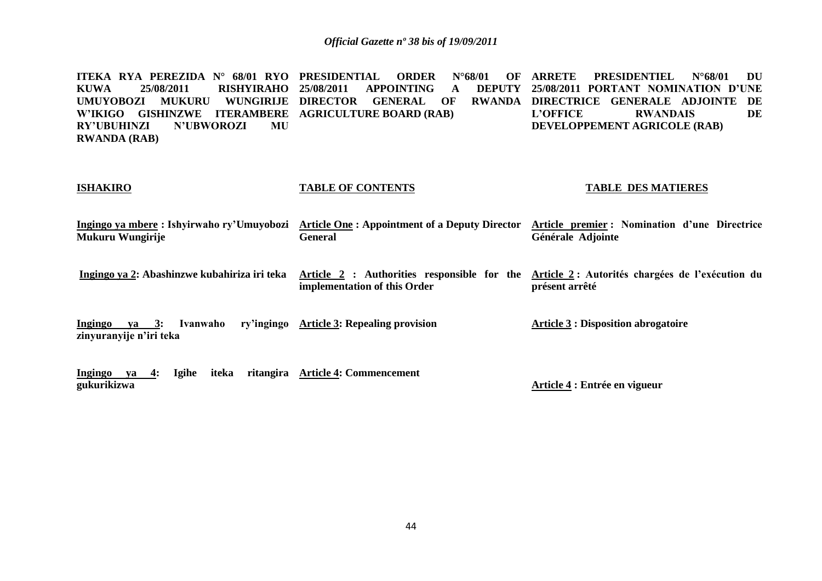**ITEKA RYA PEREZIDA N° 68/01 RYO PRESIDENTIAL ORDER N°68/01 OF KUWA 25/08/2011 RISHYIRAHO UMUYOBOZI MUKURU WUNGIRIJE DIRECTOR GENERAL OF RWANDA W'IKIGO GISHINZWE ITERAMBERE AGRICULTURE BOARD (RAB) RY'UBUHINZI N'UBWOROZI MU RWANDA (RAB) 25 APPOINTING A ARRETE PRESIDENTIEL N°68/01 DU 25/08/2011 PORTANT NOMINATION D'UNE DIRECTRICE GENERALE ADJOINTE DE L'OFFICE RWANDAIS DE DEVELOPPEMENT AGRICOLE (RAB)**

#### **ISHAKIRO**

#### **TABLE OF CONTENTS**

#### **TABLE DES MATIERES**

**Ingingo ya mbere : Ishyirwaho ry'Umuyobozi Article One : Appointment of a Deputy Director Article premier : Nomination d'une Directrice Mukuru Wungirije General Générale Adjointe**

**Ingingo ya 2: Abashinzwe kubahiriza iri teka Article 2 : Authorities responsible for the Article 2 : Autorités chargées de l'exécution du implementation of this Order présent arrêté**

**Ingingo va 3: Ivanwaho zinyuranyije n'iri teka Article 3: Repealing provision Article 3 : Disposition abrogatoire**

**Ingingo ya 4: Igihe iteka ritangira Article 4: Commencement gukurikizwa Article 4 : Entrée en vigueur**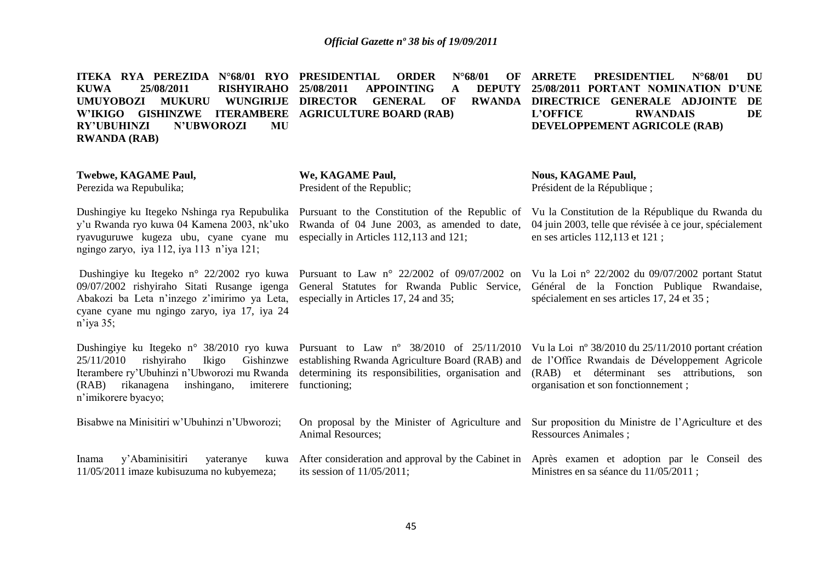| ITEKA RYA PEREZIDA N°68/01 RYO<br>25/08/2011<br><b>KUWA</b><br><b>RISHYIRAHO</b><br><b>UMUYOBOZI</b><br><b>WUNGIRIJE</b><br><b>MUKURU</b><br><b>W'IKIGO</b><br><b>GISHINZWE ITERAMBERE</b><br><b>RY'UBUHINZI</b><br><b>N'UBWOROZI</b><br>MU<br><b>RWANDA (RAB)</b> | PRESIDENTIAL<br>$N^{\circ}68/01$<br><b>ORDER</b><br>OF<br>25/08/2011<br><b>APPOINTING</b><br><b>DEPUTY</b><br>A<br><b>DIRECTOR</b><br><b>GENERAL</b><br><b>RWANDA</b><br>OF<br><b>AGRICULTURE BOARD (RAB)</b> | <b>ARRETE</b><br><b>PRESIDENTIEL</b><br>DU<br>$N^{\circ}68/01$<br>25/08/2011 PORTANT NOMINATION D'UNE<br>DIRECTRICE GENERALE ADJOINTE<br>DE<br>DE<br><b>L'OFFICE</b><br><b>RWANDAIS</b><br>DEVELOPPEMENT AGRICOLE (RAB) |
|--------------------------------------------------------------------------------------------------------------------------------------------------------------------------------------------------------------------------------------------------------------------|---------------------------------------------------------------------------------------------------------------------------------------------------------------------------------------------------------------|-------------------------------------------------------------------------------------------------------------------------------------------------------------------------------------------------------------------------|
| Twebwe, KAGAME Paul,<br>Perezida wa Repubulika;                                                                                                                                                                                                                    | We, KAGAME Paul,<br>President of the Republic;                                                                                                                                                                | <b>Nous, KAGAME Paul,</b><br>Président de la République;                                                                                                                                                                |
| Dushingiye ku Itegeko Nshinga rya Repubulika<br>y'u Rwanda ryo kuwa 04 Kamena 2003, nk'uko<br>ryavuguruwe kugeza ubu, cyane cyane mu<br>ngingo zaryo, iya 112, iya 113 n'iya 121;                                                                                  | Pursuant to the Constitution of the Republic of<br>Rwanda of 04 June 2003, as amended to date,<br>especially in Articles 112,113 and 121;                                                                     | Vu la Constitution de la République du Rwanda du<br>04 juin 2003, telle que révisée à ce jour, spécialement<br>en ses articles 112,113 et 121;                                                                          |
| Dushingiye ku Itegeko n° 22/2002 ryo kuwa<br>09/07/2002 rishyiraho Sitati Rusange igenga<br>Abakozi ba Leta n'inzego z'imirimo ya Leta,<br>cyane cyane mu ngingo zaryo, iya 17, iya 24<br>$n$ 'iya 35;                                                             | Pursuant to Law $n^{\circ}$ 22/2002 of 09/07/2002 on<br>General Statutes for Rwanda Public Service,<br>especially in Articles 17, 24 and 35;                                                                  | Vu la Loi nº 22/2002 du 09/07/2002 portant Statut<br>Général de la Fonction Publique Rwandaise,<br>spécialement en ses articles 17, 24 et 35 ;                                                                          |
| Dushingiye ku Itegeko n° 38/2010 ryo kuwa<br>25/11/2010<br>rishyiraho<br>Ikigo<br>Gishinzwe<br>Iterambere ry'Ubuhinzi n'Ubworozi mu Rwanda<br>rikanagena<br>inshingano,<br>imiterere<br>(RAB)<br>n'imikorere byacyo;                                               | Pursuant to Law n° 38/2010 of 25/11/2010<br>establishing Rwanda Agriculture Board (RAB) and<br>determining its responsibilities, organisation and<br>functioning;                                             | Vu la Loi nº 38/2010 du 25/11/2010 portant création<br>de l'Office Rwandais de Développement Agricole<br>(RAB) et déterminant ses attributions, son<br>organisation et son fonctionnement;                              |
| Bisabwe na Minisitiri w'Ubuhinzi n'Ubworozi;                                                                                                                                                                                                                       | On proposal by the Minister of Agriculture and<br>Animal Resources;                                                                                                                                           | Sur proposition du Ministre de l'Agriculture et des<br><b>Ressources Animales ;</b>                                                                                                                                     |
| y'Abaminisitiri<br>Inama<br>yateranye<br>kuwa<br>11/05/2011 imaze kubisuzuma no kubyemeza;                                                                                                                                                                         | its session of $11/05/2011$ ;                                                                                                                                                                                 | After consideration and approval by the Cabinet in Après exament et adoption par le Conseil des<br>Ministres en sa séance du 11/05/2011;                                                                                |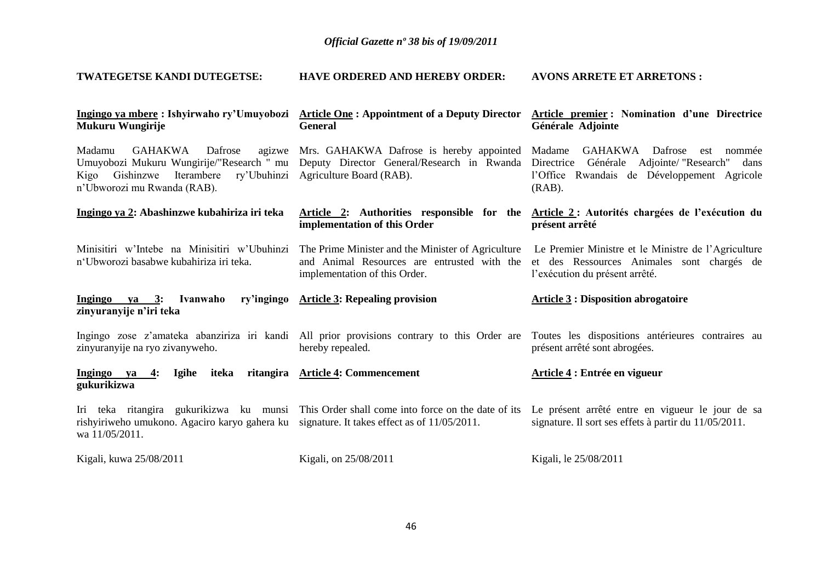| TWATEGETSE KANDI DUTEGETSE:                                                                                                      | <b>HAVE ORDERED AND HEREBY ORDER:</b>                                                                                              | <b>AVONS ARRETE ET ARRETONS:</b>                                                                                                                                                                                                |
|----------------------------------------------------------------------------------------------------------------------------------|------------------------------------------------------------------------------------------------------------------------------------|---------------------------------------------------------------------------------------------------------------------------------------------------------------------------------------------------------------------------------|
| Ingingo ya mbere: Ishyirwaho ry'Umuyobozi<br>Mukuru Wungirije                                                                    | <b>Article One: Appointment of a Deputy Director</b><br><b>General</b>                                                             | Article premier: Nomination d'une Directrice<br>Générale Adjointe                                                                                                                                                               |
| Madamu<br>GAHAKWA<br>Dafrose<br>Iterambere ry'Ubuhinzi Agriculture Board (RAB).<br>Kigo Gishinzwe<br>n'Ubworozi mu Rwanda (RAB). | agizwe Mrs. GAHAKWA Dafrose is hereby appointed Madame                                                                             | GAHAKWA Dafrose<br>est nommée<br>Umuyobozi Mukuru Wungirije/"Research " mu Deputy Director General/Research in Rwanda Directrice Générale Adjointe/ "Research" dans<br>l'Office Rwandais de Développement Agricole<br>$(RAB)$ . |
| Ingingo ya 2: Abashinzwe kubahiriza iri teka                                                                                     | implementation of this Order                                                                                                       | Article 2: Authorities responsible for the Article 2: Autorités chargées de l'exécution du<br>présent arrêté                                                                                                                    |
| Minisitiri w'Intebe na Minisitiri w'Ubuhinzi<br>n'Ubworozi basabwe kubahiriza iri teka.                                          | The Prime Minister and the Minister of Agriculture<br>and Animal Resources are entrusted with the<br>implementation of this Order. | Le Premier Ministre et le Ministre de l'Agriculture<br>et des Ressources Animales sont chargés de<br>l'exécution du présent arrêté.                                                                                             |
| Ivanwaho<br>Ingingo ya $3:$<br>zinyuranyije n'iri teka                                                                           | ry'ingingo Article 3: Repealing provision                                                                                          | <b>Article 3 : Disposition abrogatoire</b>                                                                                                                                                                                      |
| zinyuranyije na ryo zivanyweho.                                                                                                  | hereby repealed.                                                                                                                   | Ingingo zose z'amateka abanziriza iri kandi All prior provisions contrary to this Order are Toutes les dispositions antérieures contraires au<br>présent arrêté sont abrogées.                                                  |
| Ingingo ya<br>4:<br><b>Igihe</b><br>iteka<br>gukurikizwa                                                                         | ritangira Article 4: Commencement                                                                                                  | Article 4 : Entrée en vigueur                                                                                                                                                                                                   |
| rishyiriweho umukono. Agaciro karyo gahera ku signature. It takes effect as of $11/05/2011$ .<br>wa 11/05/2011.                  | Iri teka ritangira gukurikizwa ku munsi This Order shall come into force on the date of its                                        | Le présent arrêté entre en vigueur le jour de sa<br>signature. Il sort ses effets à partir du 11/05/2011.                                                                                                                       |
| Kigali, kuwa 25/08/2011                                                                                                          | Kigali, on 25/08/2011                                                                                                              | Kigali, le 25/08/2011                                                                                                                                                                                                           |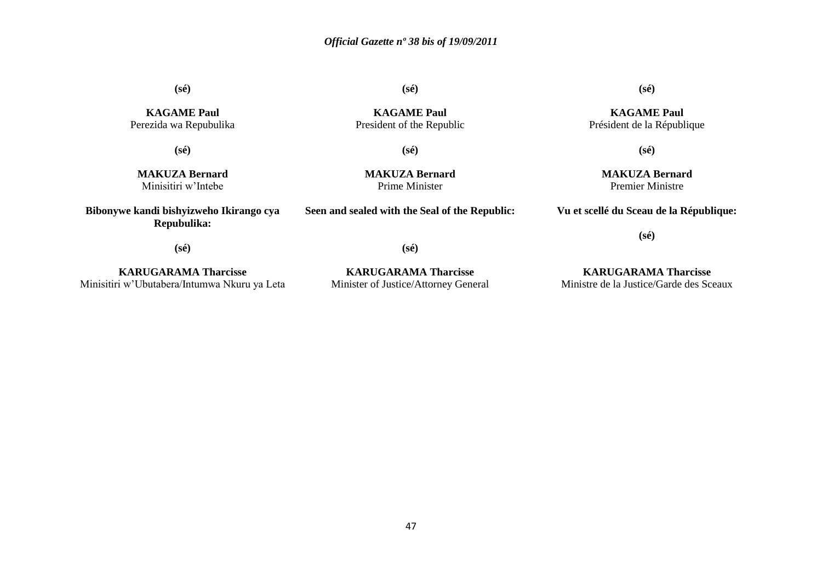**(sé)**

**KAGAME Paul** President of the Republic

**(sé)**

**(sé)**

**KAGAME Paul** Perezida wa Repubulika

**(sé)**

**MAKUZA Bernard** Minisitiri w'Intebe

**Bibonywe kandi bishyizweho Ikirango cya Repubulika:**

**MAKUZA Bernard** Prime Minister

**Seen and sealed with the Seal of the Republic:**

**KAGAME Paul**

**(sé)**

Président de la République

**(sé)**

**MAKUZA Bernard** Premier Ministre

**Vu et scellé du Sceau de la République:**

**(sé)**

**(sé)**

**KARUGARAMA Tharcisse** Minisitiri w'Ubutabera/Intumwa Nkuru ya Leta

**KARUGARAMA Tharcisse** Minister of Justice/Attorney General

**(sé)**

**KARUGARAMA Tharcisse** Ministre de la Justice/Garde des Sceaux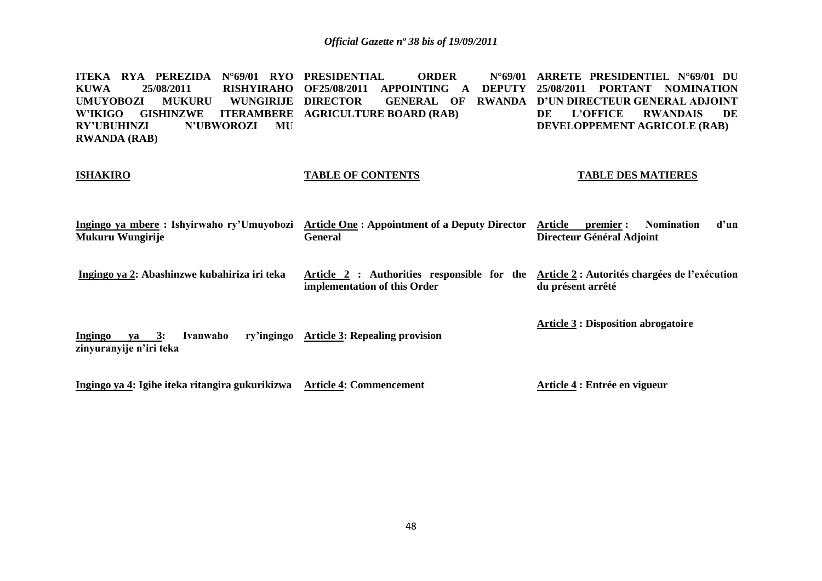**ITEKA RYA PEREZIDA N°69/01 RYO PRESIDENTIAL ORDER N°69/01 KUWA 25/08/2011 RISHYIRAHO OF25/08/2011 APPOINTING A DEPUTY 25/08/2011 PORTANT NOMINATION UMUYOBOZI MUKURU WUNGIRIJE W'IKIGO GISHINZWE ITERAMBERE AGRICULTURE BOARD (RAB) RY'UBUHINZI N'UBWOROZI MU RWANDA (RAB) DIRECTOR GENERAL OF RWANDA D'UN DIRECTEUR GENERAL ADJOINT ARRETE PRESIDENTIEL N°69/01 DU DE L'OFFICE RWANDAIS DE DEVELOPPEMENT AGRICOLE (RAB)**

#### **ISHAKIRO**

### **TABLE OF CONTENTS**

### **TABLE DES MATIERES**

**Ingingo ya mbere : Ishyirwaho ry'Umuyobozi Article One : Appointment of a Deputy Director Article premier : Nomination d'un Mukuru Wungirije General Directeur Général Adjoint**

**Ingingo ya 2: Abashinzwe kubahiriza iri teka Article 2 : Authorities responsible for the Article 2 : Autorités chargées de l'exécution implementation of this Order du présent arrêté**

**Article 3 : Disposition abrogatoire**

**Ingingo va 3: Ivanwaho zinyuranyije n'iri teka Article 3: Repealing provision**

**Ingingo ya 4: Igihe iteka ritangira gukurikizwa Article 4: Commencement**

**Article 4 : Entrée en vigueur**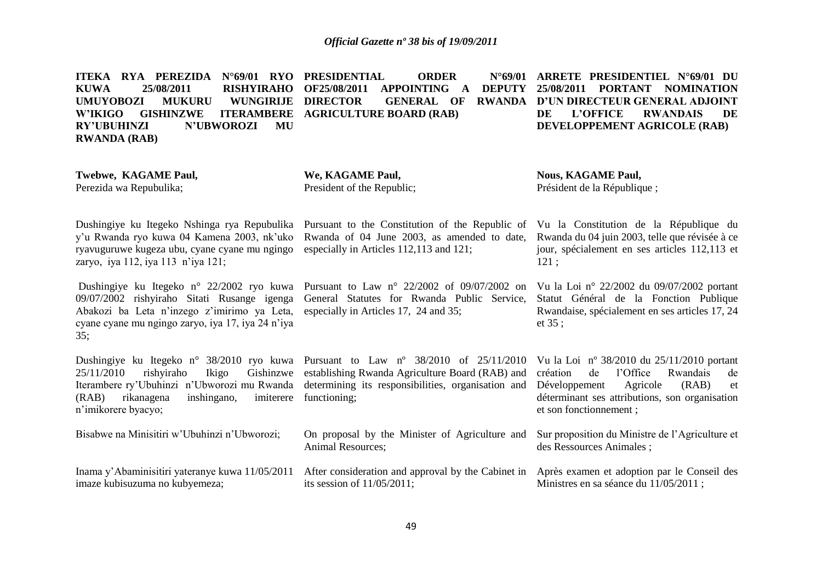**ITEKA RYA PEREZIDA N°69/01 RYO PRESIDENTIAL ORDER N°69/01 KUWA 25/08/2011 RISHYIRAHO OF25/08/2011 APPOINTING A DEPUTY 25/08/2011 PORTANT NOMINATION UMUYOBOZI MUKURU WUNGIRIJE**  W'IKIGO GISHINZWE **RY'UBUHINZI N'UBWOROZI MU RWANDA (RAB) DIRECTOR GENERAL OF RWANDA D'UN DIRECTEUR GENERAL ADJOINT ITERAMBERE AGRICULTURE BOARD (RAB) ARRETE PRESIDENTIEL N°69/01 DU DE L'OFFICE RWANDAIS DE DEVELOPPEMENT AGRICOLE (RAB)**

**Twebwe, KAGAME Paul,** Perezida wa Repubulika;

**We, KAGAME Paul,** President of the Republic;

**Nous, KAGAME Paul,** Président de la République ;

Dushingiye ku Itegeko Nshinga rya Repubulika Pursuant to the Constitution of the Republic of Vu la Constitution de la République du y'u Rwanda ryo kuwa 04 Kamena 2003, nk'uko ryavuguruwe kugeza ubu, cyane cyane mu ngingo zaryo, iya 112, iya 113 n'iya 121;

Abakozi ba Leta n'inzego z'imirimo ya Leta, cyane cyane mu ngingo zaryo, iya 17, iya 24 n'iya  $35:$ 

Dushingiye ku Itegeko n° 38/2010 ryo kuwa Pursuant to Law n° 38/2010 of 25/11/2010 Vu la Loi n° 38/2010 du 25/11/2010 portant 25/11/2010 rishyiraho Ikigo Gishinzwe establishing Rwanda Agriculture Board (RAB) and Iterambere ry'Ubuhinzi n'Ubworozi mu Rwanda determining its responsibilities, organisation and (RAB) rikanagena inshingano, n'imikorere byacyo;

Bisabwe na Minisitiri w'Ubuhinzi n'Ubworozi;

Inama y'Abaminisitiri yateranye kuwa 11/05/2011 imaze kubisuzuma no kubyemeza;

Rwanda of 04 June 2003, as amended to date, especially in Articles 112,113 and 121;

Dushingiye ku Itegeko n° 22/2002 ryo kuwa Pursuant to Law n° 22/2002 of 09/07/2002 on Vu la Loi n° 22/2002 du 09/07/2002 portant 09/07/2002 rishyiraho Sitati Rusange igenga General Statutes for Rwanda Public Service, especially in Articles 17, 24 and 35;

imiterere functioning;

On proposal by the Minister of Agriculture and Animal Resources;

After consideration and approval by the Cabinet in Après examen et adoption par le Conseil des its session of 11/05/2011;

Rwanda du 04 juin 2003, telle que révisée à ce jour, spécialement en ses articles 112,113 et 121 ;

Statut Général de la Fonction Publique Rwandaise, spécialement en ses articles 17, 24 et 35 ;

création de l'Office Rwandais de Développement Agricole (RAB) et déterminant ses attributions, son organisation et son fonctionnement ;

Sur proposition du Ministre de l'Agriculture et des Ressources Animales ;

Ministres en sa séance du 11/05/2011 ;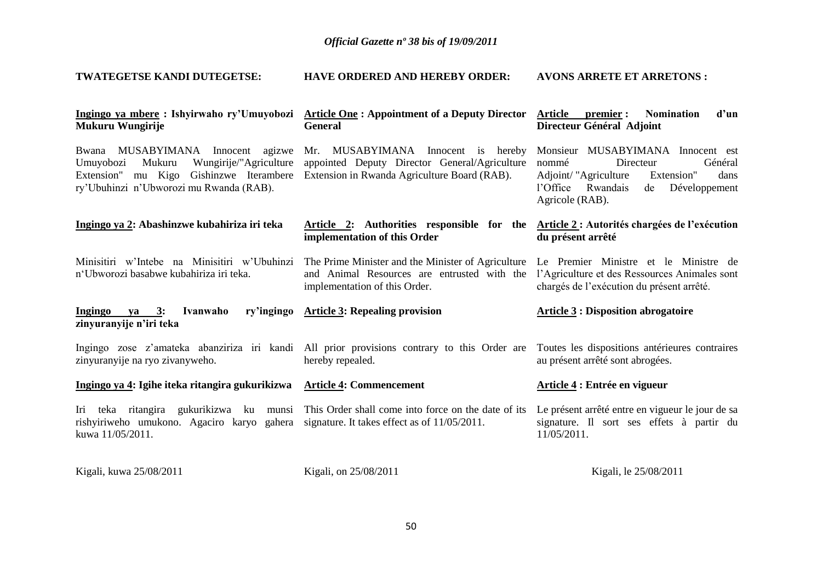| <b>TWATEGETSE KANDI DUTEGETSE:</b>                                                                                                                                          | <b>HAVE ORDERED AND HEREBY ORDER:</b>                                                                                               | <b>AVONS ARRETE ET ARRETONS:</b>                                                                                                                                                    |
|-----------------------------------------------------------------------------------------------------------------------------------------------------------------------------|-------------------------------------------------------------------------------------------------------------------------------------|-------------------------------------------------------------------------------------------------------------------------------------------------------------------------------------|
| Ingingo ya mbere: Ishyirwaho ry'Umuyobozi<br>Mukuru Wungirije                                                                                                               | <b>Article One: Appointment of a Deputy Director</b><br><b>General</b>                                                              | <b>Nomination</b><br><b>Article</b><br>premier :<br>d'un<br>Directeur Général Adjoint                                                                                               |
| Bwana MUSABYIMANA Innocent<br>agizwe<br>Wungirije/"Agriculture<br>Umuyobozi<br>Mukuru<br>Extension" mu Kigo Gishinzwe Iterambere<br>ry'Ubuhinzi n'Ubworozi mu Rwanda (RAB). | Mr. MUSABYIMANA Innocent is hereby<br>appointed Deputy Director General/Agriculture<br>Extension in Rwanda Agriculture Board (RAB). | Monsieur MUSABYIMANA Innocent est<br>nommé<br>Directeur<br>Général<br>Adjoint/ "Agriculture<br>Extension"<br>dans<br>l'Office<br>Rwandais<br>de<br>Développement<br>Agricole (RAB). |
| Ingingo ya 2: Abashinzwe kubahiriza iri teka                                                                                                                                | Article 2: Authorities responsible for the<br>implementation of this Order                                                          | Article 2 : Autorités chargées de l'exécution<br>du présent arrêté                                                                                                                  |
| Minisitiri w'Intebe na Minisitiri w'Ubuhinzi<br>n'Ubworozi basabwe kubahiriza iri teka.                                                                                     | The Prime Minister and the Minister of Agriculture<br>and Animal Resources are entrusted with the<br>implementation of this Order.  | Le Premier Ministre et le Ministre de<br>l'Agriculture et des Ressources Animales sont<br>chargés de l'exécution du présent arrêté.                                                 |
| Ingingo ya 3:<br>Ivanwaho<br>ry'ingingo<br>zinyuranyije n'iri teka                                                                                                          | <b>Article 3: Repealing provision</b>                                                                                               | <b>Article 3 : Disposition abrogatoire</b>                                                                                                                                          |
| zinyuranyije na ryo zivanyweho.                                                                                                                                             | Ingingo zose z'amateka abanziriza iri kandi All prior provisions contrary to this Order are<br>hereby repealed.                     | Toutes les dispositions antérieures contraires<br>au présent arrêté sont abrogées.                                                                                                  |
| Ingingo ya 4: Igihe iteka ritangira gukurikizwa                                                                                                                             | <b>Article 4: Commencement</b>                                                                                                      | Article 4 : Entrée en vigueur                                                                                                                                                       |
| Iri teka ritangira gukurikizwa ku munsi<br>rishyiriweho umukono. Agaciro karyo gahera<br>kuwa 11/05/2011.                                                                   | This Order shall come into force on the date of its<br>signature. It takes effect as of 11/05/2011.                                 | Le présent arrêté entre en vigueur le jour de sa<br>signature. Il sort ses effets à partir du<br>11/05/2011.                                                                        |
| Kigali, kuwa 25/08/2011                                                                                                                                                     | Kigali, on 25/08/2011                                                                                                               | Kigali, le 25/08/2011                                                                                                                                                               |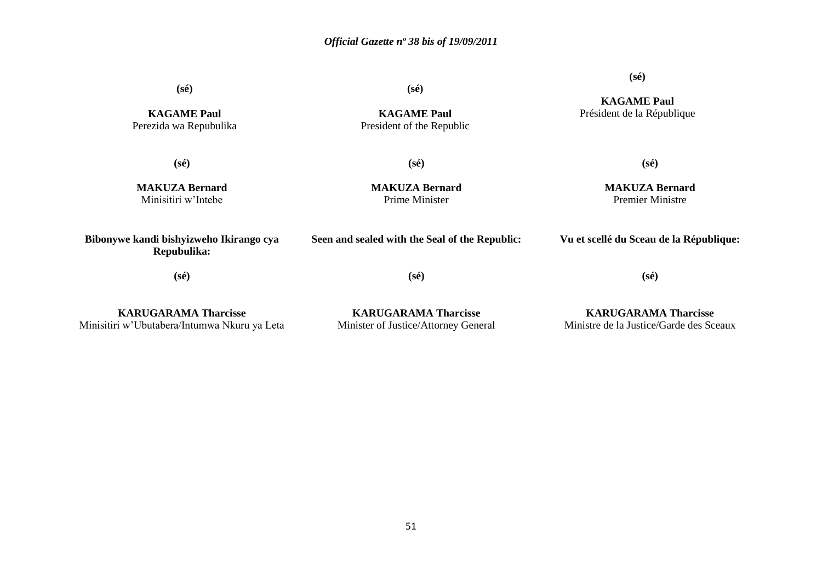**(sé)**

**KAGAME Paul** Perezida wa Repubulika

**(sé)**

**(sé)**

**KAGAME Paul** President of the Republic

**(sé)**

**MAKUZA Bernard** Minisitiri w'Intebe

**MAKUZA Bernard** Prime Minister

**MAKUZA Bernard** Premier Ministre

**(sé)**

**Bibonywe kandi bishyizweho Ikirango cya Repubulika:**

**(sé)**

**(sé)**

**Seen and sealed with the Seal of the Republic:**

**(sé)**

**Vu et scellé du Sceau de la République:**

**KARUGARAMA Tharcisse** Minisitiri w'Ubutabera/Intumwa Nkuru ya Leta

**KARUGARAMA Tharcisse** Minister of Justice/Attorney General

**KARUGARAMA Tharcisse** Ministre de la Justice/Garde des Sceaux

**(sé)**

**KAGAME Paul** Président de la République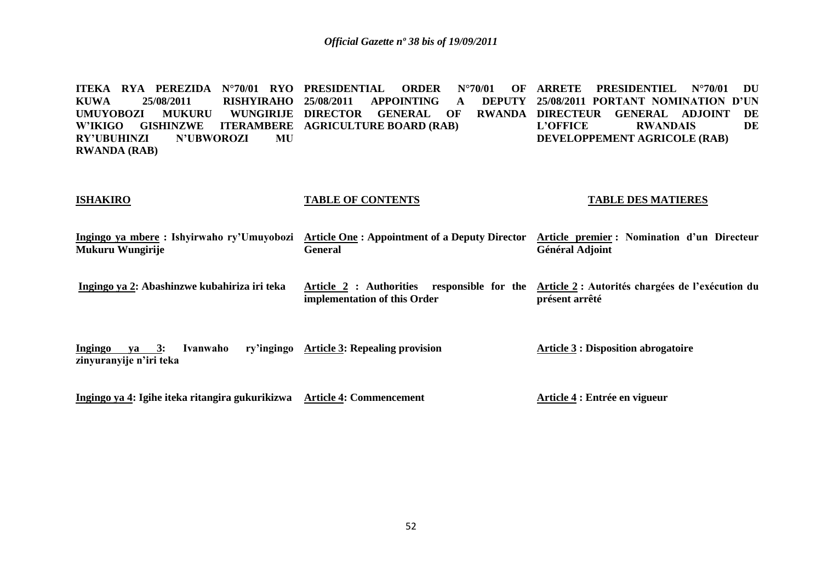**ITEKA RYA PEREZIDA N°70/01 RYO PRESIDENTIAL ORDER N°70/01 OF KUWA 25/08/2011 RISHYIRAHO UMUYOBOZI MUKURU W'IKIGO GISHINZWE ITERAMBERE AGRICULTURE BOARD (RAB) RY'UBUHINZI N'UBWOROZI MU RWANDA (RAB)** APPOINTING **A WUNGIRLIE DIRECTOR GENERAL OF ARRETE PRESIDENTIEL N°70/01 DU 25/08/2011 PORTANT NOMINATION D'UN**  RWANDA DIRECTEUR GENERAL ADJOINT DE **L'OFFICE RWANDAIS DE DEVELOPPEMENT AGRICOLE (RAB)**

#### **ISHAKIRO**

#### **TABLE OF CONTENTS**

#### **TABLE DES MATIERES**

**Ingingo ya mbere : Ishyirwaho ry'Umuyobozi Article One : Appointment of a Deputy Director Article premier : Nomination d'un Directeur Mukuru Wungirije General Général Adjoint**

**Ingingo ya 2: Abashinzwe kubahiriza iri teka Article 2 : Authorities responsible for the Article 2 : Autorités chargées de l'exécution du implementation of this Order présent arrêté**

**Ingingo ya 3: Ivanwaho zinyuranyije n'iri teka Article 3: Repealing provision Article 3 : Disposition abrogatoire**

**Ingingo ya 4: Igihe iteka ritangira gukurikizwa Article 4: Commencement**

**Article 4 : Entrée en vigueur**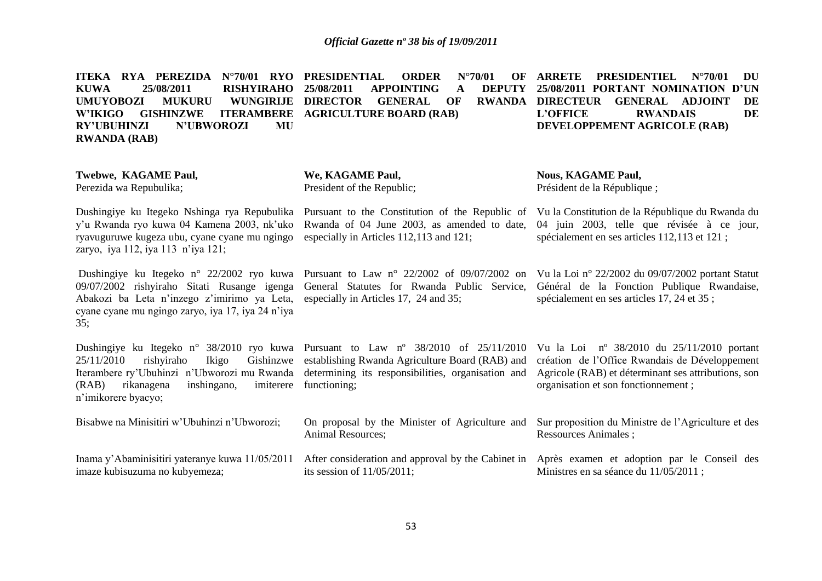**ITEKA RYA PEREZIDA N°70/01 RYO KUWA 25/08/2011 RISHYIRAHO UMUYOBOZI MUKURU WUNGIRIJE DIRECTOR GENERAL OF RWANDA W'IKIGO GISHINZWE ITERAMBERE AGRICULTURE BOARD (RAB) RY'UBUHINZI N'UBWOROZI MU RWANDA (RAB) PRDER N°70/01** APPOINTING **A ARRETE PRESIDENTIEL N°70/01 DU 25/08/2011 PORTANT NOMINATION D'UN RWANDA DIRECTEUR GENERAL ADJOINT DE<br>L'OFFICE RWANDAIS DE RWANDAIS DEVELOPPEMENT AGRICOLE (RAB)**

| Twebwe, KAGAME Paul,<br>Perezida wa Repubulika;                                                                                                                                                                      | We, KAGAME Paul,<br>President of the Republic;                                                                                                                             | <b>Nous, KAGAME Paul,</b><br>Président de la République;                                                                                                                                            |
|----------------------------------------------------------------------------------------------------------------------------------------------------------------------------------------------------------------------|----------------------------------------------------------------------------------------------------------------------------------------------------------------------------|-----------------------------------------------------------------------------------------------------------------------------------------------------------------------------------------------------|
| Dushingiye ku Itegeko Nshinga rya Repubulika<br>y'u Rwanda ryo kuwa 04 Kamena 2003, nk'uko<br>ryavuguruwe kugeza ubu, cyane cyane mu ngingo<br>zaryo, iya 112, iya 113 n'iya 121;                                    | Pursuant to the Constitution of the Republic of<br>Rwanda of 04 June 2003, as amended to date,<br>especially in Articles 112,113 and 121;                                  | Vu la Constitution de la République du Rwanda du<br>04 juin 2003, telle que révisée à ce jour,<br>spécialement en ses articles 112,113 et 121 ;                                                     |
| Dushingiye ku Itegeko n° 22/2002 ryo kuwa<br>09/07/2002 rishyiraho Sitati Rusange igenga<br>Abakozi ba Leta n'inzego z'imirimo ya Leta,<br>cyane cyane mu ngingo zaryo, iya 17, iya 24 n'iya<br>35;                  | Pursuant to Law $n^{\circ}$ 22/2002 of 09/07/2002 on<br>General Statutes for Rwanda Public Service,<br>especially in Articles 17, 24 and 35;                               | Vu la Loi nº 22/2002 du 09/07/2002 portant Statut<br>Général de la Fonction Publique Rwandaise,<br>spécialement en ses articles 17, 24 et 35;                                                       |
| Dushingiye ku Itegeko n° 38/2010 ryo kuwa<br>Ikigo<br>Gishinzwe<br>25/11/2010<br>rishyiraho<br>Iterambere ry'Ubuhinzi n'Ubworozi mu Rwanda<br>(RAB)<br>rikanagena<br>inshingano,<br>imiterere<br>n'imikorere byacyo; | Pursuant to Law $n^{\circ}$ 38/2010 of 25/11/2010<br>establishing Rwanda Agriculture Board (RAB) and<br>determining its responsibilities, organisation and<br>functioning; | Vu la Loi $n^{\circ}$ 38/2010 du 25/11/2010 portant<br>création de l'Office Rwandais de Développement<br>Agricole (RAB) et déterminant ses attributions, son<br>organisation et son fonctionnement; |
| Bisabwe na Minisitiri w'Ubuhinzi n'Ubworozi;                                                                                                                                                                         | On proposal by the Minister of Agriculture and<br>Animal Resources;                                                                                                        | Sur proposition du Ministre de l'Agriculture et des<br>Ressources Animales;                                                                                                                         |
| Inama y'Abaminisitiri yateranye kuwa 11/05/2011<br>imaze kubisuzuma no kubyemeza;                                                                                                                                    | After consideration and approval by the Cabinet in<br>its session of $11/05/2011$ ;                                                                                        | Après examen et adoption par le Conseil des<br>Ministres en sa séance du 11/05/2011;                                                                                                                |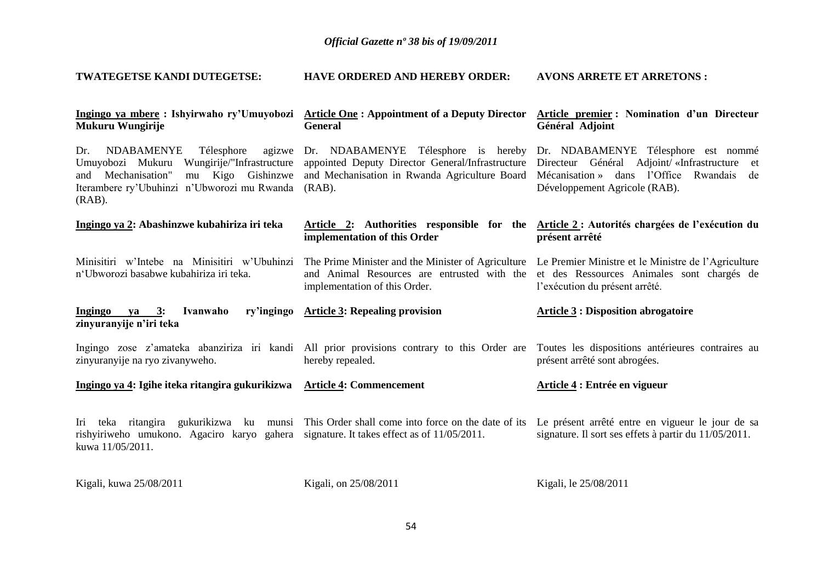| TWATEGETSE KANDI DUTEGETSE:                                                                                                                                                                              | HAVE ORDERED AND HEREBY ORDER:                                                                                                                        | <b>AVONS ARRETE ET ARRETONS:</b>                                                                                                                                              |
|----------------------------------------------------------------------------------------------------------------------------------------------------------------------------------------------------------|-------------------------------------------------------------------------------------------------------------------------------------------------------|-------------------------------------------------------------------------------------------------------------------------------------------------------------------------------|
| Ingingo ya mbere : Ishyirwaho ry'Umuyobozi<br><b>Mukuru Wungirije</b>                                                                                                                                    | <b>Article One: Appointment of a Deputy Director</b><br><b>General</b>                                                                                | Article premier: Nomination d'un Directeur<br>Général Adjoint                                                                                                                 |
| Dr.<br><b>NDABAMENYE</b><br>Télesphore<br>agizwe<br>Umuyobozi Mukuru<br>Wungirije/"Infrastructure<br>and Mechanisation"<br>mu Kigo Gishinzwe<br>Iterambere ry'Ubuhinzi n'Ubworozi mu Rwanda<br>$(RAB)$ . | Dr. NDABAMENYE Télesphore is hereby<br>appointed Deputy Director General/Infrastructure<br>and Mechanisation in Rwanda Agriculture Board<br>$(RAB)$ . | Dr. NDABAMENYE Télesphore est nommé<br>Directeur Général Adjoint/ «Infrastructure<br>et<br>Mécanisation »<br>dans l'Office<br>Rwandais<br>de<br>Développement Agricole (RAB). |
| Ingingo ya 2: Abashinzwe kubahiriza iri teka                                                                                                                                                             | Article 2: Authorities responsible for the Article 2: Autorités chargées de l'exécution du<br>implementation of this Order                            | présent arrêté                                                                                                                                                                |
| Minisitiri w'Intebe na Minisitiri w'Ubuhinzi<br>n'Ubworozi basabwe kubahiriza iri teka.                                                                                                                  | The Prime Minister and the Minister of Agriculture<br>and Animal Resources are entrusted with the<br>implementation of this Order.                    | Le Premier Ministre et le Ministre de l'Agriculture<br>et des Ressources Animales sont chargés de<br>l'exécution du présent arrêté.                                           |
| Ivanwaho<br>ry'ingingo<br>Ingingo<br>$ya = 3$ :<br>zinyuranyije n'iri teka                                                                                                                               | <b>Article 3: Repealing provision</b>                                                                                                                 | <b>Article 3: Disposition abrogatoire</b>                                                                                                                                     |
| zinyuranyije na ryo zivanyweho.                                                                                                                                                                          | Ingingo zose z'amateka abanziriza iri kandi All prior provisions contrary to this Order are<br>hereby repealed.                                       | Toutes les dispositions antérieures contraires au<br>présent arrêté sont abrogées.                                                                                            |
| Ingingo ya 4: Igihe iteka ritangira gukurikizwa                                                                                                                                                          | <b>Article 4: Commencement</b>                                                                                                                        | Article 4 : Entrée en vigueur                                                                                                                                                 |
| Iri teka ritangira gukurikizwa ku<br>munsi<br>rishyiriweho umukono. Agaciro karyo gahera<br>kuwa 11/05/2011.                                                                                             | This Order shall come into force on the date of its<br>signature. It takes effect as of 11/05/2011.                                                   | Le présent arrêté entre en vigueur le jour de sa<br>signature. Il sort ses effets à partir du 11/05/2011.                                                                     |
| Kigali, kuwa 25/08/2011                                                                                                                                                                                  | Kigali, on 25/08/2011                                                                                                                                 | Kigali, le 25/08/2011                                                                                                                                                         |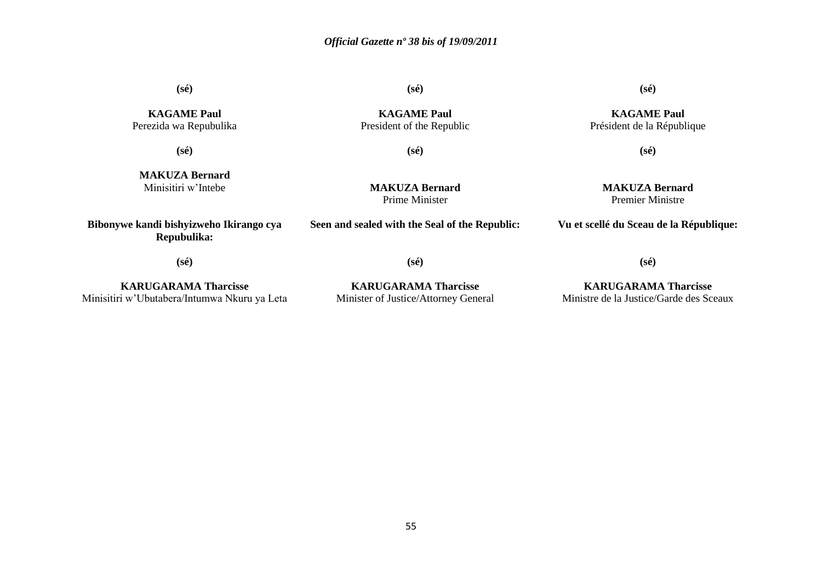**(sé)**

**KAGAME Paul** Perezida wa Repubulika **(sé)**

**(sé)**

**KAGAME Paul** Président de la République

**(sé)**

**MAKUZA Bernard** Minisitiri w'Intebe

**(sé)**

**MAKUZA Bernard**

**(sé)**

**KAGAME Paul** President of the Republic

Prime Minister

**Seen and sealed with the Seal of the Republic:**

**MAKUZA Bernard** Premier Ministre

**Vu et scellé du Sceau de la République:**

**(sé)**

**Bibonywe kandi bishyizweho Ikirango cya Repubulika:**

**(sé)**

**KARUGARAMA Tharcisse** Minisitiri w'Ubutabera/Intumwa Nkuru ya Leta

**KARUGARAMA Tharcisse** Minister of Justice/Attorney General

**KARUGARAMA Tharcisse** Ministre de la Justice/Garde des Sceaux

**(sé)**

55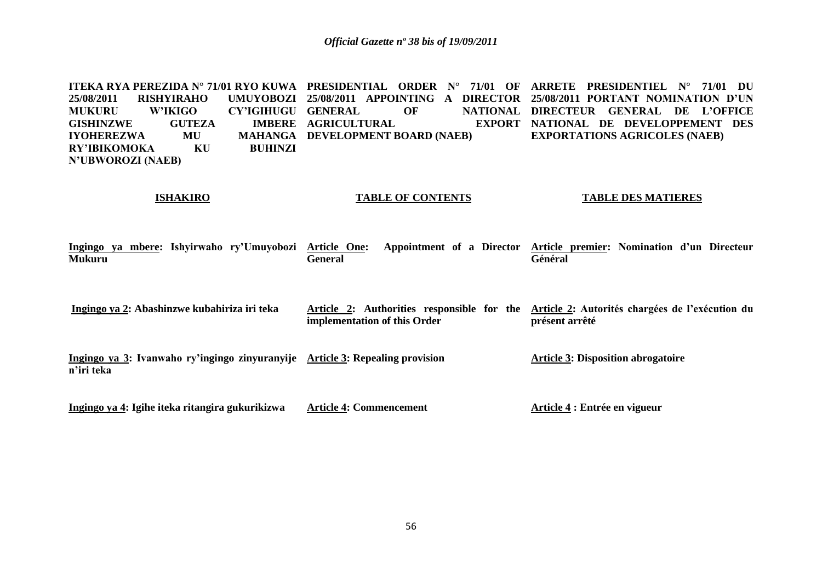**ITEKA RYA PEREZIDA N° 71/01 RYO KUWA PRESIDENTIAL ORDER N° 71/01 OF ARRETE PRESIDENTIEL N° 71/01 DU 25/08/2011 RISHYIRAHO UMUYOBOZI 25/08/2011 APPOINTING A DIRECTOR 25/08/2011 PORTANT NOMINATION D'UN MUKURU W'IKIGO CY'IGIHUGU GISHINZWE GUTEZA IYOHEREZWA MU MAHANGA RY'IBIKOMOKA N'UBWOROZI (NAEB) GENERAL OF NATIONAL DIRECTEUR GENERAL DE L'OFFICE IMBERE AGRICULTURAL MAHANGA DEVELOPMENT BOARD (NAEB) NATIONAL DE DEVELOPPEMENT DES EXPORTATIONS AGRICOLES (NAEB)**

**ISHAKIRO**

#### **TABLE OF CONTENTS TABLE DES MATIERES**

| Ingingo ya mbere: Ishyirwaho ry'Umuyobozi<br><b>Mukuru</b>                                  | Appointment of a Director<br>Article One:<br><b>General</b>                | Article premier: Nomination d'un Directeur<br>Général             |
|---------------------------------------------------------------------------------------------|----------------------------------------------------------------------------|-------------------------------------------------------------------|
| Ingingo ya 2: Abashinzwe kubahiriza iri teka                                                | Article 2: Authorities responsible for the<br>implementation of this Order | Article 2: Autorités chargées de l'exécution du<br>présent arrêté |
| Ingingo ya 3: Ivanwaho ry'ingingo zinyuranyije Article 3: Repealing provision<br>n'iri teka |                                                                            | <b>Article 3: Disposition abrogatoire</b>                         |
| Ingingo ya 4: Igihe iteka ritangira gukurikizwa                                             | <b>Article 4: Commencement</b>                                             | Article 4 : Entrée en vigueur                                     |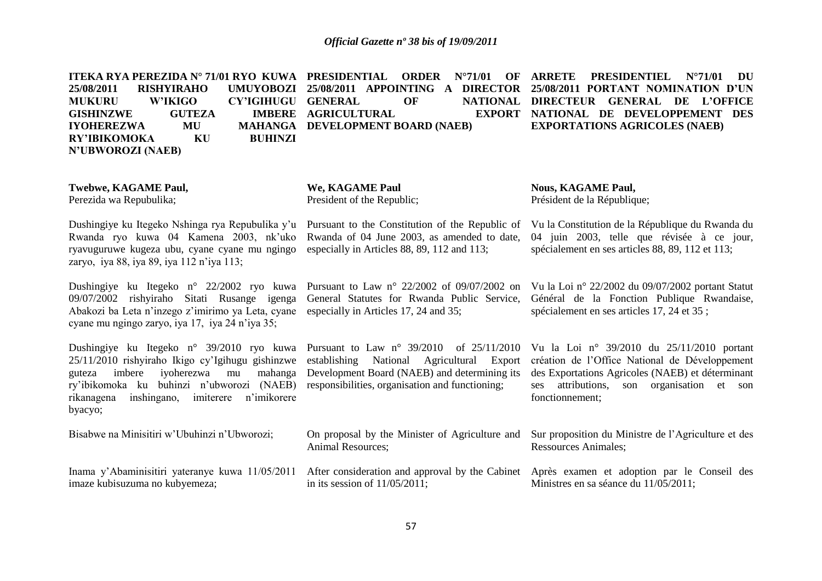| ITEKA RYA PEREZIDA Nº 71/01 RYO KUWA PRESIDENTIAL<br>25/08/2011<br><b>RISHYIRAHO</b><br><b>UMUYOBOZI</b><br><b>MUKURU</b><br><b>W'IKIGO</b><br>CY'IGIHUGU GENERAL<br><b>GUTEZA</b><br><b>IMBERE</b><br><b>GISHINZWE</b><br>MU<br><b>IYOHEREZWA</b><br>KU<br><b>RY'IBIKOMOKA</b><br><b>BUHINZI</b><br>N'UBWOROZI (NAEB) | <b>ORDER</b><br>$N^{\circ}71/01$<br>OF<br>25/08/2011 APPOINTING A DIRECTOR<br>OF<br><b>NATIONAL</b><br><b>AGRICULTURAL</b><br><b>EXPORT</b><br>MAHANGA DEVELOPMENT BOARD (NAEB)                      | <b>ARRETE</b><br><b>PRESIDENTIEL</b><br>$N^{\circ}71/01$<br>DU<br>25/08/2011 PORTANT NOMINATION D'UN<br>DIRECTEUR GENERAL DE L'OFFICE<br>NATIONAL DE DEVELOPPEMENT DES<br><b>EXPORTATIONS AGRICOLES (NAEB)</b>           |
|------------------------------------------------------------------------------------------------------------------------------------------------------------------------------------------------------------------------------------------------------------------------------------------------------------------------|------------------------------------------------------------------------------------------------------------------------------------------------------------------------------------------------------|--------------------------------------------------------------------------------------------------------------------------------------------------------------------------------------------------------------------------|
| <b>Twebwe, KAGAME Paul,</b><br>Perezida wa Repubulika;                                                                                                                                                                                                                                                                 | We, KAGAME Paul<br>President of the Republic;                                                                                                                                                        | <b>Nous, KAGAME Paul,</b><br>Président de la République;                                                                                                                                                                 |
| Dushingiye ku Itegeko Nshinga rya Repubulika y'u<br>Rwanda ryo kuwa 04 Kamena 2003, nk'uko<br>ryavuguruwe kugeza ubu, cyane cyane mu ngingo<br>zaryo, iya 88, iya 89, iya 112 n'iya 113;                                                                                                                               | Pursuant to the Constitution of the Republic of<br>Rwanda of 04 June 2003, as amended to date,<br>especially in Articles 88, 89, 112 and 113;                                                        | Vu la Constitution de la République du Rwanda du<br>04 juin 2003, telle que révisée à ce jour,<br>spécialement en ses articles 88, 89, 112 et 113;                                                                       |
| Dushingiye ku Itegeko n° 22/2002 ryo kuwa<br>09/07/2002 rishyiraho Sitati Rusange igenga<br>Abakozi ba Leta n'inzego z'imirimo ya Leta, cyane<br>cyane mu ngingo zaryo, iya 17, iya 24 n'iya 35;                                                                                                                       | Pursuant to Law n° $22/2002$ of 09/07/2002 on<br>General Statutes for Rwanda Public Service,<br>especially in Articles 17, 24 and 35;                                                                | Vu la Loi nº 22/2002 du 09/07/2002 portant Statut<br>Général de la Fonction Publique Rwandaise,<br>spécialement en ses articles 17, 24 et 35;                                                                            |
| Dushingiye ku Itegeko n° 39/2010 ryo kuwa<br>25/11/2010 rishyiraho Ikigo cy'Igihugu gishinzwe<br>iyoherezwa<br>imbere<br>mahanga<br>guteza<br>mu<br>ry'ibikomoka ku buhinzi n'ubworozi (NAEB)<br>rikanagena<br>inshingano,<br>n'imikorere<br>imiterere<br>byacyo;                                                      | Pursuant to Law $n^{\circ}$ 39/2010 of 25/11/2010<br>establishing<br>National Agricultural Export<br>Development Board (NAEB) and determining its<br>responsibilities, organisation and functioning; | Vu la Loi nº 39/2010 du $25/11/2010$ portant<br>création de l'Office National de Développement<br>des Exportations Agricoles (NAEB) et déterminant<br>attributions,<br>son organisation et son<br>ses<br>fonctionnement; |
| Bisabwe na Minisitiri w'Ubuhinzi n'Ubworozi;                                                                                                                                                                                                                                                                           | On proposal by the Minister of Agriculture and<br><b>Animal Resources;</b>                                                                                                                           | Sur proposition du Ministre de l'Agriculture et des<br><b>Ressources Animales;</b>                                                                                                                                       |
| Inama y'Abaminisitiri yateranye kuwa 11/05/2011<br>imaze kubisuzuma no kubyemeza;                                                                                                                                                                                                                                      | After consideration and approval by the Cabinet<br>in its session of $11/05/2011$ ;                                                                                                                  | Après examen et adoption par le Conseil des<br>Ministres en sa séance du 11/05/2011;                                                                                                                                     |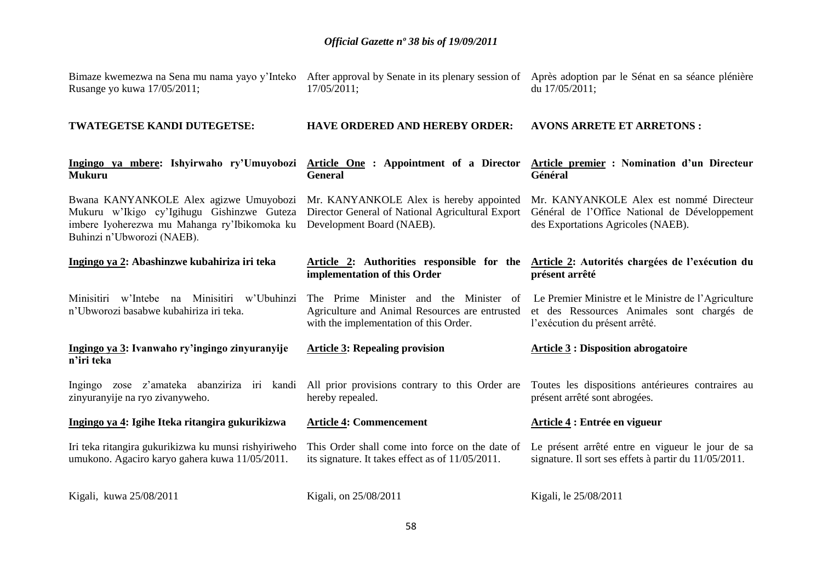| Kigali, kuwa 25/08/2011                                                                                                                                            | Kigali, on 25/08/2011                                                                                                              | Kigali, le 25/08/2011                                                                                                                                                |
|--------------------------------------------------------------------------------------------------------------------------------------------------------------------|------------------------------------------------------------------------------------------------------------------------------------|----------------------------------------------------------------------------------------------------------------------------------------------------------------------|
| Iri teka ritangira gukurikizwa ku munsi rishyiriweho<br>umukono. Agaciro karyo gahera kuwa 11/05/2011.                                                             | This Order shall come into force on the date of<br>its signature. It takes effect as of 11/05/2011.                                | Le présent arrêté entre en vigueur le jour de sa<br>signature. Il sort ses effets à partir du 11/05/2011.                                                            |
| Ingingo ya 4: Igihe Iteka ritangira gukurikizwa                                                                                                                    | <b>Article 4: Commencement</b>                                                                                                     | Article 4 : Entrée en vigueur                                                                                                                                        |
| Ingingo zose z'amateka abanziriza iri kandi<br>zinyuranyije na ryo zivanyweho.                                                                                     | All prior provisions contrary to this Order are<br>hereby repealed.                                                                | Toutes les dispositions antérieures contraires au<br>présent arrêté sont abrogées.                                                                                   |
| Ingingo ya 3: Ivanwaho ry'ingingo zinyuranyije<br>n'iri teka                                                                                                       | <b>Article 3: Repealing provision</b>                                                                                              | <b>Article 3 : Disposition abrogatoire</b>                                                                                                                           |
| w'Intebe na Minisitiri w'Ubuhinzi<br>Minisitiri<br>n'Ubworozi basabwe kubahiriza iri teka.                                                                         | The Prime Minister and the Minister of<br>Agriculture and Animal Resources are entrusted<br>with the implementation of this Order. | Le Premier Ministre et le Ministre de l'Agriculture<br>et des Ressources Animales sont chargés de<br>l'exécution du présent arrêté.                                  |
| Ingingo ya 2: Abashinzwe kubahiriza iri teka                                                                                                                       | implementation of this Order                                                                                                       | Article 2: Authorities responsible for the Article 2: Autorités chargées de l'exécution du<br>présent arrêté                                                         |
| Bwana KANYANKOLE Alex agizwe Umuyobozi<br>Mukuru w'Ikigo cy'Igihugu Gishinzwe Guteza<br>imbere Iyoherezwa mu Mahanga ry'Ibikomoka ku<br>Buhinzi n'Ubworozi (NAEB). | Mr. KANYANKOLE Alex is hereby appointed<br>Director General of National Agricultural Export<br>Development Board (NAEB).           | Mr. KANYANKOLE Alex est nommé Directeur<br>Général de l'Office National de Développement<br>des Exportations Agricoles (NAEB).                                       |
| Ingingo ya mbere: Ishyirwaho ry'Umuyobozi Article One : Appointment of a Director Article premier : Nomination d'un Directeur<br><b>Mukuru</b>                     | <b>General</b>                                                                                                                     | Général                                                                                                                                                              |
| TWATEGETSE KANDI DUTEGETSE:                                                                                                                                        | <b>HAVE ORDERED AND HEREBY ORDER:</b>                                                                                              | <b>AVONS ARRETE ET ARRETONS:</b>                                                                                                                                     |
| Rusange yo kuwa 17/05/2011;                                                                                                                                        | 17/05/2011;                                                                                                                        | Bimaze kwemezwa na Sena mu nama yayo y'Inteko After approval by Senate in its plenary session of Après adoption par le Sénat en sa séance plénière<br>du 17/05/2011; |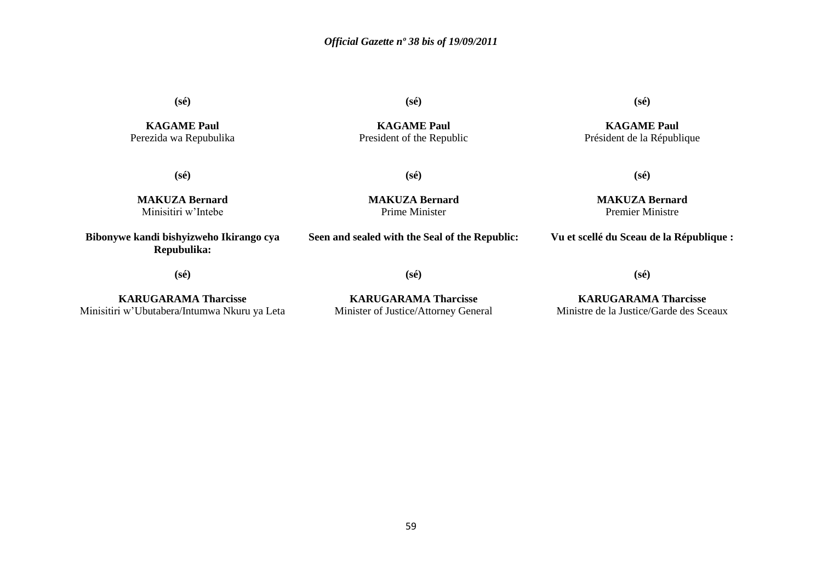**(sé)**

**KAGAME Paul** Perezida wa Repubulika **(sé)**

**KAGAME Paul** President of the Republic **(sé)**

**KAGAME Paul** Président de la République

**(sé)**

**MAKUZA Bernard** Premier Ministre

**Vu et scellé du Sceau de la République :**

**(sé)**

**(sé)**

**MAKUZA Bernard** Minisitiri w'Intebe

**Bibonywe kandi bishyizweho Ikirango cya Repubulika:**

**MAKUZA Bernard** Prime Minister

# **Seen and sealed with the Seal of the Republic:**

**(sé)**

**(sé)**

**KARUGARAMA Tharcisse** Minisitiri w'Ubutabera/Intumwa Nkuru ya Leta

**KARUGARAMA Tharcisse** Minister of Justice/Attorney General

**(sé)**

# **KARUGARAMA Tharcisse** Ministre de la Justice/Garde des Sceaux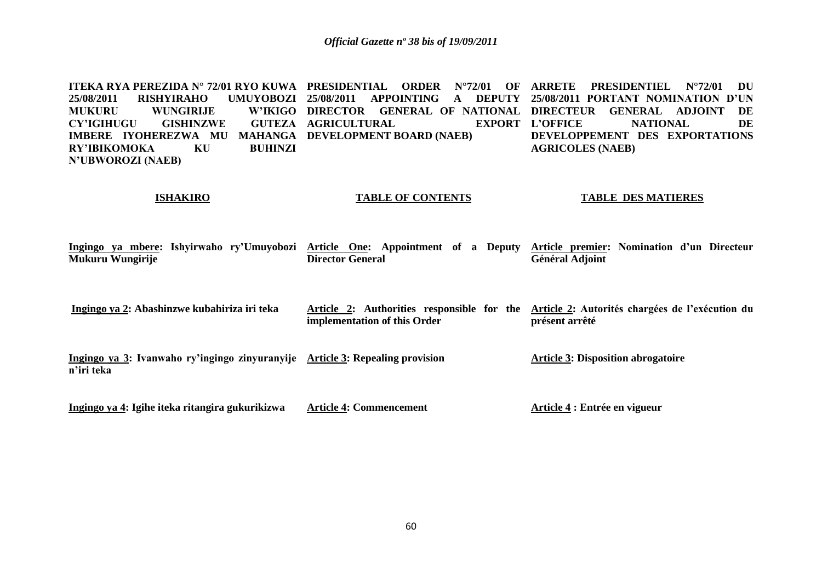<code>ITEKA RYA PEREZIDA N° 72/01 RYO KUWA PRESIDENTIAL ORDER N°72/01 OF ARRETE PRESIDENTIEL N°72/01 DU</code> **25/08/2011 RISHYIRAHO UMUYOBOZI 25/08/2011 APPOINTING A DEPUTY 25/08/2011 PORTANT NOMINATION D'UN MUKURU WUNGIRIJE CY'IGIHUGU GISHINZWE IMBERE IYOHEREZWA MU MAHANGA DEVELOPMENT BOARD (NAEB) RY'IBIKOMOKA KU BUHINZI N'UBWOROZI (NAEB) DIRECTOR GENERAL OF NATIONAL DIRECTEUR GENERAL ADJOINT DE GUTEZA AGRICULTURAL EXPORT L'OFFICE L'OFFICE NATIONAL DE DEVELOPPEMENT DES EXPORTATIONS AGRICOLES (NAEB)**

#### **ISHAKIRO**

#### **TABLE OF CONTENTS**

#### **TABLE DES MATIERES**

|                  |  | Ingingo ya mbere: Ishyirwaho ry'Umuyobozi Article One: Appointment of a Deputy Article premier: Nomination d'un Directeur |                         |  |  |  |                 |  |  |
|------------------|--|---------------------------------------------------------------------------------------------------------------------------|-------------------------|--|--|--|-----------------|--|--|
| Mukuru Wungirije |  |                                                                                                                           | <b>Director General</b> |  |  |  | Général Adjoint |  |  |

| Ingingo ya 2: Abashinzwe kubahiriza iri teka |                              | Article 2: Authorities responsible for the Article 2: Autorités chargées de l'exécution du |
|----------------------------------------------|------------------------------|--------------------------------------------------------------------------------------------|
|                                              | implementation of this Order | présent arrêté                                                                             |

**Ingingo ya 3: Ivanwaho ry'ingingo zinyuranyije Article 3: Repealing provision n'iri teka Article 3: Disposition abrogatoire**

**Ingingo ya 4: Igihe iteka ritangira gukurikizwa Article 4: Commencement Article 4 : Entrée en vigueur**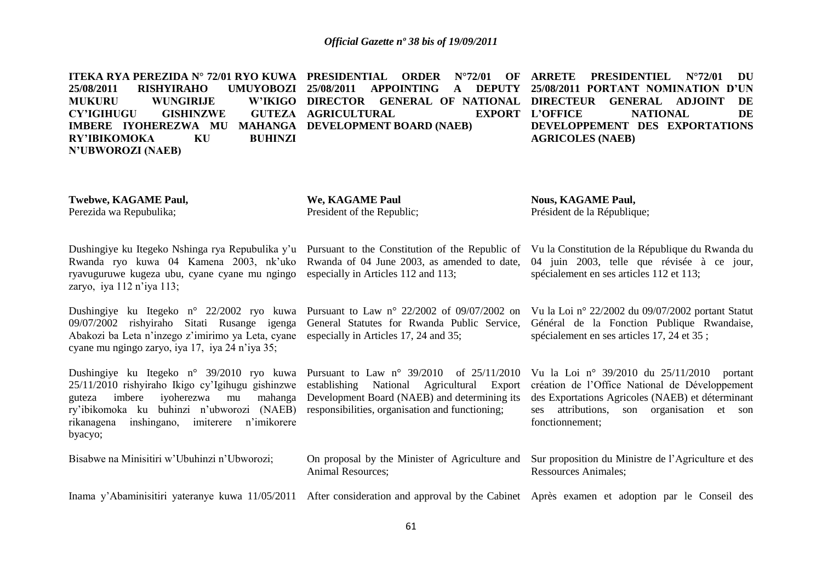<code>ITEKA RYA PEREZIDA N° 72/01 RYO KUWA PRESIDENTIAL ORDER N°72/01 OF ARRETE PRESIDENTIEL N°72/01 DU</code> **25/08/2011 RISHYIRAHO MUKURU WUNGIRLIE CY'IGIHUGU GISHINZWE IMBERE IYOHEREZWA MU MAHANGA DEVELOPMENT BOARD (NAEB) RY'IBIKOMOKA KU BUHINZI N'UBWOROZI (NAEB) 25/08/2011 APPOINTING A DEPUTY 25/08/2011 PORTANT NOMINATION D'UN DIRECTOR GENERAL OF NATIONAL DIRECTEUR GENERAL ADJOINT DE GUTEZA AGRICULTURAL EXPORT L'OFFICE L'ONAL DE DEVELOPPEMENT DES EXPORTATIONS AGRICOLES (NAEB)**

**Twebwe, KAGAME Paul,**

Perezida wa Repubulika;

**We, KAGAME Paul** President of the Republic; **Nous, KAGAME Paul,** Président de la République;

Dushingiye ku Itegeko Nshinga rya Repubulika y'u Pursuant to the Constitution of the Republic of Vu la Constitution de la République du Rwanda du Rwanda ryo kuwa 04 Kamena 2003, nk'uko Rwanda of 04 June 2003, as amended to date, ryavuguruwe kugeza ubu, cyane cyane mu ngingo especially in Articles 112 and 113; zaryo, iya 112 n'iya 113;

09/07/2002 rishyiraho Sitati Rusange igenga General Statutes for Rwanda Public Service, Abakozi ba Leta n'inzego z'imirimo ya Leta, cyane especially in Articles 17, 24 and 35; cyane mu ngingo zaryo, iya 17, iya 24 n'iya 35;

Dushingiye ku Itegeko n° 39/2010 ryo kuwa Pursuant to Law n° 39/2010 of 25/11/2010 25/11/2010 rishyiraho Ikigo cy'Igihugu gishinzwe establishing National Agricultural Export création de l'Office National de Développement guteza imbere iyoherezwa mu ry'ibikomoka ku buhinzi n'ubworozi (NAEB) responsibilities, organisation and functioning; rikanagena inshingano, imiterere n'imikorere byacyo;

Bisabwe na Minisitiri w'Ubuhinzi n'Ubworozi;

Dushingiye ku Itegeko n° 22/2002 ryo kuwa Pursuant to Law n° 22/2002 of 09/07/2002 on Vu la Loi n° 22/2002 du 09/07/2002 portant Statut

Development Board (NAEB) and determining its

04 juin 2003, telle que révisée à ce jour, spécialement en ses articles 112 et 113;

Général de la Fonction Publique Rwandaise, spécialement en ses articles 17, 24 et 35 ;

Vu la Loi n° 39/2010 du 25/11/2010 portant des Exportations Agricoles (NAEB) et déterminant ses attributions, son organisation et son fonctionnement;

On proposal by the Minister of Agriculture and Sur proposition du Ministre de l'Agriculture et des Ressources Animales;

Inama y'Abaminisitiri yateranye kuwa 11/05/2011 After consideration and approval by the Cabinet Après examen et adoption par le Conseil des

Animal Resources;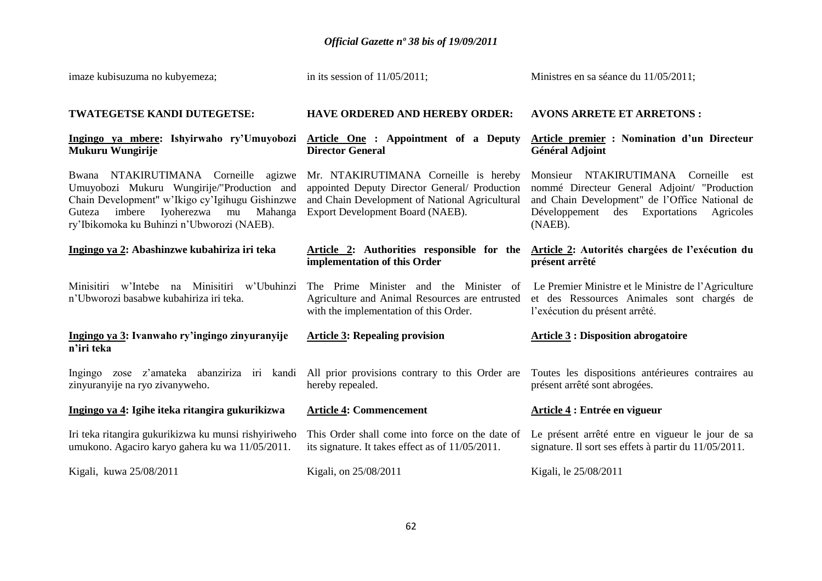| imaze kubisuzuma no kubyemeza;                                                                                                                                                                                                      | in its session of $11/05/2011$ ;                                                                                                                                             | Ministres en sa séance du 11/05/2011;                                                                                                                                                                  |  |  |  |
|-------------------------------------------------------------------------------------------------------------------------------------------------------------------------------------------------------------------------------------|------------------------------------------------------------------------------------------------------------------------------------------------------------------------------|--------------------------------------------------------------------------------------------------------------------------------------------------------------------------------------------------------|--|--|--|
| TWATEGETSE KANDI DUTEGETSE:                                                                                                                                                                                                         | <b>HAVE ORDERED AND HEREBY ORDER:</b>                                                                                                                                        | <b>AVONS ARRETE ET ARRETONS:</b>                                                                                                                                                                       |  |  |  |
| Ingingo ya mbere: Ishyirwaho ry'Umuyobozi<br>Mukuru Wungirije                                                                                                                                                                       | Article One : Appointment of a Deputy<br><b>Director General</b>                                                                                                             | Article premier : Nomination d'un Directeur<br><b>Général Adjoint</b>                                                                                                                                  |  |  |  |
| Bwana NTAKIRUTIMANA Corneille agizwe<br>Umuyobozi Mukuru Wungirije/"Production and<br>Chain Development" w'Ikigo cy'Igihugu Gishinzwe<br>imbere<br>Iyoherezwa mu<br>Mahanga<br>Guteza<br>ry'Ibikomoka ku Buhinzi n'Ubworozi (NAEB). | Mr. NTAKIRUTIMANA Corneille is hereby<br>appointed Deputy Director General/ Production<br>and Chain Development of National Agricultural<br>Export Development Board (NAEB). | Monsieur NTAKIRUTIMANA Corneille<br>est<br>nommé Directeur General Adjoint/ "Production<br>and Chain Development" de l'Office National de<br>Développement<br>des Exportations<br>Agricoles<br>(NAEB). |  |  |  |
| Ingingo ya 2: Abashinzwe kubahiriza iri teka                                                                                                                                                                                        | implementation of this Order                                                                                                                                                 | Article 2: Authorities responsible for the Article 2: Autorités chargées de l'exécution du<br>présent arrêté                                                                                           |  |  |  |
| Minisitiri w'Intebe na Minisitiri w'Ubuhinzi<br>n'Ubworozi basabwe kubahiriza iri teka.                                                                                                                                             | The Prime Minister and the Minister of<br>Agriculture and Animal Resources are entrusted<br>with the implementation of this Order.                                           | Le Premier Ministre et le Ministre de l'Agriculture<br>et des Ressources Animales sont chargés de<br>l'exécution du présent arrêté.                                                                    |  |  |  |
| Ingingo ya 3: Ivanwaho ry'ingingo zinyuranyije<br>n'iri teka                                                                                                                                                                        | <b>Article 3: Repealing provision</b>                                                                                                                                        | <b>Article 3: Disposition abrogatoire</b>                                                                                                                                                              |  |  |  |
| Ingingo zose z'amateka abanziriza iri kandi<br>zinyuranyije na ryo zivanyweho.                                                                                                                                                      | All prior provisions contrary to this Order are<br>hereby repealed.                                                                                                          | Toutes les dispositions antérieures contraires au<br>présent arrêté sont abrogées.                                                                                                                     |  |  |  |
| Ingingo ya 4: Igihe iteka ritangira gukurikizwa                                                                                                                                                                                     | <b>Article 4: Commencement</b>                                                                                                                                               | Article 4 : Entrée en vigueur                                                                                                                                                                          |  |  |  |
| Iri teka ritangira gukurikizwa ku munsi rishyiriweho<br>umukono. Agaciro karyo gahera ku wa 11/05/2011.                                                                                                                             | This Order shall come into force on the date of<br>its signature. It takes effect as of 11/05/2011.                                                                          | Le présent arrêté entre en vigueur le jour de sa<br>signature. Il sort ses effets à partir du 11/05/2011.                                                                                              |  |  |  |
| Kigali, kuwa 25/08/2011                                                                                                                                                                                                             | Kigali, on 25/08/2011                                                                                                                                                        | Kigali, le 25/08/2011                                                                                                                                                                                  |  |  |  |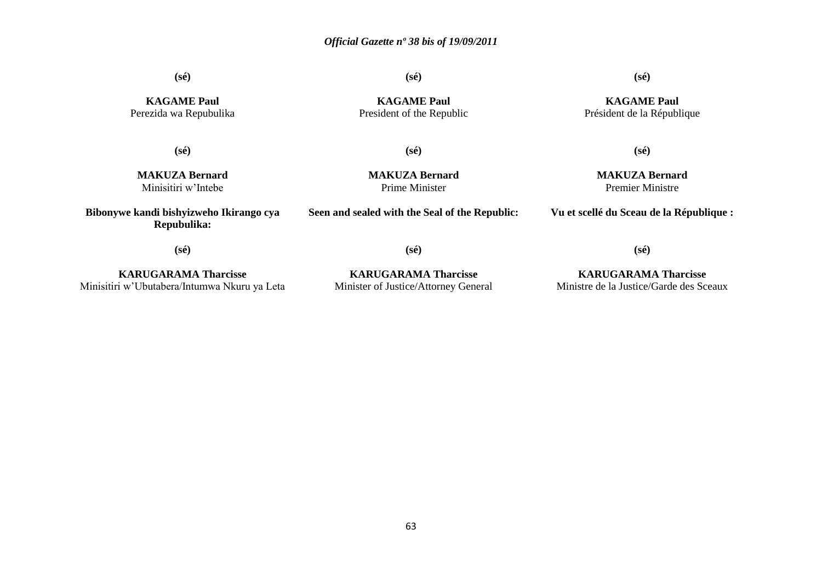**(sé)**

**(sé)**

**KAGAME Paul** President of the Republic **(sé)**

**KAGAME Paul** Président de la République

**KAGAME Paul** Perezida wa Repubulika

**(sé)**

**(sé)**

**MAKUZA Bernard** Minisitiri w'Intebe

**Bibonywe kandi bishyizweho Ikirango cya Repubulika:**

**MAKUZA Bernard** Prime Minister

**Seen and sealed with the Seal of the Republic:**

**MAKUZA Bernard** Premier Ministre

**(sé)**

**Vu et scellé du Sceau de la République :**

**(sé)**

**KARUGARAMA Tharcisse** Minisitiri w'Ubutabera/Intumwa Nkuru ya Leta

**KARUGARAMA Tharcisse** Minister of Justice/Attorney General

**(sé)**

**KARUGARAMA Tharcisse** Ministre de la Justice/Garde des Sceaux

**(sé)**

63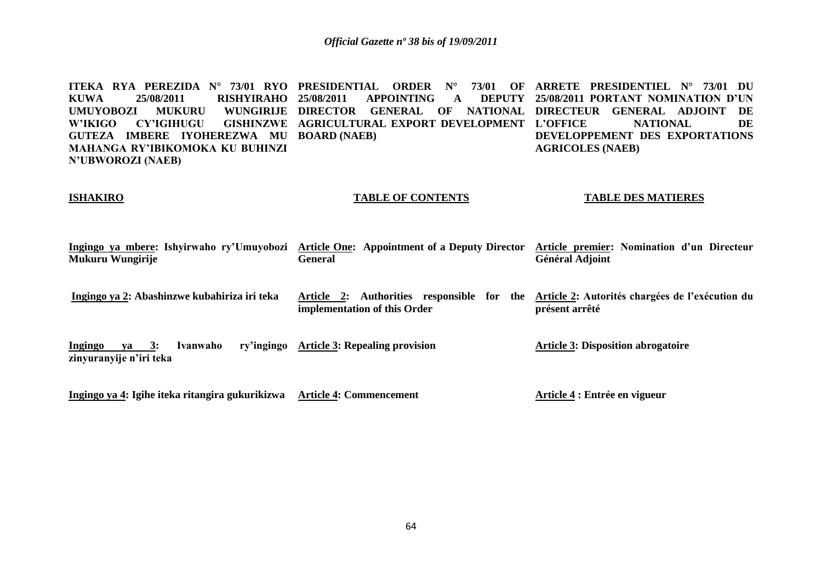**ITEKA RYA PEREZIDA N° 73/01 RYO PRESIDENTIAL ORDER N° 73/01 OF ARRETE PRESIDENTIEL N° 73/01 DU KUWA 25/08/2011 RISHYIRAHO**  UMUYOBOZI MUKURU **W'IKIGO CY'IGIHUGU GUTEZA IMBERE IYOHEREZWA MU BOARD (NAEB) MAHANGA RY'IBIKOMOKA KU BUHINZI N'UBWOROZI (NAEB) 25/08/2011 APPOINTING A DEPUTY 25/08/2011 PORTANT NOMINATION D'UN DIRECTOR GENERAL OF NATIONAL DIRECTEUR GENERAL ADJOINT DE GISHINZWE AGRICULTURAL EXPORT DEVELOPMENT L'OFFICE L'ONAL** DE **DEVELOPPEMENT DES EXPORTATIONS AGRICOLES (NAEB)**

#### **ISHAKIRO**

#### **TABLE OF CONTENTS**

#### **TABLE DES MATIERES**

| Ingingo ya mbere: Ishyirwaho ry'Umuyobozi<br>Mukuru Wungirije             | Article One: Appointment of a Deputy Director<br><b>General</b>            | Article premier: Nomination d'un Directeur<br><b>Général Adjoint</b> |
|---------------------------------------------------------------------------|----------------------------------------------------------------------------|----------------------------------------------------------------------|
| Ingingo ya 2: Abashinzwe kubahiriza iri teka                              | Article 2: Authorities responsible for the<br>implementation of this Order | Article 2: Autorités chargées de l'exécution du<br>présent arrêté    |
| ry'ingingo<br>Ingingo<br>Ivanwaho<br>$va = 3:$<br>zinyuranyije n'iri teka | <b>Article 3: Repealing provision</b>                                      | <b>Article 3: Disposition abrogatoire</b>                            |
| Ingingo ya 4: Igihe iteka ritangira gukurikizwa                           | <b>Article 4: Commencement</b>                                             | Article 4 : Entrée en vigueur                                        |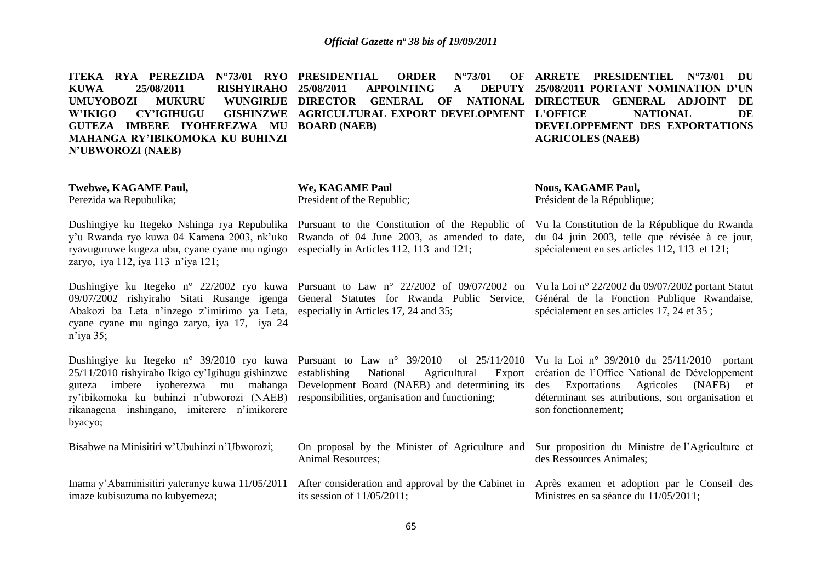**ITEKA RYA PEREZIDA N°73/01 RYO PRESIDENTIAL ORDER N°73/01 OF KUWA 25/08/2011 RISHYIRAHO UMUYOBOZI MUKURU W'IKIGO CY'IGIHUGU GUTEZA IMBERE IYOHEREZWA MU BOARD (NAEB) MAHANGA RY'IBIKOMOKA KU BUHINZI N'UBWOROZI (NAEB)** APPOINTING **A DIRECTOR GENERAL OF NATIONAL DIRECTEUR GENERAL ADJOINT DE GISHINZWE AGRICULTURAL EXPORT DEVELOPMENT L'OFFICE ARRETE PRESIDENTIEL N°73/01 DU 25/08/2011 PORTANT NOMINATION D'UN L'ONAL DE DEVELOPPEMENT DES EXPORTATIONS AGRICOLES (NAEB)**

#### **Twebwe, KAGAME Paul,** Perezida wa Repubulika;

**We, KAGAME Paul** President of the Republic;

Animal Resources;

its session of 11/05/2011;

Dushingiye ku Itegeko Nshinga rya Repubulika y'u Rwanda ryo kuwa 04 Kamena 2003, nk'uko ryavuguruwe kugeza ubu, cyane cyane mu ngingo zaryo, iya 112, iya 113 n'iya 121;

09/07/2002 rishyiraho Sitati Rusange igenga Abakozi ba Leta n'inzego z'imirimo ya Leta, cyane cyane mu ngingo zaryo, iya 17, iya 24 n'iya 35;

25/11/2010 rishyiraho Ikigo cy'Igihugu gishinzwe ry'ibikomoka ku buhinzi n'ubworozi (NAEB) responsibilities, organisation and functioning; rikanagena inshingano, imiterere n'imikorere byacyo;

Bisabwe na Minisitiri w'Ubuhinzi n'Ubworozi; Inama y'Abaminisitiri yateranye kuwa 11/05/2011 After consideration and approval by the Cabinet in Après examen et adoption par le Conseil des imaze kubisuzuma no kubyemeza;

Pursuant to the Constitution of the Republic of Rwanda of 04 June 2003, as amended to date, especially in Articles 112, 113 and 121;

Dushingiye ku Itegeko n° 22/2002 ryo kuwa Pursuant to Law n° 22/2002 of 09/07/2002 on Vula Loin° 22/2002 du 09/07/2002 portant Statut General Statutes for Rwanda Public Service, especially in Articles 17, 24 and 35;

Dushingiye ku Itegeko n° 39/2010 ryo kuwa Pursuant to Law n° 39/2010 of 25/11/2010 guteza imbere iyoherezwa mu mahanga Development Board (NAEB) and determining its National Agricultural Export

On proposal by the Minister of Agriculture and

**Nous, KAGAME Paul,** Président de la République;

Vu la Constitution de la République du Rwanda du 04 juin 2003, telle que révisée à ce jour, spécialement en ses articles 112, 113 et 121;

Général de la Fonction Publique Rwandaise, spécialement en ses articles 17, 24 et 35 ;

of 25/11/2010 Vu la Loi n° 39/2010 du 25/11/2010 portant création de l'Office National de Développement des Exportations Agricoles (NAEB) et déterminant ses attributions, son organisation et son fonctionnement;

> Sur proposition du Ministre de l'Agriculture et des Ressources Animales;

Ministres en sa séance du 11/05/2011;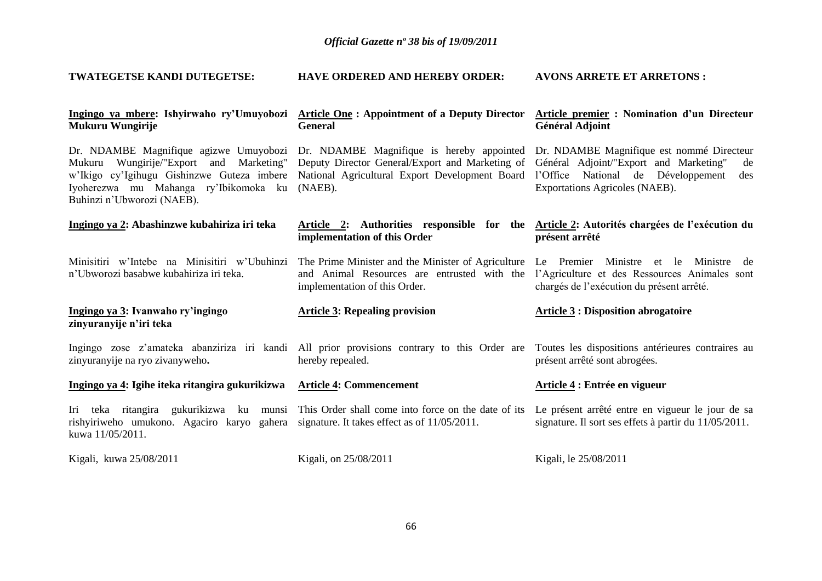| TWATEGETSE KANDI DUTEGETSE:                                                                                                                         | <b>HAVE ORDERED AND HEREBY ORDER:</b>                                                                                                                                                                                                                   | <b>AVONS ARRETE ET ARRETONS:</b>                                                                                                                                         |  |  |  |
|-----------------------------------------------------------------------------------------------------------------------------------------------------|---------------------------------------------------------------------------------------------------------------------------------------------------------------------------------------------------------------------------------------------------------|--------------------------------------------------------------------------------------------------------------------------------------------------------------------------|--|--|--|
| Ingingo ya mbere: Ishyirwaho ry'Umuyobozi<br>Mukuru Wungirije                                                                                       | <b>Article One: Appointment of a Deputy Director</b><br><b>General</b>                                                                                                                                                                                  | Article premier : Nomination d'un Directeur<br><b>Général Adjoint</b>                                                                                                    |  |  |  |
| w'Ikigo cy'Igihugu Gishinzwe Guteza imbere<br>Iyoherezwa mu Mahanga ry'Ibikomoka ku<br>Buhinzi n'Ubworozi (NAEB).                                   | Dr. NDAMBE Magnifique agizwe Umuyobozi Dr. NDAMBE Magnifique is hereby appointed<br>Mukuru Wungirije/"Export and Marketing" Deputy Director General/Export and Marketing of<br>National Agricultural Export Development Board<br>$(NAEB)$ .             | Dr. NDAMBE Magnifique est nommé Directeur<br>Général Adjoint/"Export and Marketing"<br>de<br>l'Office National de Développement<br>des<br>Exportations Agricoles (NAEB). |  |  |  |
| Ingingo ya 2: Abashinzwe kubahiriza iri teka                                                                                                        | Article 2: Authorities responsible for the Article 2: Autorités chargées de l'exécution du<br>implementation of this Order                                                                                                                              | présent arrêté                                                                                                                                                           |  |  |  |
| n'Ubworozi basabwe kubahiriza iri teka.                                                                                                             | Minisitiri w'Intebe na Minisitiri w'Ubuhinzi The Prime Minister and the Minister of Agriculture Le Premier Ministre et le<br>and Animal Resources are entrusted with the l'Agriculture et des Ressources Animales sont<br>implementation of this Order. | Ministre<br>de<br>chargés de l'exécution du présent arrêté.                                                                                                              |  |  |  |
| Ingingo ya 3: Ivanwaho ry'ingingo<br>zinyuranyije n'iri teka                                                                                        | <b>Article 3: Repealing provision</b>                                                                                                                                                                                                                   | <b>Article 3: Disposition abrogatoire</b>                                                                                                                                |  |  |  |
| zinyuranyije na ryo zivanyweho.                                                                                                                     | Ingingo zose z'amateka abanziriza iri kandi All prior provisions contrary to this Order are Toutes les dispositions antérieures contraires au<br>hereby repealed.                                                                                       | présent arrêté sont abrogées.                                                                                                                                            |  |  |  |
| Ingingo ya 4: Igihe iteka ritangira gukurikizwa                                                                                                     | <b>Article 4: Commencement</b>                                                                                                                                                                                                                          | Article 4 : Entrée en vigueur                                                                                                                                            |  |  |  |
| Iri teka ritangira gukurikizwa<br>ku<br>rishyiriweho umukono. Agaciro karyo gahera signature. It takes effect as of 11/05/2011.<br>kuwa 11/05/2011. | munsi This Order shall come into force on the date of its                                                                                                                                                                                               | Le présent arrêté entre en vigueur le jour de sa<br>signature. Il sort ses effets à partir du 11/05/2011.                                                                |  |  |  |
| Kigali, kuwa 25/08/2011                                                                                                                             | Kigali, on 25/08/2011                                                                                                                                                                                                                                   | Kigali, le 25/08/2011                                                                                                                                                    |  |  |  |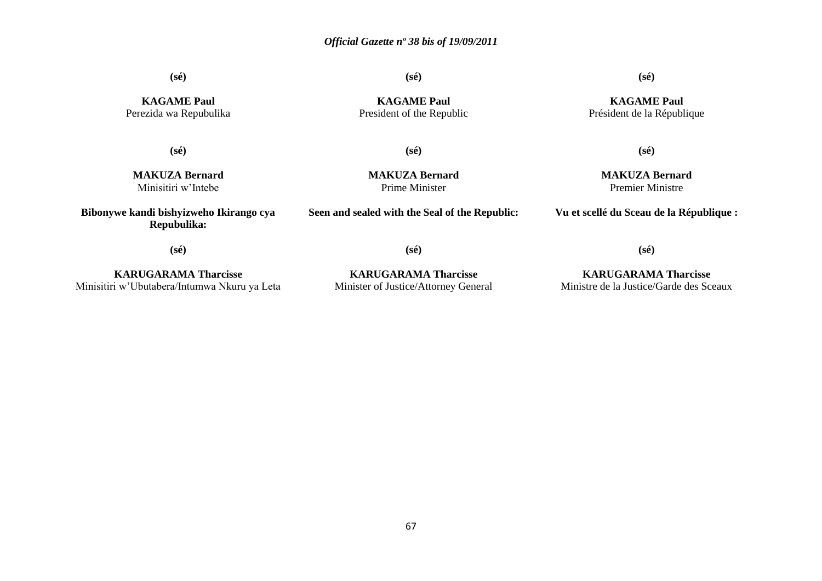**(sé)**

**(sé)**

**KAGAME Paul** President of the Republic **(sé)**

**KAGAME Paul** Perezida wa Repubulika

**(sé)**

**(sé)**

**MAKUZA Bernard** Minisitiri w'Intebe

**Bibonywe kandi bishyizweho Ikirango cya Repubulika:**

**MAKUZA Bernard** Prime Minister

**Seen and sealed with the Seal of the Republic:**

**MAKUZA Bernard** Premier Ministre

**Vu et scellé du Sceau de la République :**

**(sé)**

**KARUGARAMA Tharcisse** Minisitiri w'Ubutabera/Intumwa Nkuru ya Leta

**KARUGARAMA Tharcisse** Minister of Justice/Attorney General

**(sé)**

**KARUGARAMA Tharcisse** Ministre de la Justice/Garde des Sceaux

**(sé)**

**KAGAME Paul** Président de la République

**(sé)**

67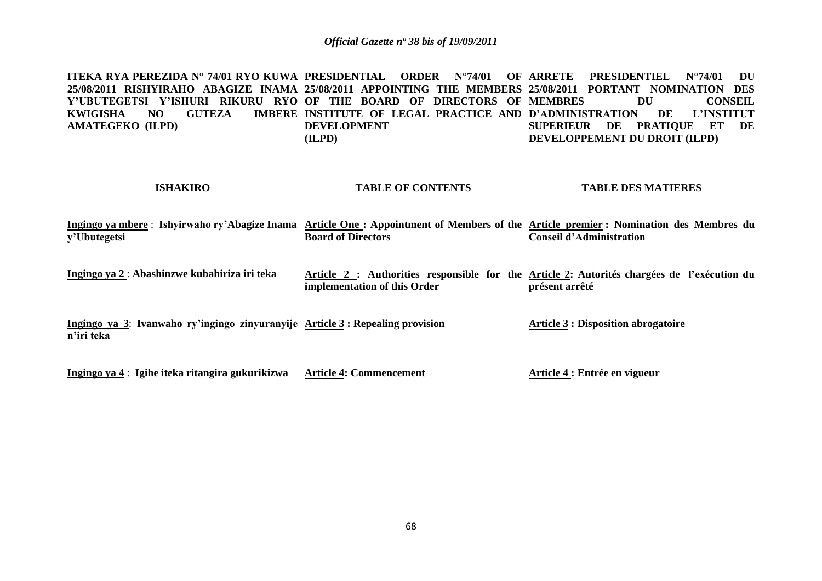**ITEKA RYA PEREZIDA N° 74/01 RYO KUWA PRESIDENTIAL ORDER N°74/01 OF ARRETE PRESIDENTIEL N°74/01 DU 25/08/2011 RISHYIRAHO ABAGIZE INAMA 25/08/2011 APPOINTING THE MEMBERS 25/08/2011 PORTANT NOMINATION DES**  Y'UBUTEGETSI Y'ISHURI RIKURU RYOʻOF THE BOARD OF DIRECTORS OF MEMBRES DU CONSEIL **KWIGISHA NO GUTEZA AMATEGEKO (ILPD) INSTITUTE OF LEGAL PRACTICE AND D'ADMINISTRATION DE L'INSTITUT DEVELOPMENT (ILPD) SUPERIEUR DE PRATIQUE ET DE DEVELOPPEMENT DU DROIT (ILPD)**

#### **ISHAKIRO**

#### **TABLE OF CONTENTS**

#### **TABLE DES MATIERES**

**Ingingo ya mbere** : **Ishyirwaho ry'Abagize Inama Article One : Appointment of Members of the Article premier : Nomination des Membres du y'Ubutegetsi Board of Directors Conseil d'Administration** 

**Ingingo ya 2** : **Abashinzwe kubahiriza iri teka Article 2 : Authorities responsible for the Article 2: Autorités chargées de l'exécution du implementation of this Order présent arrêté**

**Ingingo ya 3**: **Ivanwaho ry'ingingo zinyuranyije Article 3 : Repealing provision n'iri teka Article 3 : Disposition abrogatoire**

**Ingingo ya 4** : **Igihe iteka ritangira gukurikizwa Article 4: Commencement Article 4 : Entrée en vigueur**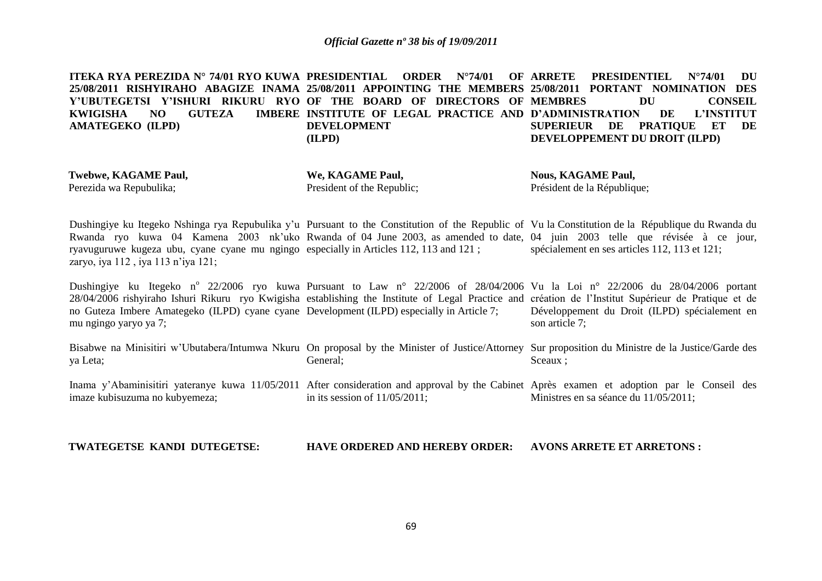**ITEKA RYA PEREZIDA N° 74/01 RYO KUWA PRESIDENTIAL ORDER N°74/01 OF 25/08/2011 RISHYIRAHO ABAGIZE INAMA 25/08/2011 APPOINTING THE MEMBERS 25/08/2011 PORTANT NOMINATION DES**  Y'UBUTEGETSI Y'ISHURI RIKURU RYOʻOF THE BOARD OF DIRECTORS OF MEMBRES DU CONSEIL **KWIGISHA NO GUTEZA AMATEGEKO (ILPD) INSTITUTE OF LEGAL PRACTICE AND D'ADMINISTRATION DE L'INSTITUT DEVELOPMENT (ILPD) ARRETE PRESIDENTIEL N°74/01 DU SUPERIEUR DE PRATIQUE ET DE DEVELOPPEMENT DU DROIT (ILPD)**

**Twebwe, KAGAME Paul,** Perezida wa Repubulika;

**We, KAGAME Paul,** President of the Republic;

**Nous, KAGAME Paul,** Président de la République;

Dushingiye ku Itegeko Nshinga rya Repubulika y'u Pursuant to the Constitution of the Republic of Vu la Constitution de la République du Rwanda du Rwanda ryo kuwa 04 Kamena 2003 nk'uko Rwanda of 04 June 2003, as amended to date, 04 juin 2003 telle que révisée à ce jour, ryavuguruwe kugeza ubu, cyane cyane mu ngingo especially in Articles 112, 113 and 121 ; zaryo, iya 112 , iya 113 n'iya 121; spécialement en ses articles 112, 113 et 121;

Dushingiye ku Itegeko n<sup>o</sup> 22/2006 ryo kuwa Pursuant to Law n<sup>o</sup> 22/2006 of 28/04/2006 Vu la Loi n<sup>o</sup> 22/2006 du 28/04/2006 portant 28/04/2006 rishyiraho Ishuri Rikuru ryo Kwigisha establishing the Institute of Legal Practice and création de l'Institut Supérieur de Pratique et de no Guteza Imbere Amategeko (ILPD) cyane cyane Development (ILPD) especially in Article 7; mu ngingo yaryo ya 7; Développement du Droit (ILPD) spécialement en son article 7;

Bisabwe na Minisitiri w'Ubutabera/Intumwa Nkuru On proposal by the Minister of Justice/Attorney Sur proposition du Ministre de la Justice/Garde des ya Leta; General; Sceaux ;

Inama y'Abaminisitiri yateranye kuwa 11/05/2011 After consideration and approval by the Cabinet Après examen et adoption par le Conseil des imaze kubisuzuma no kubyemeza; in its session of 11/05/2011; Ministres en sa séance du 11/05/2011;

**TWATEGETSE KANDI DUTEGETSE: HAVE ORDERED AND HEREBY ORDER: AVONS ARRETE ET ARRETONS :**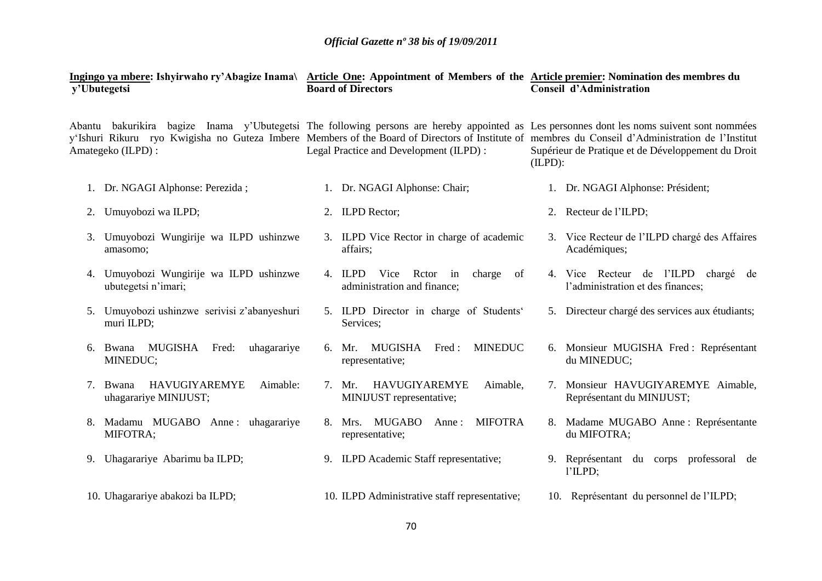|                   | v'Ubutegetsi                                                   |  | <b>Board of Directors</b>                                            | Ingingo ya mbere: Ishyirwaho ry'Abagize Inama\ Article One: Appointment of Members of the Article premier: Nomination des membres du<br><b>Conseil d'Administration</b>                                                                                                                                                                                             |                                                                          |  |  |
|-------------------|----------------------------------------------------------------|--|----------------------------------------------------------------------|---------------------------------------------------------------------------------------------------------------------------------------------------------------------------------------------------------------------------------------------------------------------------------------------------------------------------------------------------------------------|--------------------------------------------------------------------------|--|--|
| Amategeko (ILPD): |                                                                |  | Legal Practice and Development (ILPD) :                              | Abantu bakurikira bagize Inama y'Ubutegetsi The following persons are hereby appointed as Les personnes dont les noms suivent sont nommées<br>y'Ishuri Rikuru ryo Kwigisha no Guteza Imbere Members of the Board of Directors of Institute of membres du Conseil d'Administration de l'Institut<br>Supérieur de Pratique et de Développement du Droit<br>$(ILPD)$ : |                                                                          |  |  |
|                   | 1. Dr. NGAGI Alphonse: Perezida;                               |  | 1. Dr. NGAGI Alphonse: Chair;                                        | 1. Dr. NGAGI Alphonse: Président;                                                                                                                                                                                                                                                                                                                                   |                                                                          |  |  |
| 2.                | Umuyobozi wa ILPD;                                             |  | 2. ILPD Rector;                                                      |                                                                                                                                                                                                                                                                                                                                                                     | 2. Recteur de l'ILPD;                                                    |  |  |
|                   | Umuyobozi Wungirije wa ILPD ushinzwe<br>amasomo;               |  | 3. ILPD Vice Rector in charge of academic<br>affairs;                |                                                                                                                                                                                                                                                                                                                                                                     | 3. Vice Recteur de l'ILPD chargé des Affaires<br>Académiques;            |  |  |
|                   | 4. Umuyobozi Wungirije wa ILPD ushinzwe<br>ubutegetsi n'imari; |  | 4. ILPD Vice Retor in<br>charge<br>of<br>administration and finance; |                                                                                                                                                                                                                                                                                                                                                                     | 4. Vice Recteur de l'ILPD chargé de<br>l'administration et des finances; |  |  |
| 5.                | Umuyobozi ushinzwe serivisi z'abanyeshuri<br>muri ILPD;        |  | 5. ILPD Director in charge of Students'<br>Services;                 |                                                                                                                                                                                                                                                                                                                                                                     | 5. Directeur chargé des services aux étudiants;                          |  |  |
| 6.                | Bwana MUGISHA Fred:<br>uhagarariye<br>MINEDUC;                 |  | MUGISHA Fred:<br><b>MINEDUC</b><br>6. Mr.<br>representative;         |                                                                                                                                                                                                                                                                                                                                                                     | 6. Monsieur MUGISHA Fred: Représentant<br>du MINEDUC;                    |  |  |
|                   | HAVUGIYAREMYE<br>Aimable:<br>7. Bwana<br>uhagarariye MINIJUST; |  | HAVUGIYAREMYE<br>7. Mr.<br>Aimable,<br>MINIJUST representative;      |                                                                                                                                                                                                                                                                                                                                                                     | 7. Monsieur HAVUGIYAREMYE Aimable,<br>Représentant du MINIJUST;          |  |  |
|                   | Madamu MUGABO Anne: uhagarariye<br>MIFOTRA;                    |  | <b>MIFOTRA</b><br>8. Mrs. MUGABO<br>Anne:<br>representative;         |                                                                                                                                                                                                                                                                                                                                                                     | 8. Madame MUGABO Anne : Représentante<br>du MIFOTRA;                     |  |  |
| 9.                | Uhagarariye Abarimu ba ILPD;                                   |  | 9. ILPD Academic Staff representative;                               |                                                                                                                                                                                                                                                                                                                                                                     | 9. Représentant du corps professoral de<br>l'ILPD;                       |  |  |
|                   | 10. Uhagarariye abakozi ba ILPD;                               |  | 10. ILPD Administrative staff representative;                        |                                                                                                                                                                                                                                                                                                                                                                     | 10. Représentant du personnel de l'ILPD;                                 |  |  |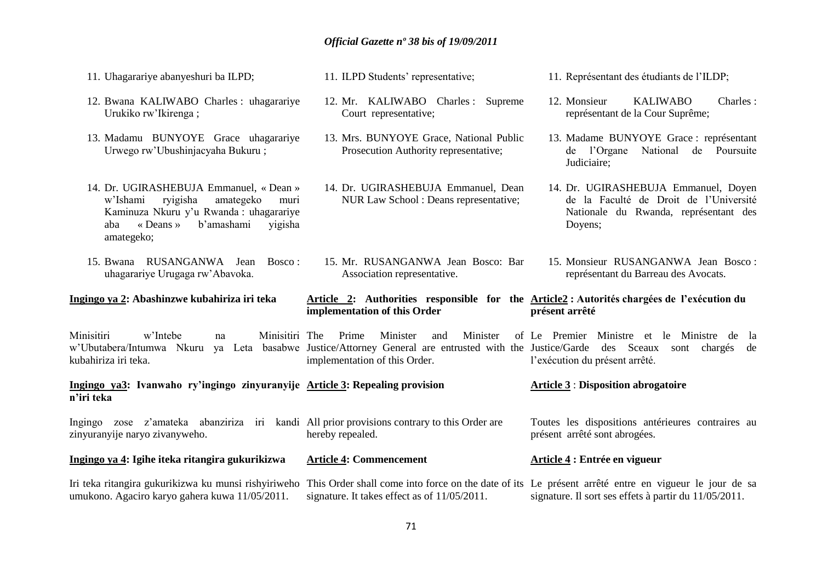- 11. Uhagarariye abanyeshuri ba ILPD;
- 12. Bwana KALIWABO Charles : uhagarariye Urukiko rw'Ikirenga ;
- 13. Madamu BUNYOYE Grace uhagarariye Urwego rw'Ubushinjacyaha Bukuru ;
- 14. Dr. UGIRASHEBUJA Emmanuel, « Dean » w'Ishami ryigisha amategeko muri Kaminuza Nkuru y'u Rwanda : uhagarariye aba « Deans » b'amashami yigisha amategeko;
- 15. Bwana RUSANGANWA Jean Bosco : uhagarariye Urugaga rw'Abavoka.

#### **Ingingo ya 2: Abashinzwe kubahiriza iri teka**

Minisitiri w'Intebe na Minisitiri The Prime Minister and Minister of

kubahiriza iri teka. implementation of this Order.

**Ingingo ya3: Ivanwaho ry'ingingo zinyuranyije Article 3: Repealing provision n'iri teka**

Ingingo zose z'amateka abanziriza iri kandi All prior provisions contrary to this Order are zinyuranyije naryo zivanyweho. hereby repealed.

**Ingingo ya 4: Igihe iteka ritangira gukurikizwa Article 4: Commencement**

Iri teka ritangira gukurikizwa ku munsi rishyiriweho umukono. Agaciro karyo gahera kuwa 11/05/2011. This Order shall come into force on the date of its Le présent arrêté entre en vigueur le jour de sa signature. It takes effect as of 11/05/2011. signature. Il sort ses effets à partir du 11/05/2011.

- 11. ILPD Students' representative;
- 12. Mr. KALIWABO Charles : Supreme Court representative;
- 13. Mrs. BUNYOYE Grace, National Public Prosecution Authority representative;
- 14. Dr. UGIRASHEBUJA Emmanuel, Dean NUR Law School : Deans representative;
- 15. Mr. RUSANGANWA Jean Bosco: Bar Association representative.

#### **Article 2: Authorities responsible for the Article2 : Autorités chargées de l'exécution du implementation of this Order présent arrêté**

w'Ubutabera/Intumwa Nkuru ya Leta basabwe Justice/Attorney General are entrusted with the Justice/Garde des Sceaux sont chargés de Le Premier Ministre et le Ministre de la l'exécution du présent arrêté.

#### **Article 3** : **Disposition abrogatoire**

Toutes les dispositions antérieures contraires au présent arrêté sont abrogées.

#### **Article 4 : Entrée en vigueur**

- 11. Représentant des étudiants de l'ILDP;
- représentant de la Cour Suprême;
- 13. Madame BUNYOYE Grace : représentant de l'Organe National de Poursuite Judiciaire;
- 14. Dr. UGIRASHEBUJA Emmanuel, Doyen de la Faculté de Droit de l'Université Nationale du Rwanda, représentant des Doyens;
- 15. Monsieur RUSANGANWA Jean Bosco : représentant du Barreau des Avocats.

12. Monsieur KALIWABO Charles :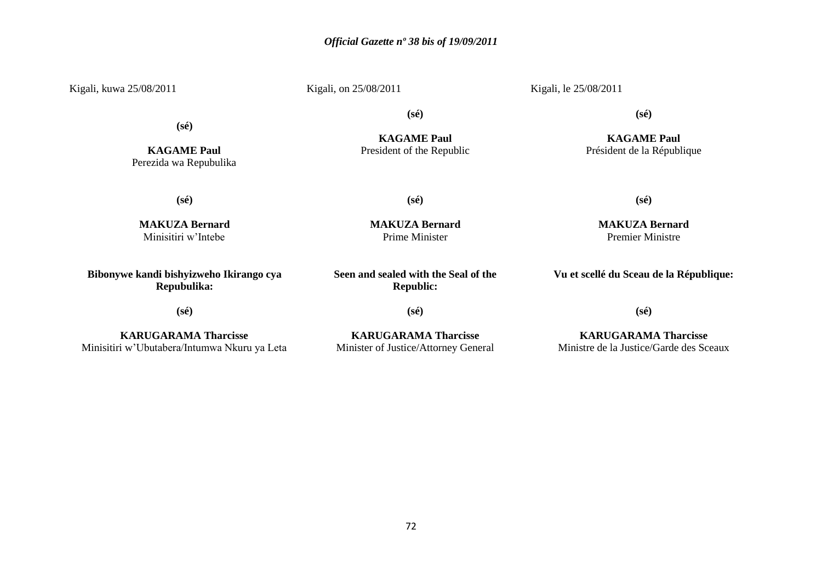Kigali, kuwa 25/08/2011

Kigali, on 25/08/2011

Kigali, le 25/08/2011

**(sé)**

**KAGAME Paul** Perezida wa Repubulika

**KAGAME Paul** President of the Republic

**(sé)**

**MAKUZA Bernard** Prime Minister

**(sé)**

**KAGAME Paul**

Président de la République

**(sé)**

**(sé)**

**MAKUZA Bernard** Minisitiri w'Intebe

**Bibonywe kandi bishyizweho Ikirango cya Repubulika:**

**(sé)**

**KARUGARAMA Tharcisse** Minisitiri w'Ubutabera/Intumwa Nkuru ya Leta **Seen and sealed with the Seal of the Republic:**

**(sé)**

**KARUGARAMA Tharcisse** Minister of Justice/Attorney General **MAKUZA Bernard** Premier Ministre

**(sé)**

**Vu et scellé du Sceau de la République:**

**(sé)**

**KARUGARAMA Tharcisse** Ministre de la Justice/Garde des Sceaux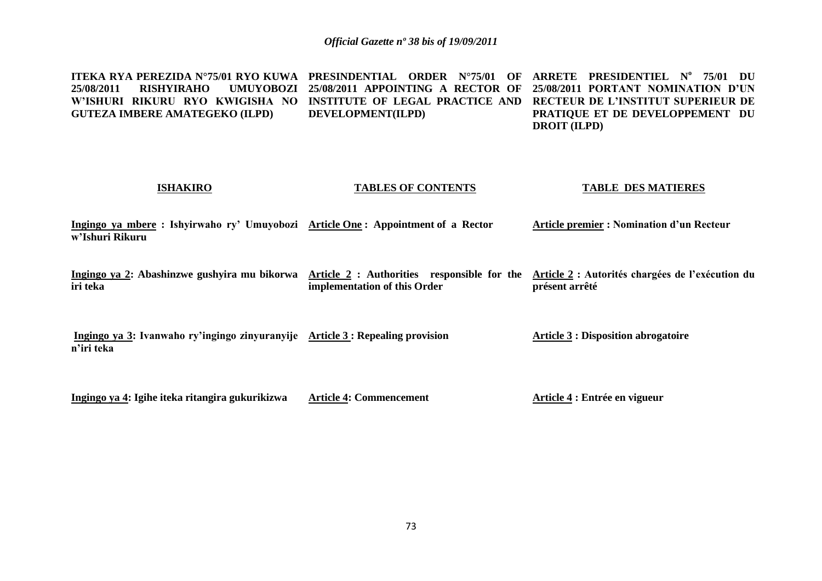**ITEKA RYA PEREZIDA N°75/01 RYO KUWA PRESINDENTIAL ORDER N°75/01 OF ARRETE PRESIDENTIEL N<sup>o</sup> 75/01 DU 25/08/2011 RISHYIRAHO UMUYOBOZI 25/08/2011 APPOINTING A RECTOR OF 25/08/2011 PORTANT NOMINATION D'UN**  W'ISHURI RIKURU RYO KWIGISHA NO INSTITUTE OF LEGAL PRACTICE AND RECTEUR DE L'INSTITUT SUPERIEUR DE **GUTEZA IMBERE AMATEGEKO (ILPD) DEVELOPMENT(ILPD) PRATIQUE ET DE DEVELOPPEMENT DU DROIT (ILPD)**

#### **ISHAKIRO**

### **TABLES OF CONTENTS**

#### **TABLE DES MATIERES**

**Ingingo ya mbere : Ishyirwaho ry' Umuyobozi Article One : Appointment of a Rector w'Ishuri Rikuru Article premier : Nomination d'un Recteur**

**Ingingo ya 2: Abashinzwe gushyira mu bikorwa Article 2 : Authorities responsible for the Article 2 : Autorités chargées de l'exécution du iri teka implementation of this Order présent arrêté**

**Ingingo ya 3: Ivanwaho ry'ingingo zinyuranyije Article 3 : Repealing provision n'iri teka Article 3 : Disposition abrogatoire**

**Ingingo ya 4: Igihe iteka ritangira gukurikizwa Article 4: Commencement** **Article 4 : Entrée en vigueur**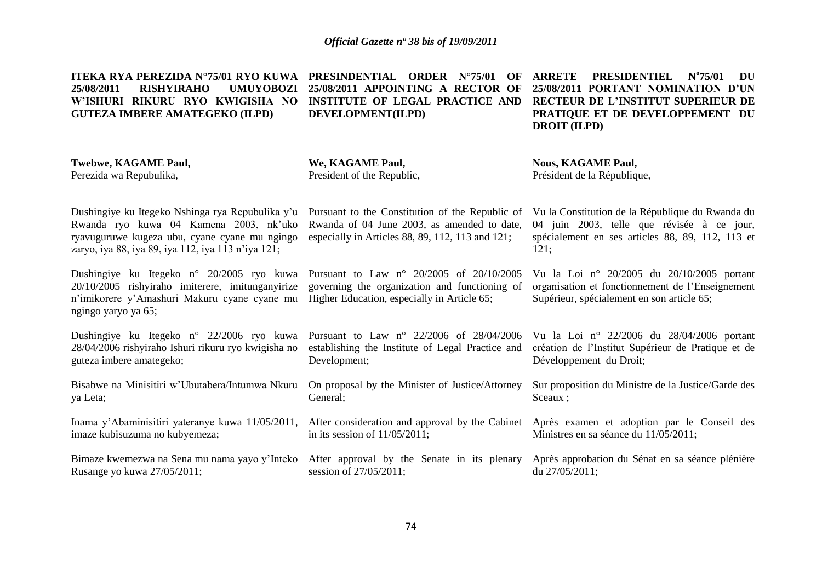**ITEKA RYA PEREZIDA N°75/01 RYO KUWA PRESINDENTIAL ORDER N°75/01 OF 25/08/2011 RISHYIRAHO UMUYOBOZI W'ISHURI RIKURU RYO KWIGISHA NO GUTEZA IMBERE AMATEGEKO (ILPD) 25/08/2011 APPOINTING A RECTOR OF INSTITUTE OF LEGAL PRACTICE AND DEVELOPMENT(ILPD) ARRETE PRESIDENTIEL N<sup>o</sup> 75/01 DU 25/08/2011 PORTANT NOMINATION D'UN RECTEUR DE L'INSTITUT SUPERIEUR DE PRATIQUE ET DE DEVELOPPEMENT DU DROIT (ILPD)**

**Twebwe, KAGAME Paul,** Perezida wa Repubulika,

**We, KAGAME Paul,** President of the Republic,

**Nous, KAGAME Paul,** Président de la République,

Dushingiye ku Itegeko Nshinga rya Repubulika y'u Pursuant to the Constitution of the Republic of Rwanda ryo kuwa 04 Kamena 2003, nk'uko ryavuguruwe kugeza ubu, cyane cyane mu ngingo zaryo, iya 88, iya 89, iya 112, iya 113 n'iya 121;

Dushingiye ku Itegeko n° 20/2005 ryo kuwa 20/10/2005 rishyiraho imiterere, imitunganyirize n'imikorere y'Amashuri Makuru cyane cyane mu ngingo yaryo ya 65;

Dushingiye ku Itegeko n° 22/2006 ryo kuwa 28/04/2006 rishyiraho Ishuri rikuru ryo kwigisha no guteza imbere amategeko;

Bisabwe na Minisitiri w'Ubutabera/Intumwa Nkuru ya Leta;

Inama y'Abaminisitiri yateranye kuwa 11/05/2011, After consideration and approval by the Cabinet imaze kubisuzuma no kubyemeza;

Bimaze kwemezwa na Sena mu nama yayo y'Inteko After approval by the Senate in its plenary Rusange yo kuwa 27/05/2011;

Rwanda of 04 June 2003, as amended to date, especially in Articles 88, 89, 112, 113 and 121;

Pursuant to Law n° 20/2005 of 20/10/2005 governing the organization and functioning of Higher Education, especially in Article 65;

Pursuant to Law n° 22/2006 of 28/04/2006 establishing the Institute of Legal Practice and Development;

On proposal by the Minister of Justice/Attorney General;

in its session of 11/05/2011;

session of 27/05/2011;

Vu la Constitution de la République du Rwanda du 04 juin 2003, telle que révisée à ce jour, spécialement en ses articles 88, 89, 112, 113 et 121;

Vu la Loi n° 20/2005 du 20/10/2005 portant organisation et fonctionnement de l'Enseignement Supérieur, spécialement en son article 65;

Vu la Loi n° 22/2006 du 28/04/2006 portant création de l'Institut Supérieur de Pratique et de Développement du Droit;

Sur proposition du Ministre de la Justice/Garde des Sceaux ;

Après examen et adoption par le Conseil des Ministres en sa séance du 11/05/2011;

Après approbation du Sénat en sa séance plénière du 27/05/2011;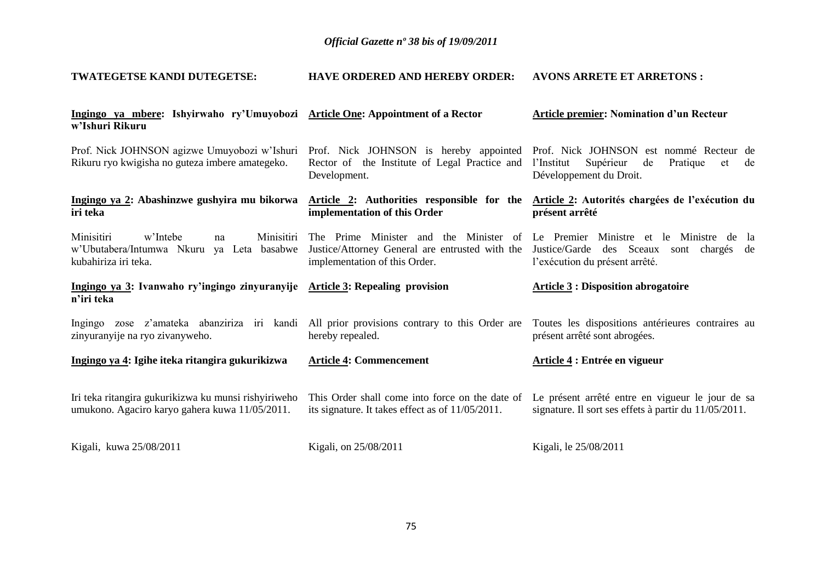#### **TWATEGETSE KANDI DUTEGETSE: HAVE ORDERED AND HEREBY ORDER: AVONS ARRETE ET ARRETONS :**

| Ingingo ya mbere: Ishyirwaho ry'Umuyobozi Article One: Appointment of a Rector<br>w'Ishuri Rikuru                         |                                                                                                                            | <b>Article premier: Nomination d'un Recteur</b>                                                                             |
|---------------------------------------------------------------------------------------------------------------------------|----------------------------------------------------------------------------------------------------------------------------|-----------------------------------------------------------------------------------------------------------------------------|
| Prof. Nick JOHNSON agizwe Umuyobozi w'Ishuri<br>Rikuru ryo kwigisha no guteza imbere amategeko.                           | Prof. Nick JOHNSON is hereby appointed<br>Rector of the Institute of Legal Practice and<br>Development.                    | Prof. Nick JOHNSON est nommé Recteur de<br>Supérieur<br>l'Institut<br>Pratique<br>de<br>de<br>et<br>Développement du Droit. |
| Ingingo ya 2: Abashinzwe gushyira mu bikorwa<br>iri teka                                                                  | Article 2: Authorities responsible for the<br>implementation of this Order                                                 | Article 2: Autorités chargées de l'exécution du<br>présent arrêté                                                           |
| Minisitiri<br>w'Intebe<br><b>Minisitiri</b><br>na<br>ya Leta basabwe<br>w'Ubutabera/Intumwa Nkuru<br>kubahiriza iri teka. | The Prime Minister and the Minister of<br>Justice/Attorney General are entrusted with the<br>implementation of this Order. | Le Premier Ministre et le Ministre de la<br>Justice/Garde des Sceaux sont chargés de<br>l'exécution du présent arrêté.      |
| Ingingo ya 3: Ivanwaho ry'ingingo zinyuranyije Article 3: Repealing provision<br>n'iri teka                               |                                                                                                                            | <b>Article 3: Disposition abrogatoire</b>                                                                                   |
|                                                                                                                           |                                                                                                                            |                                                                                                                             |
| zose z'amateka abanziriza iri kandi<br>Ingingo<br>zinyuranyije na ryo zivanyweho.                                         | All prior provisions contrary to this Order are<br>hereby repealed.                                                        | Toutes les dispositions antérieures contraires au<br>présent arrêté sont abrogées.                                          |
| Ingingo ya 4: Igihe iteka ritangira gukurikizwa                                                                           | <b>Article 4: Commencement</b>                                                                                             | Article 4 : Entrée en vigueur                                                                                               |
| Iri teka ritangira gukurikizwa ku munsi rishyiriweho<br>umukono. Agaciro karyo gahera kuwa 11/05/2011.                    | This Order shall come into force on the date of<br>its signature. It takes effect as of 11/05/2011.                        | Le présent arrêté entre en vigueur le jour de sa<br>signature. Il sort ses effets à partir du 11/05/2011.                   |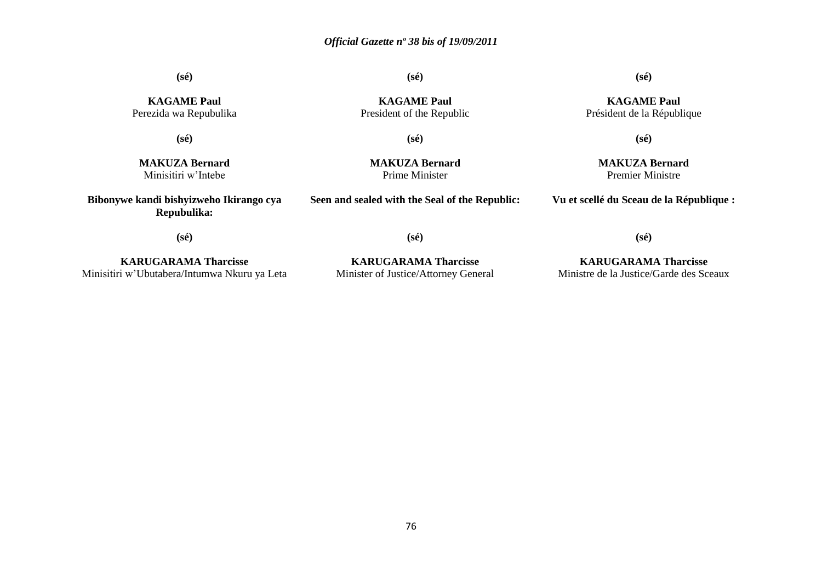**(sé)**

**(sé)**

### **(sé)**

**KAGAME Paul** Président de la République

**KAGAME Paul** Perezida wa Repubulika

**(sé)**

**KAGAME Paul** President of the Republic

**(sé)**

**MAKUZA Bernard** Minisitiri w'Intebe

**MAKUZA Bernard** Prime Minister

**Seen and sealed with the Seal of the Republic:**

**(sé)**

**MAKUZA Bernard** Premier Ministre

**Vu et scellé du Sceau de la République :**

**(sé)**

**Bibonywe kandi bishyizweho Ikirango cya Repubulika:**

**(sé)**

**KARUGARAMA Tharcisse** Minisitiri w'Ubutabera/Intumwa Nkuru ya Leta

**KARUGARAMA Tharcisse** Minister of Justice/Attorney General

**KARUGARAMA Tharcisse** Ministre de la Justice/Garde des Sceaux

**(sé)**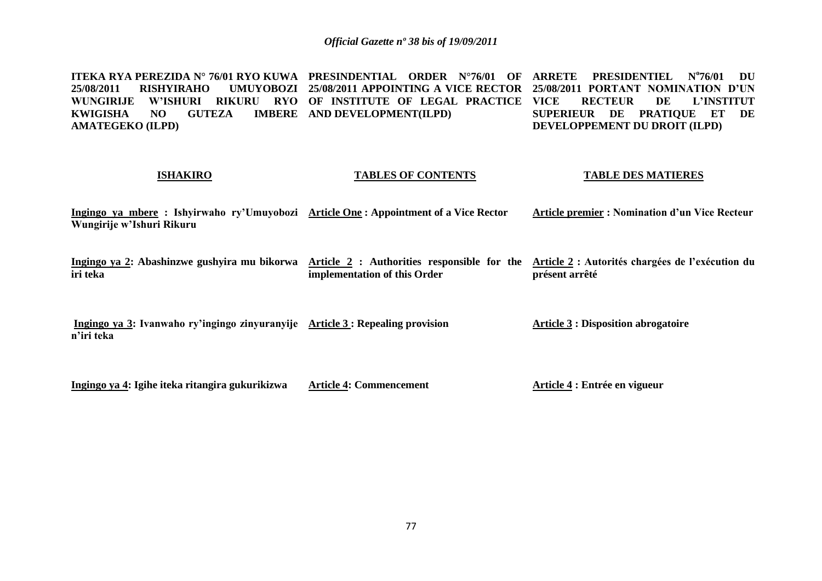**ITEKA RYA PEREZIDA N° 76/01 RYO KUWA PRESINDENTIAL ORDER N°76/01 OF ARRETE PRESIDENTIEL N<sup>o</sup> 25/08/2011 RISHYIRAHO WUNGIRIJE W'ISHURI RIKURU RYO OF INSTITUTE OF LEGAL PRACTICE KWIGISHA NO GUTEZA AMATEGEKO (ILPD) 25/08/2011 APPOINTING A VICE RECTOR 25/08/2011 PORTANT NOMINATION D'UN IMBERE** AND DEVELOPMENT(ILPD) **76/01 DU VICE RECTEUR DE L'INSTITUT SUPERIEUR DE PRATIQUE ET DE DEVELOPPEMENT DU DROIT (ILPD)**

#### **ISHAKIRO**

#### **TABLES OF CONTENTS**

#### **TABLE DES MATIERES**

**Ingingo ya mbere : Ishyirwaho ry'Umuyobozi Article One : Appointment of a Vice Rector Wungirije w'Ishuri Rikuru Article premier : Nomination d'un Vice Recteur**

**Ingingo ya 2: Abashinzwe gushyira mu bikorwa Article 2 : Authorities responsible for the Article 2 : Autorités chargées de l'exécution du iri teka implementation of this Order présent arrêté**

**Ingingo ya 3: Ivanwaho ry'ingingo zinyuranyije Article 3 : Repealing provision n'iri teka Article 3 : Disposition abrogatoire**

**Ingingo ya 4: Igihe iteka ritangira gukurikizwa**

**Article 4: Commencement**

**Article 4 : Entrée en vigueur**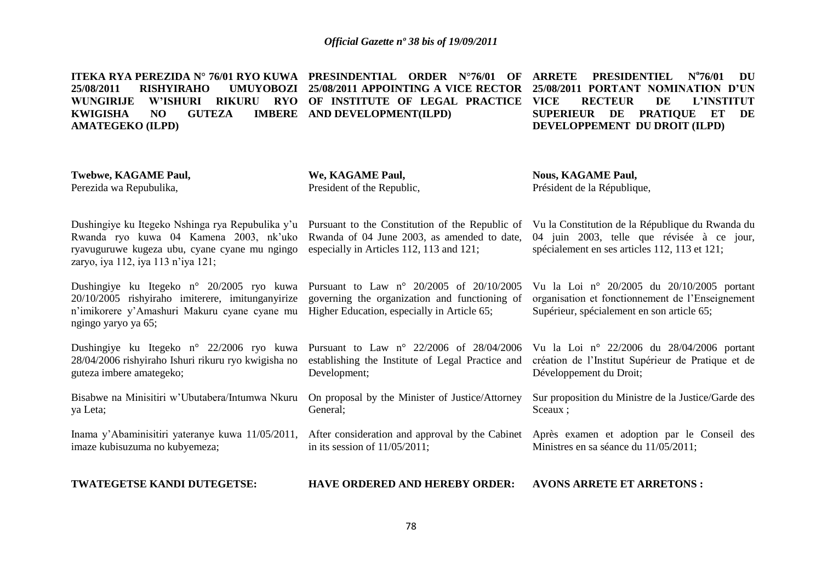**ITEKA RYA PEREZIDA N° 76/01 RYO KUWA PRESINDENTIAL ORDER N°76/01 OF 25/08/2011 RISHYIRAHO UMUYOBOZI 25/08/2011 APPOINTING A VICE RECTOR WUNGIRIJE W'ISHURI RIKURU RYO OF INSTITUTE OF LEGAL PRACTICE KWIGISHA NO GUTEZA AMATEGEKO (ILPD) IMBERE** AND DEVELOPMENT(ILPD) **ARRETE PRESIDENTIEL 76/01 DU 25/08/2011 PORTANT NOMINATION D'UN VICE RECTEUR DE L'INSTITUT SUPERIEUR DE PRATIQUE ET DE DEVELOPPEMENT DU DROIT (ILPD)**

**Twebwe, KAGAME Paul,** Perezida wa Repubulika, Dushingiye ku Itegeko Nshinga rya Repubulika y'u Pursuant to the Constitution of the Republic of Vu la Constitution de la République du Rwanda du Rwanda ryo kuwa 04 Kamena 2003, nk'uko ryavuguruwe kugeza ubu, cyane cyane mu ngingo zaryo, iya 112, iya 113 n'iya 121; Dushingiye ku Itegeko n° 20/2005 ryo kuwa Pursuant to Law n° 20/2005 of 20/10/2005 20/10/2005 rishyiraho imiterere, imitunganyirize n'imikorere y'Amashuri Makuru cyane cyane mu Higher Education, especially in Article 65; ngingo yaryo ya 65; Dushingiye ku Itegeko n° 22/2006 ryo kuwa 28/04/2006 rishyiraho Ishuri rikuru ryo kwigisha no guteza imbere amategeko; Bisabwe na Minisitiri w'Ubutabera/Intumwa Nkuru On proposal by the Minister of Justice/Attorney ya Leta; Inama y'Abaminisitiri yateranye kuwa 11/05/2011, After consideration and approval by the Cabinet imaze kubisuzuma no kubyemeza; **TWATEGETSE KANDI DUTEGETSE: We, KAGAME Paul,** President of the Republic, Rwanda of 04 June 2003, as amended to date, especially in Articles 112, 113 and 121; governing the organization and functioning of Pursuant to Law n° 22/2006 of 28/04/2006 establishing the Institute of Legal Practice and Development; General; in its session of 11/05/2011; **HAVE ORDERED AND HEREBY ORDER: Nous, KAGAME Paul,** Président de la République, 04 juin 2003, telle que révisée à ce jour, spécialement en ses articles 112, 113 et 121; Vu la Loi n° 20/2005 du 20/10/2005 portant organisation et fonctionnement de l'Enseignement Supérieur, spécialement en son article 65; Vu la Loi n° 22/2006 du 28/04/2006 portant création de l'Institut Supérieur de Pratique et de Développement du Droit; Sur proposition du Ministre de la Justice/Garde des Sceaux ; Après examen et adoption par le Conseil des Ministres en sa séance du 11/05/2011; **AVONS ARRETE ET ARRETONS :**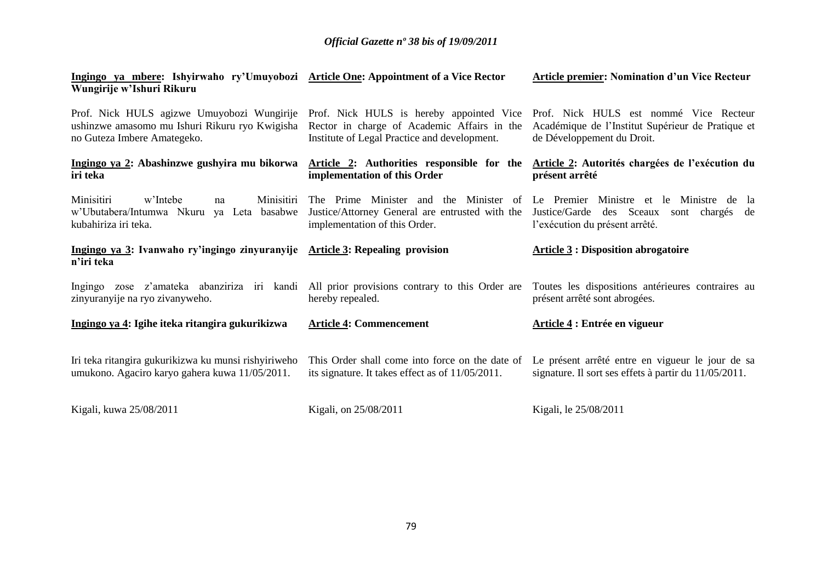**Article premier: Nomination d'un Vice Recteur** 

| Ingingo ya mberg: Ishyirwaho ry'Umuyobozi Article One: Appointment of a Vice Rector<br>Wungirije w'Ishuri Rikuru            |                                                                                                                                         | <b>Article premier: Nomination d'un Vice Recteur</b>                                                                      |
|-----------------------------------------------------------------------------------------------------------------------------|-----------------------------------------------------------------------------------------------------------------------------------------|---------------------------------------------------------------------------------------------------------------------------|
| Prof. Nick HULS agizwe Umuyobozi Wungirije<br>ushinzwe amasomo mu Ishuri Rikuru ryo Kwigisha<br>no Guteza Imbere Amategeko. | Prof. Nick HULS is hereby appointed Vice<br>Rector in charge of Academic Affairs in the<br>Institute of Legal Practice and development. | Prof. Nick HULS est nommé Vice Recteur<br>Académique de l'Institut Supérieur de Pratique et<br>de Développement du Droit. |
| Ingingo ya 2: Abashinzwe gushyira mu bikorwa<br>iri teka                                                                    | Article 2: Authorities responsible for the<br>implementation of this Order                                                              | Article 2: Autorités chargées de l'exécution du<br>présent arrêté                                                         |
| Minisitiri<br>Minisitiri<br>w'Intebe<br>na<br>w'Ubutabera/Intumwa Nkuru ya Leta basabwe<br>kubahiriza iri teka.             | The Prime Minister and the Minister of<br>Justice/Attorney General are entrusted with the<br>implementation of this Order.              | Le Premier Ministre et le Ministre de la<br>Justice/Garde des Sceaux sont chargés de<br>l'exécution du présent arrêté.    |
| Ingingo ya 3: Ivanwaho ry'ingingo zinyuranyije Article 3: Repealing provision<br>n'iri teka                                 |                                                                                                                                         | <b>Article 3 : Disposition abrogatoire</b>                                                                                |
| Ingingo zose z'amateka abanziriza iri kandi<br>zinyuranyije na ryo zivanyweho.                                              | All prior provisions contrary to this Order are<br>hereby repealed.                                                                     | Toutes les dispositions antérieures contraires au<br>présent arrêté sont abrogées.                                        |
| Ingingo ya 4: Igihe iteka ritangira gukurikizwa                                                                             | <b>Article 4: Commencement</b>                                                                                                          | Article 4 : Entrée en vigueur                                                                                             |
| Iri teka ritangira gukurikizwa ku munsi rishyiriweho<br>umukono. Agaciro karyo gahera kuwa 11/05/2011.                      | This Order shall come into force on the date of<br>its signature. It takes effect as of 11/05/2011.                                     | Le présent arrêté entre en vigueur le jour de sa<br>signature. Il sort ses effets à partir du 11/05/2011.                 |
| Kigali, kuwa 25/08/2011                                                                                                     | Kigali, on 25/08/2011                                                                                                                   | Kigali, le 25/08/2011                                                                                                     |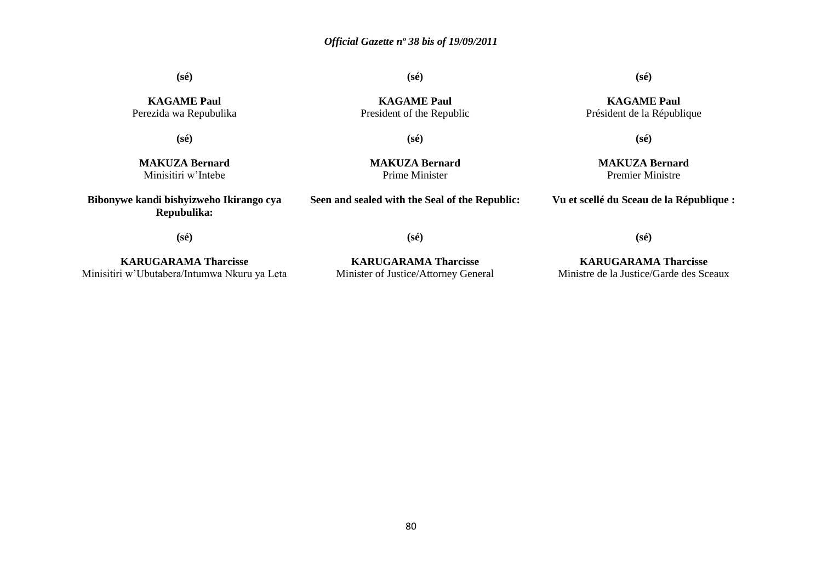**(sé)**

**(sé)**

### **(sé)**

**KAGAME Paul** Président de la République

**KAGAME Paul** Perezida wa Repubulika

**(sé)**

**KAGAME Paul** President of the Republic

**(sé)**

**MAKUZA Bernard** Minisitiri w'Intebe

**MAKUZA Bernard** Prime Minister

**Seen and sealed with the Seal of the Republic:**

**(sé)**

**MAKUZA Bernard** Premier Ministre

**Vu et scellé du Sceau de la République :**

**(sé)**

**Bibonywe kandi bishyizweho Ikirango cya Repubulika:**

**KARUGARAMA Tharcisse** Minisitiri w'Ubutabera/Intumwa Nkuru ya Leta

**KARUGARAMA Tharcisse** Minister of Justice/Attorney General

**(sé)**

**KARUGARAMA Tharcisse** Ministre de la Justice/Garde des Sceaux

**(sé)**

80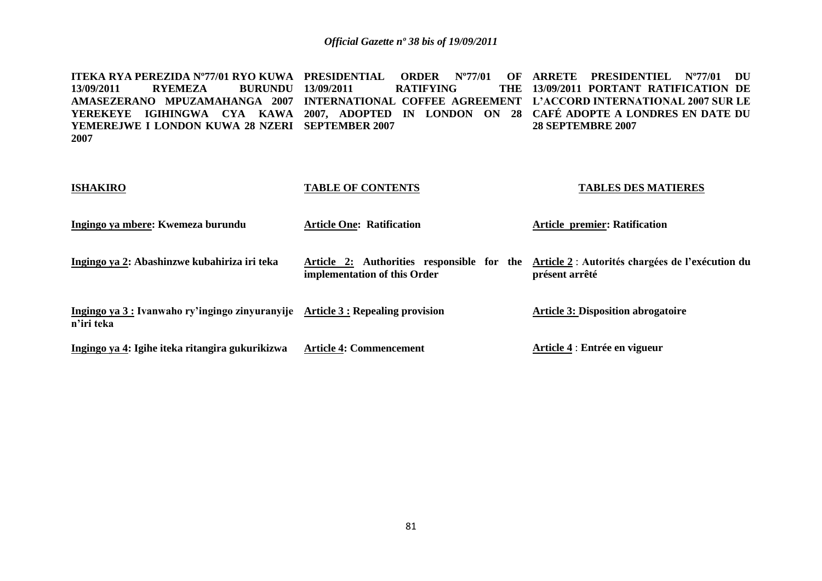**ITEKA RYA PEREZIDA N°77/01 RYO KUWA PRESIDENTIAL ORDER N°77/01 OF ARRETE PRESIDENTIEL N°77/01 DU 13/09/2011 RYEMEZA BURUNDU AMASEZERANO MPUZAMAHANGA 2007 INTERNATIONAL COFFEE AGREEMENT L'ACCORD INTERNATIONAL 2007 SUR LE YEREKEYE IGIHINGWA CYA KAWA 2007, ADOPTED IN LONDON ON 28 CAFÉ ADOPTE A LONDRES EN DATE DU YEMEREJWE I LONDON KUWA 28 NZERI SEPTEMBER 2007 2007 RATIFYING 13/09/2011 PORTANT RATIFICATION DE 28 SEPTEMBRE 2007**

### **ISHAKIRO Ingingo ya mbere: Kwemeza burundu Ingingo ya 2: Abashinzwe kubahiriza iri teka Ingingo ya 3 : Ivanwaho ry'ingingo zinyuranyije Article 3 : Repealing provision n'iri teka Ingingo ya 4: Igihe iteka ritangira gukurikizwa TABLE OF CONTENTS Article One: Ratification Article 2: Authorities responsible for the Article 2** : **Autorités chargées de l'exécution du implementation of this Order Article 4: Commencement TABLES DES MATIERES Article premier: Ratification présent arrêté Article 3: Disposition abrogatoire Article 4** : **Entrée en vigueur**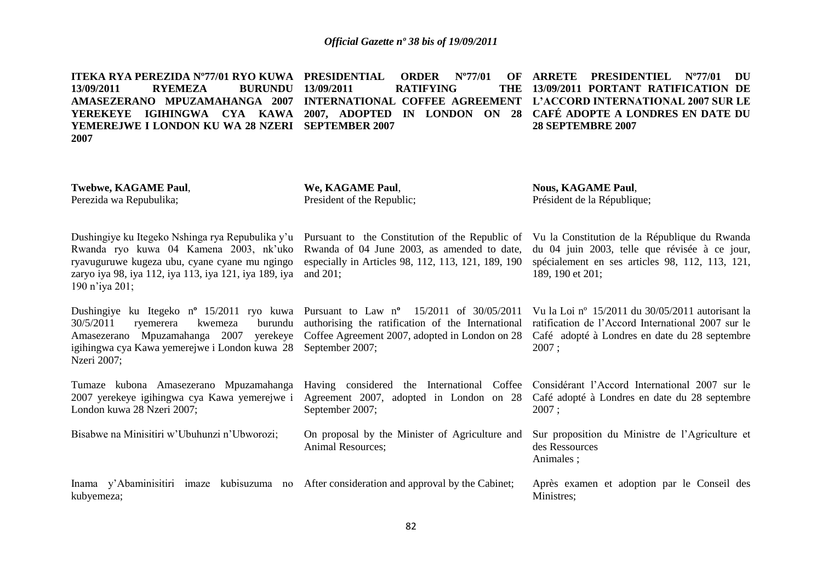**ITEKA RYA PEREZIDA N°77/01 RYO KUWA PRESIDENTIAL ORDER N°77/01 OF ARRETE PRESIDENTIEL N°77/01 DU 13/09/2011 RYEMEZA BURUNDU AMASEZERANO MPUZAMAHANGA 2007 INTERNATIONAL COFFEE AGREEMENT L'ACCORD INTERNATIONAL 2007 SUR LE YEREKEYE IGIHINGWA CYA KAWA 2007, ADOPTED IN LONDON ON 28 CAFÉ ADOPTE A LONDRES EN DATE DU YEMEREJWE I LONDON KU WA 28 NZERI SEPTEMBER 2007 2007 13/09/2011 RATIFYING 13/09/2011 PORTANT RATIFICATION DE 28 SEPTEMBRE 2007**

| Twebwe, KAGAME Paul,<br>Perezida wa Repubulika;                                                                                                                                                                                                      | We, KAGAME Paul,<br>President of the Republic;                                                                                                                      | <b>Nous, KAGAME Paul,</b><br>Président de la République;                                                                                                              |
|------------------------------------------------------------------------------------------------------------------------------------------------------------------------------------------------------------------------------------------------------|---------------------------------------------------------------------------------------------------------------------------------------------------------------------|-----------------------------------------------------------------------------------------------------------------------------------------------------------------------|
| Dushingiye ku Itegeko Nshinga rya Repubulika y'u<br>Rwanda ryo kuwa 04 Kamena 2003, nk'uko<br>ryavuguruwe kugeza ubu, cyane cyane mu ngingo<br>zaryo iya 98, iya 112, iya 113, iya 121, iya 189, iya<br>190 n'iya 201;                               | Pursuant to the Constitution of the Republic of<br>Rwanda of 04 June 2003, as amended to date,<br>especially in Articles 98, 112, 113, 121, 189, 190<br>and $201$ ; | Vu la Constitution de la République du Rwanda<br>du 04 juin 2003, telle que révisée à ce jour,<br>spécialement en ses articles 98, 112, 113, 121,<br>189, 190 et 201; |
| Dushingiye ku Itegeko nº 15/2011 ryo kuwa Pursuant to Law nº 15/2011 of $30/05/2011$<br>30/5/2011<br>burundu<br>ryemerera<br>kwemeza<br>Mpuzamahanga 2007<br>yerekeye<br>Amasezerano<br>igihingwa cya Kawa yemerejwe i London kuwa 28<br>Nzeri 2007; | authorising the ratification of the International<br>Coffee Agreement 2007, adopted in London on 28<br>September 2007;                                              | Vu la Loi nº 15/2011 du 30/05/2011 autorisant la<br>ratification de l'Accord International 2007 sur le<br>Café adopté à Londres en date du 28 septembre<br>2007;      |
| Tumaze kubona Amasezerano Mpuzamahanga<br>2007 yerekeye igihingwa cya Kawa yemerejwe i<br>London kuwa 28 Nzeri 2007;                                                                                                                                 | Having considered the International Coffee Considérant l'Accord International 2007 sur le<br>Agreement 2007, adopted in London on 28<br>September 2007;             | Café adopté à Londres en date du 28 septembre<br>2007;                                                                                                                |
| Bisabwe na Minisitiri w'Ubuhunzi n'Ubworozi;                                                                                                                                                                                                         | On proposal by the Minister of Agriculture and<br>Animal Resources;                                                                                                 | Sur proposition du Ministre de l'Agriculture et<br>des Ressources<br>Animales;                                                                                        |
| Inama y'Abaminisitiri imaze kubisuzuma no After consideration and approval by the Cabinet;<br>kubyemeza;                                                                                                                                             |                                                                                                                                                                     | Après examen et adoption par le Conseil des<br>Ministres;                                                                                                             |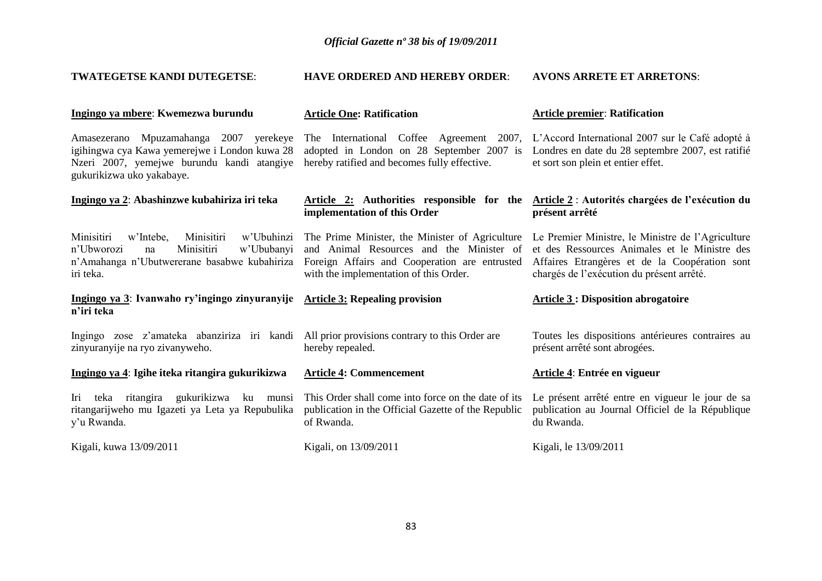**HAVE ORDERED AND HEREBY ORDER**:

**AVONS ARRETE ET ARRETONS**:

**TWATEGETSE KANDI DUTEGETSE**:

| Ingingo ya mbere: Kwemezwa burundu                                                                                                                                 | <b>Article One: Ratification</b>                                                                                                                                                       | <b>Article premier: Ratification</b>                                                                                                                                                             |
|--------------------------------------------------------------------------------------------------------------------------------------------------------------------|----------------------------------------------------------------------------------------------------------------------------------------------------------------------------------------|--------------------------------------------------------------------------------------------------------------------------------------------------------------------------------------------------|
| Amasezerano Mpuzamahanga 2007 yerekeye<br>igihingwa cya Kawa yemerejwe i London kuwa 28<br>Nzeri 2007, yemejwe burundu kandi atangiye<br>gukurikizwa uko yakabaye. | The International Coffee Agreement 2007,<br>adopted in London on 28 September 2007 is<br>hereby ratified and becomes fully effective.                                                  | L'Accord International 2007 sur le Café adopté à<br>Londres en date du 28 septembre 2007, est ratifié<br>et sort son plein et entier effet.                                                      |
| Ingingo ya 2: Abashinzwe kubahiriza iri teka                                                                                                                       | Article 2: Authorities responsible for the<br>implementation of this Order                                                                                                             | Article 2 : Autorités chargées de l'exécution du<br>présent arrêté                                                                                                                               |
| Minisitiri<br>Minisitiri<br>w'Ubuhinzi<br>w'Intebe,<br>Minisitiri<br>w'Ububanyi<br>n'Ubworozi<br>na<br>n'Amahanga n'Ubutwererane basabwe kubahiriza<br>iri teka.   | The Prime Minister, the Minister of Agriculture<br>and Animal Resources and the Minister of<br>Foreign Affairs and Cooperation are entrusted<br>with the implementation of this Order. | Le Premier Ministre, le Ministre de l'Agriculture<br>et des Ressources Animales et le Ministre des<br>Affaires Etrangères et de la Coopération sont<br>chargés de l'exécution du présent arrêté. |
| Ingingo ya 3: Ivanwaho ry'ingingo zinyuranyije<br>n'iri teka                                                                                                       | <b>Article 3: Repealing provision</b>                                                                                                                                                  | <b>Article 3 : Disposition abrogatoire</b>                                                                                                                                                       |
| Ingingo zose z'amateka abanziriza iri kandi All prior provisions contrary to this Order are<br>zinyuranyije na ryo zivanyweho.                                     | hereby repealed.                                                                                                                                                                       | Toutes les dispositions antérieures contraires au<br>présent arrêté sont abrogées.                                                                                                               |
| Ingingo ya 4: Igihe iteka ritangira gukurikizwa                                                                                                                    | <b>Article 4: Commencement</b>                                                                                                                                                         | Article 4: Entrée en vigueur                                                                                                                                                                     |
| Iri<br>teka ritangira gukurikizwa ku<br>munsi<br>ritangarijweho mu Igazeti ya Leta ya Repubulika<br>y'u Rwanda.                                                    | This Order shall come into force on the date of its<br>publication in the Official Gazette of the Republic<br>of Rwanda.                                                               | Le présent arrêté entre en vigueur le jour de sa<br>publication au Journal Officiel de la République<br>du Rwanda.                                                                               |
| Kigali, kuwa 13/09/2011                                                                                                                                            | Kigali, on 13/09/2011                                                                                                                                                                  | Kigali, le 13/09/2011                                                                                                                                                                            |